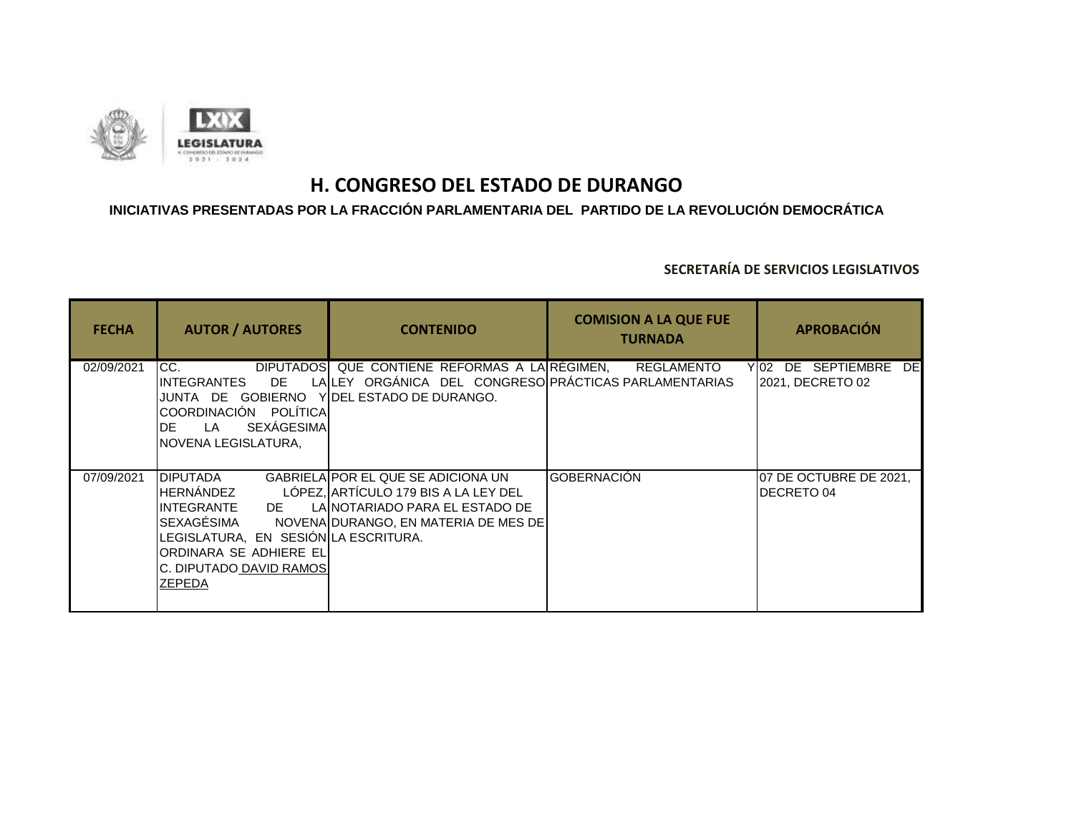

## **INICIATIVAS PRESENTADAS POR LA FRACCIÓN PARLAMENTARIA DEL PARTIDO DE LA REVOLUCIÓN DEMOCRÁTICA**

| <b>FECHA</b> | <b>AUTOR / AUTORES</b>                                                                                                                                                                    | <b>CONTENIDO</b>                                                                                                                                            | <b>COMISION A LA QUE FUE</b><br><b>TURNADA</b> | <b>APROBACIÓN</b>                                |
|--------------|-------------------------------------------------------------------------------------------------------------------------------------------------------------------------------------------|-------------------------------------------------------------------------------------------------------------------------------------------------------------|------------------------------------------------|--------------------------------------------------|
| 02/09/2021   | <b>DIPUTADOS</b><br>ICC.<br>DE.<br>IINTEGRANTES<br>COORDINACIÓN POLÍTICA<br><b>SEXÁGESIMA</b><br>IDE-<br>I A<br>INOVENA LEGISLATURA.                                                      | QUE CONTIENE REFORMAS A LA REGIMEN,<br>LALLEY ORGÁNICA DEL CONGRESO PRÁCTICAS PARLAMENTARIAS<br>JUNTA DE GOBIERNO YIDEL ESTADO DE DURANGO.                  | <b>REGLAMENTO</b>                              | DE SEPTIEMBRE<br>Y 02<br>DEI<br>2021, DECRETO 02 |
| 07/09/2021   | <b>I</b> DIPUTADA<br>HERNÁNDEZ<br>INTEGRANTE<br>DE DE<br><b>SEXAGÉSIMA</b><br>LEGISLATURA, EN SESIÓN LA ESCRITURA.<br>ORDINARA SE ADHIERE ELI<br>C. DIPUTADO DAVID RAMOS<br><b>ZEPEDA</b> | <b>GABRIELAIPOR EL QUE SE ADICIONA UN</b><br>LÓPEZ, ARTÍCULO 179 BIS A LA LEY DEL<br>LAINOTARIADO PARA EL ESTADO DE<br>NOVENA DURANGO, EN MATERIA DE MES DE | <b>GOBERNACIÓN</b>                             | O7 DE OCTUBRE DE 2021,<br>DECRETO 04             |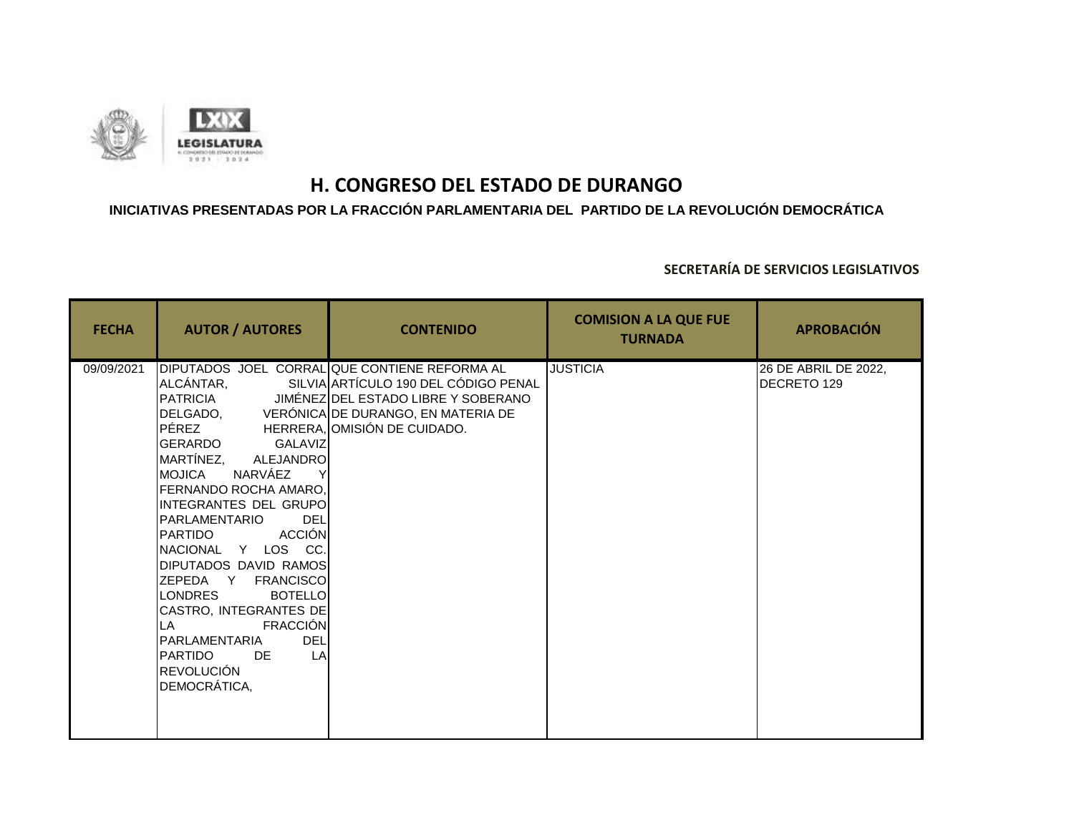

### **INICIATIVAS PRESENTADAS POR LA FRACCIÓN PARLAMENTARIA DEL PARTIDO DE LA REVOLUCIÓN DEMOCRÁTICA**

| <b>FECHA</b> | <b>AUTOR / AUTORES</b>                                                                                                                                                                                                                                                                                                                                                                                                                                                          | <b>CONTENIDO</b>                                                                                                                                                                                                     | <b>COMISION A LA QUE FUE</b><br><b>TURNADA</b> | <b>APROBACIÓN</b>                   |
|--------------|---------------------------------------------------------------------------------------------------------------------------------------------------------------------------------------------------------------------------------------------------------------------------------------------------------------------------------------------------------------------------------------------------------------------------------------------------------------------------------|----------------------------------------------------------------------------------------------------------------------------------------------------------------------------------------------------------------------|------------------------------------------------|-------------------------------------|
| 09/09/2021   | ALCÁNTAR,<br>PÉREZ<br><b>GERARDO</b><br>GALAVIZI<br>MARTÍNEZ,<br>ALEJANDRO<br>NARVÁEZ<br>MOJICA<br><b>I</b> FERNANDO ROCHA AMARO.<br>INTEGRANTES DEL GRUPOI<br>PARLAMENTARIO<br>DEL<br><b>ACCIÓN</b><br>PARTIDO<br>NACIONAL Y LOS CC.<br>DIPUTADOS DAVID RAMOS<br>ZEPEDA Y FRANCISCO<br><b>LONDRES</b><br><b>BOTELLO</b><br>CASTRO, INTEGRANTES DE<br><b>FRACCIÓN</b><br>ILA.<br><b>DEL</b><br>PARLAMENTARIA<br><b>PARTIDO</b><br>LA<br>DE<br><b>REVOLUCIÓN</b><br>DEMOCRÁTICA, | DIPUTADOS JOEL CORRAL QUE CONTIENE REFORMA AL<br>SILVIA ARTÍCULO 190 DEL CÓDIGO PENAL<br>PATRICIA JIMÉNEZ DEL ESTADO LIBRE Y SOBERANO<br>DELGADO, VERÓNICA DE DURANGO, EN MATERIA DE<br>HERRERA, OMISIÓN DE CUIDADO. | <b>JUSTICIA</b>                                | 26 DE ABRIL DE 2022,<br>DECRETO 129 |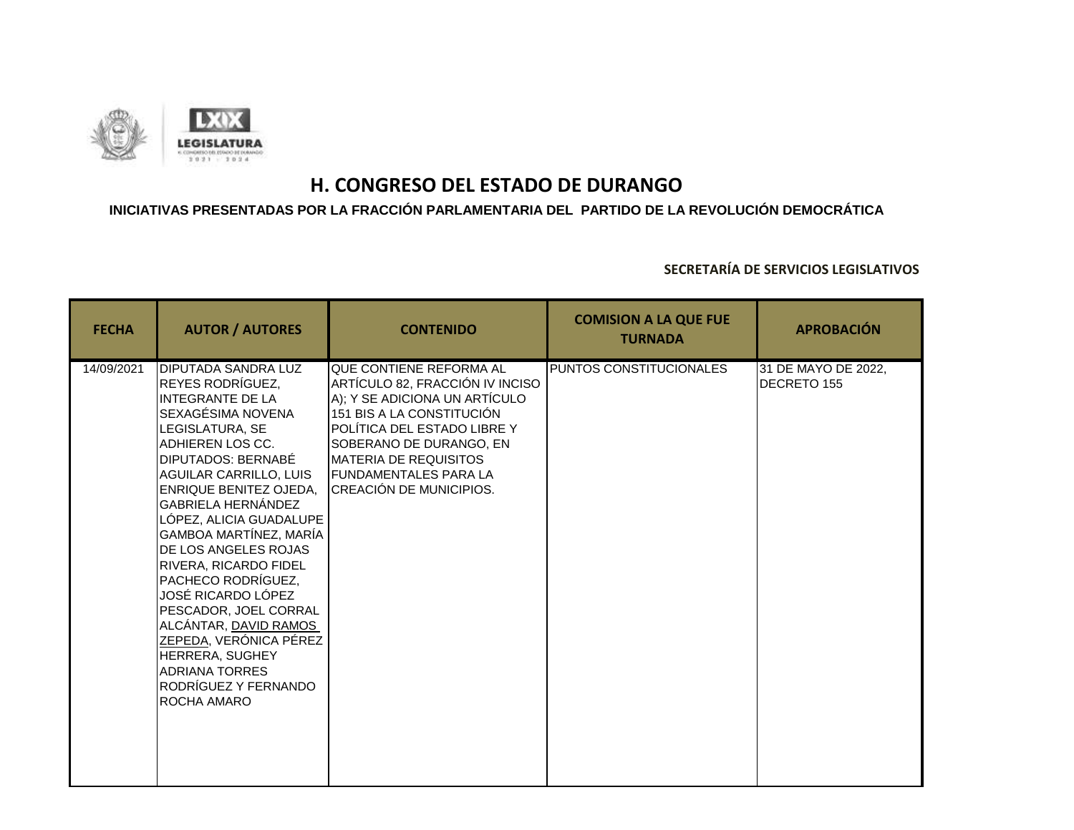

### **INICIATIVAS PRESENTADAS POR LA FRACCIÓN PARLAMENTARIA DEL PARTIDO DE LA REVOLUCIÓN DEMOCRÁTICA**

| <b>FECHA</b> | <b>AUTOR / AUTORES</b>                                                                                                                                                                                                                                                                                                                                                                                                                                                                                                                                                | <b>CONTENIDO</b>                                                                                                                                                                                                                                                               | <b>COMISION A LA QUE FUE</b><br><b>TURNADA</b> | <b>APROBACIÓN</b>                  |
|--------------|-----------------------------------------------------------------------------------------------------------------------------------------------------------------------------------------------------------------------------------------------------------------------------------------------------------------------------------------------------------------------------------------------------------------------------------------------------------------------------------------------------------------------------------------------------------------------|--------------------------------------------------------------------------------------------------------------------------------------------------------------------------------------------------------------------------------------------------------------------------------|------------------------------------------------|------------------------------------|
| 14/09/2021   | <b>DIPUTADA SANDRA LUZ</b><br>REYES RODRÍGUEZ.<br><b>INTEGRANTE DE LA</b><br>SEXAGÉSIMA NOVENA<br>LEGISLATURA, SE<br>ADHIEREN LOS CC.<br>DIPUTADOS: BERNABÉ<br>AGUILAR CARRILLO, LUIS<br>ENRIQUE BENITEZ OJEDA.<br><b>GABRIELA HERNÁNDEZ</b><br>LÓPEZ, ALICIA GUADALUPE<br>GAMBOA MARTÍNEZ, MARÍA<br>DE LOS ANGELES ROJAS<br>RIVERA, RICARDO FIDEL<br> PACHECO RODRÍGUEZ.<br>JOSÉ RICARDO LÓPEZ<br>PESCADOR, JOEL CORRAL<br>ALCÁNTAR, DAVID RAMOS<br><b>ZEPEDA, VERÓNICA PÉREZ</b><br>HERRERA, SUGHEY<br><b>ADRIANA TORRES</b><br>RODRÍGUEZ Y FERNANDO<br>ROCHA AMARO | QUE CONTIENE REFORMA AL<br>ARTÍCULO 82, FRACCIÓN IV INCISO<br>A); Y SE ADICIONA UN ARTÍCULO<br>151 BIS A LA CONSTITUCIÓN<br>POLÍTICA DEL ESTADO LIBRE Y<br>SOBERANO DE DURANGO, EN<br><b>MATERIA DE REQUISITOS</b><br><b>IFUNDAMENTALES PARA LA</b><br>CREACIÓN DE MUNICIPIOS. | PUNTOS CONSTITUCIONALES                        | 31 DE MAYO DE 2022,<br>DECRETO 155 |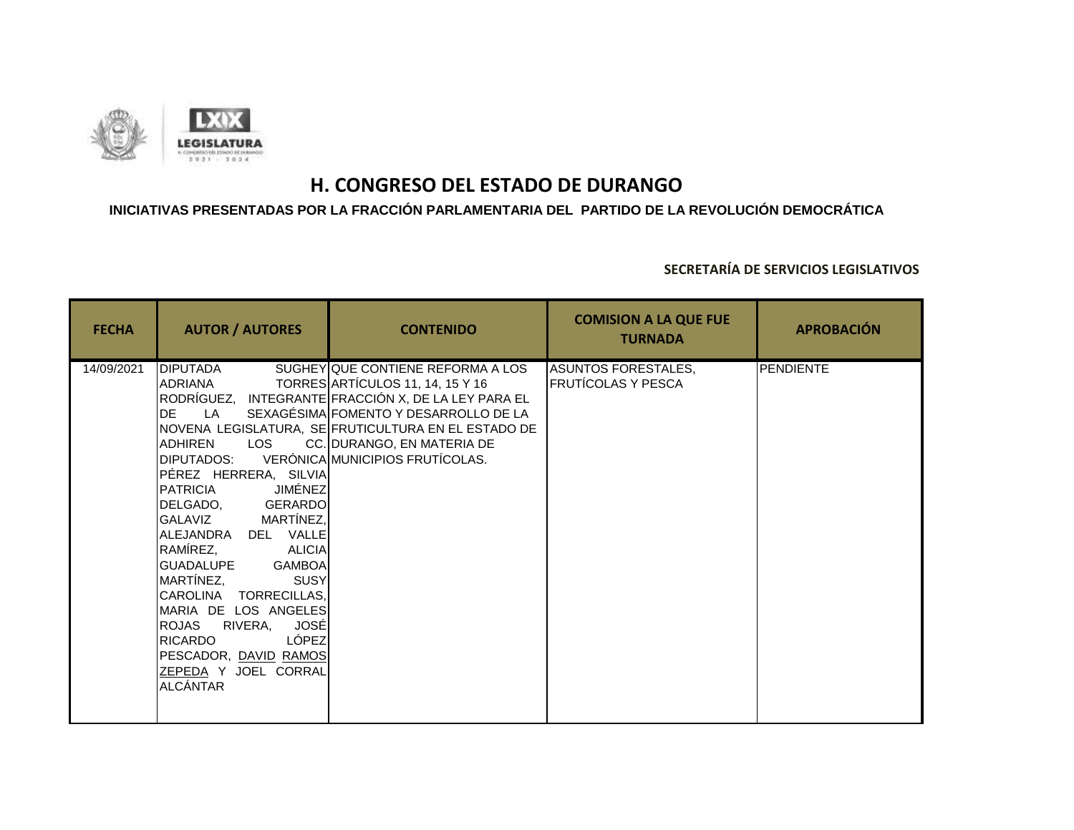

### **INICIATIVAS PRESENTADAS POR LA FRACCIÓN PARLAMENTARIA DEL PARTIDO DE LA REVOLUCIÓN DEMOCRÁTICA**

| <b>FECHA</b> | <b>AUTOR / AUTORES</b>                                                                                                                                                                                                                                                                                                                                                                                                                                                                       | <b>CONTENIDO</b>                                                                                                                                                                                                                                                                   | <b>COMISION A LA QUE FUE</b><br><b>TURNADA</b>   | <b>APROBACIÓN</b> |
|--------------|----------------------------------------------------------------------------------------------------------------------------------------------------------------------------------------------------------------------------------------------------------------------------------------------------------------------------------------------------------------------------------------------------------------------------------------------------------------------------------------------|------------------------------------------------------------------------------------------------------------------------------------------------------------------------------------------------------------------------------------------------------------------------------------|--------------------------------------------------|-------------------|
| 14/09/2021   | <b>DIPUTADA</b><br>ADRIANA<br>RODRÍGUEZ,<br>LA<br><b>DE</b><br><b>ADHIREN</b><br>LOS<br>DIPUTADOS:<br>PÉREZ HERRERA, SILVIA<br>JIMÉNEZ<br><b>PATRICIA</b><br>DELGADO, GERARDO<br>GALAVIZ MARTÍNEZ,<br>ALEJANDRA DEL VALLE<br>RAMÍREZ,<br><b>ALICIA</b><br><b>GUADALUPE</b><br><b>GAMBOA</b><br>MARTÍNEZ,<br>SUSY<br>CAROLINA TORRECILLAS,<br>MARIA DE LOS ANGELES<br><b>JOSÉ</b><br>ROJAS<br>RIVERA,<br>LÓPEZ<br><b>RICARDO</b><br>PESCADOR, DAVID RAMOS<br>ZEPEDA Y JOEL CORRAL<br>ALCÁNTAR | SUGHEY QUE CONTIENE REFORMA A LOS<br>TORRES ARTÍCULOS 11, 14, 15 Y 16<br>INTEGRANTE FRACCIÓN X, DE LA LEY PARA EL<br>SEXAGÉSIMA FOMENTO Y DESARROLLO DE LA<br>NOVENA LEGISLATURA, SE FRUTICULTURA EN EL ESTADO DE<br>CC. DURANGO, EN MATERIA DE<br>VERÓNICA MUNICIPIOS FRUTÍCOLAS. | <b>ASUNTOS FORESTALES,</b><br>FRUTÍCOLAS Y PESCA | <b>PENDIENTE</b>  |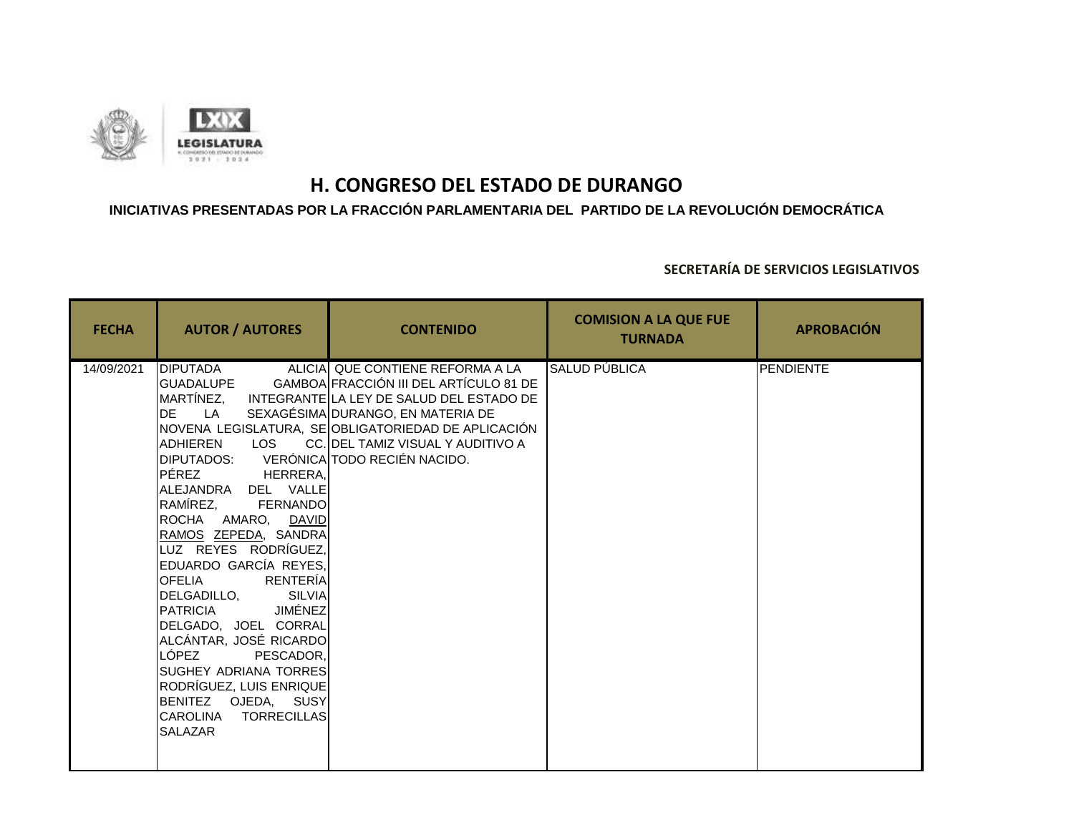

### **INICIATIVAS PRESENTADAS POR LA FRACCIÓN PARLAMENTARIA DEL PARTIDO DE LA REVOLUCIÓN DEMOCRÁTICA**

| <b>FECHA</b> | <b>AUTOR / AUTORES</b>                                                                                                                                                                                                                                                                                                                                                                                                                                                                                                                                   | <b>CONTENIDO</b>                                                                                                                                                                                                                                                      | <b>COMISION A LA QUE FUE</b><br><b>TURNADA</b> | <b>APROBACIÓN</b> |
|--------------|----------------------------------------------------------------------------------------------------------------------------------------------------------------------------------------------------------------------------------------------------------------------------------------------------------------------------------------------------------------------------------------------------------------------------------------------------------------------------------------------------------------------------------------------------------|-----------------------------------------------------------------------------------------------------------------------------------------------------------------------------------------------------------------------------------------------------------------------|------------------------------------------------|-------------------|
| 14/09/2021   | <b>DIPUTADA</b><br>GUADALUPE<br>DE LA<br><b>ADHIEREN</b><br>DIPUTADOS: VERÓNICA TODO RECIÉN NACIDO.<br>PÉREZ HERRERA,<br>ALEJANDRA DEL VALLE<br>RAMÍREZ,<br><b>FERNANDO</b><br>ROCHA AMARO, DAVID<br>RAMOS ZEPEDA, SANDRA<br>LUZ REYES RODRÍGUEZ,<br>EDUARDO GARCÍA REYES,<br><b>OFELIA</b><br><b>RENTERÍA</b><br>DELGADILLO, SILVIA<br>JIMÉNEZ<br><b>PATRICIA</b><br>DELGADO, JOEL CORRAL<br>ALCÁNTAR, JOSÉ RICARDO<br>LÓPEZ<br>PESCADOR,<br>SUGHEY ADRIANA TORRES<br>RODRÍGUEZ, LUIS ENRIQUE<br>BENITEZ OJEDA, SUSY<br>CAROLINA TORRECILLAS<br>SALAZAR | ALICIA QUE CONTIENE REFORMA A LA<br>GAMBOA FRACCIÓN III DEL ARTÍCULO 81 DE<br>MARTÍNEZ, INTEGRANTE LA LEY DE SALUD DEL ESTADO DE<br>SEXAGÉSIMA DURANGO, EN MATERIA DE<br>NOVENA LEGISLATURA, SE OBLIGATORIEDAD DE APLICACIÓN<br>LOS CC. DEL TAMIZ VISUAL Y AUDITIVO A | SALUD PÚBLICA                                  | PENDIENTE         |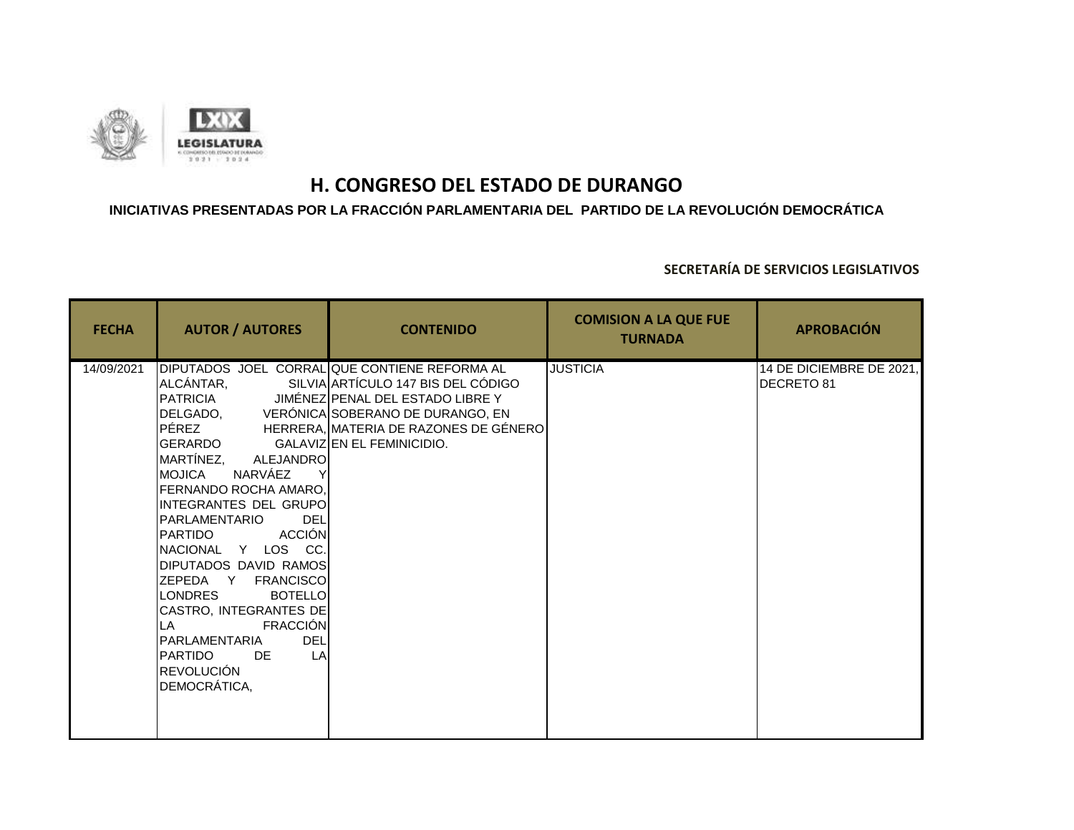

### **INICIATIVAS PRESENTADAS POR LA FRACCIÓN PARLAMENTARIA DEL PARTIDO DE LA REVOLUCIÓN DEMOCRÁTICA**

| <b>FECHA</b> | <b>AUTOR / AUTORES</b>                                                                                                                                                                                                                                                                                                                                                                                                                                    | <b>CONTENIDO</b>                                                                                                                                                                                                                                     | <b>COMISION A LA QUE FUE</b><br><b>TURNADA</b> | <b>APROBACIÓN</b>                             |
|--------------|-----------------------------------------------------------------------------------------------------------------------------------------------------------------------------------------------------------------------------------------------------------------------------------------------------------------------------------------------------------------------------------------------------------------------------------------------------------|------------------------------------------------------------------------------------------------------------------------------------------------------------------------------------------------------------------------------------------------------|------------------------------------------------|-----------------------------------------------|
| 14/09/2021   | ALCÁNTAR,<br>PÉREZ<br>GERARDO<br>MARTÍNEZ,<br>ALEJANDRO<br>NARVÁEZ<br>IMOJICA<br>FERNANDO ROCHA AMARO,<br>INTEGRANTES DEL GRUPO<br>PARLAMENTARIO<br><b>DEL</b><br><b>ACCIÓN</b><br>PARTIDO<br>NACIONAL Y LOS CC.<br>DIPUTADOS DAVID RAMOS<br>ZEPEDA Y FRANCISCO<br><b>LONDRES</b><br><b>BOTELLO</b><br>CASTRO, INTEGRANTES DE<br><b>FRACCIÓN</b><br>LA<br><b>DEL</b><br>PARLAMENTARIA<br>LA<br><b>PARTIDO</b><br>DE.<br><b>REVOLUCIÓN</b><br>DEMOCRÁTICA, | DIPUTADOS JOEL CORRAL QUE CONTIENE REFORMA AL<br>SILVIA ARTÍCULO 147 BIS DEL CÓDIGO<br>PATRICIA JIMÉNEZ PENAL DEL ESTADO LIBRE Y<br>DELGADO, VERÓNICA SOBERANO DE DURANGO, EN<br>HERRERA, MATERIA DE RAZONES DE GÉNERO<br>GALAVIZIEN EL FEMINICIDIO. | <b>JUSTICIA</b>                                | 14 DE DICIEMBRE DE 2021,<br><b>DECRETO 81</b> |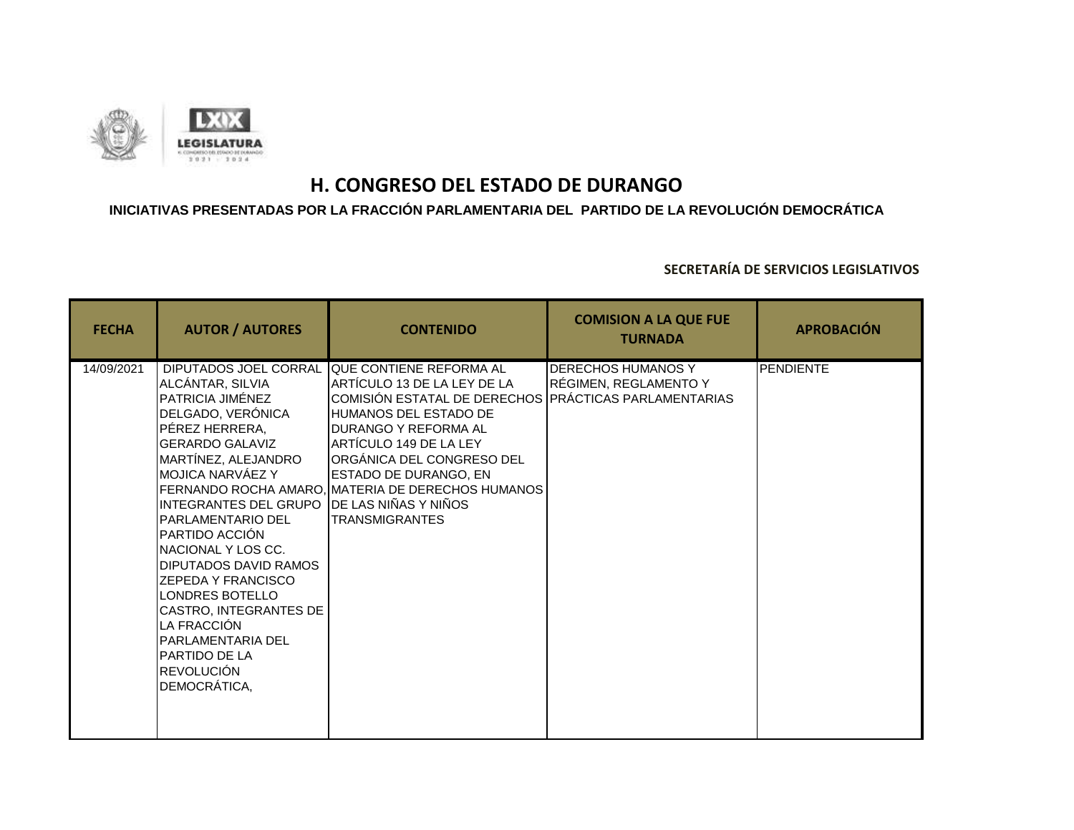

### **INICIATIVAS PRESENTADAS POR LA FRACCIÓN PARLAMENTARIA DEL PARTIDO DE LA REVOLUCIÓN DEMOCRÁTICA**

| <b>FECHA</b> | <b>AUTOR / AUTORES</b>                                                                                                                                                                                                                                                                                                                                                                                                                                                                           | <b>CONTENIDO</b>                                                                                                                                                                                                                                                                                                                       | <b>COMISION A LA QUE FUE</b><br><b>TURNADA</b>     | <b>APROBACIÓN</b> |
|--------------|--------------------------------------------------------------------------------------------------------------------------------------------------------------------------------------------------------------------------------------------------------------------------------------------------------------------------------------------------------------------------------------------------------------------------------------------------------------------------------------------------|----------------------------------------------------------------------------------------------------------------------------------------------------------------------------------------------------------------------------------------------------------------------------------------------------------------------------------------|----------------------------------------------------|-------------------|
| 14/09/2021   | DIPUTADOS JOEL CORRAL<br>ALCÁNTAR, SILVIA<br>PATRICIA JIMÉNEZ<br>DELGADO, VERÓNICA<br>PÉREZ HERRERA.<br><b>GERARDO GALAVIZ</b><br>MARTÍNEZ, ALEJANDRO<br>IMOJICA NARVÁEZ Y<br>INTEGRANTES DEL GRUPO DE LAS NIÑAS Y NIÑOS<br><b>PARLAMENTARIO DEL</b><br>PARTIDO ACCIÓN<br>NACIONAL Y LOS CC.<br><b>DIPUTADOS DAVID RAMOS</b><br><b>ZEPEDA Y FRANCISCO</b><br>LONDRES BOTELLO<br>CASTRO, INTEGRANTES DE<br>LA FRACCIÓN<br>PARLAMENTARIA DEL<br>PARTIDO DE LA<br><b>REVOLUCIÓN</b><br>DEMOCRÁTICA, | <b>OUE CONTIENE REFORMA AL</b><br>ARTÍCULO 13 DE LA LEY DE LA<br>COMISIÓN ESTATAL DE DERECHOS PRÁCTICAS PARLAMENTARIAS<br>HUMANOS DEL ESTADO DE<br>DURANGO Y REFORMA AL<br>ARTÍCULO 149 DE LA LEY<br>ORGÁNICA DEL CONGRESO DEL<br>ESTADO DE DURANGO. EN<br>FERNANDO ROCHA AMARO. IMATERIA DE DERECHOS HUMANOS<br><b>TRANSMIGRANTES</b> | <b>DERECHOS HUMANOS Y</b><br>RÉGIMEN, REGLAMENTO Y | <b>PENDIENTE</b>  |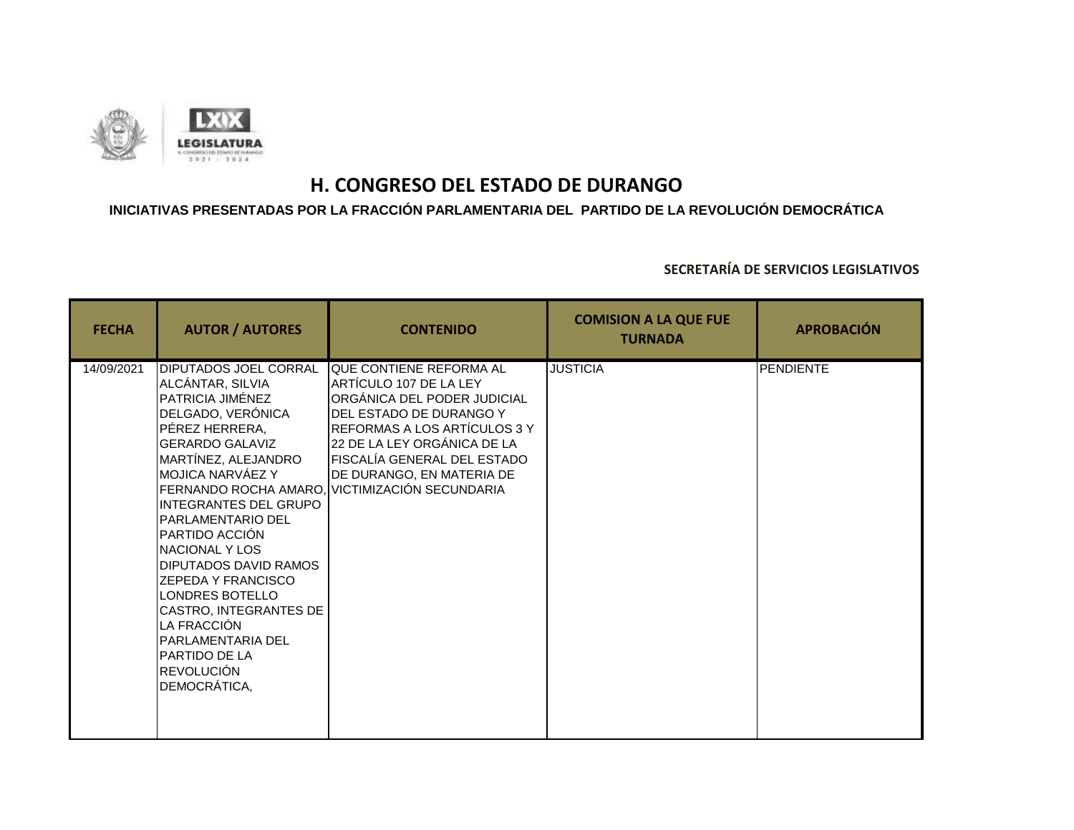

### **INICIATIVAS PRESENTADAS POR LA FRACCIÓN PARLAMENTARIA DEL PARTIDO DE LA REVOLUCIÓN DEMOCRÁTICA**

| <b>FECHA</b> | <b>AUTOR / AUTORES</b>                                                                                                                                                                                                                                                                                                                                                                                                                                                                      | <b>CONTENIDO</b>                                                                                                                                                                                                                                                                         | <b>COMISION A LA QUE FUE</b><br><b>TURNADA</b> | <b>APROBACIÓN</b> |
|--------------|---------------------------------------------------------------------------------------------------------------------------------------------------------------------------------------------------------------------------------------------------------------------------------------------------------------------------------------------------------------------------------------------------------------------------------------------------------------------------------------------|------------------------------------------------------------------------------------------------------------------------------------------------------------------------------------------------------------------------------------------------------------------------------------------|------------------------------------------------|-------------------|
| 14/09/2021   | DIPUTADOS JOEL CORRAL<br>ALCÁNTAR, SILVIA<br>PATRICIA JIMÉNEZ<br>DELGADO, VERÓNICA<br>PÉREZ HERRERA,<br><b>GERARDO GALAVIZ</b><br>MARTÍNEZ, ALEJANDRO<br>MOJICA NARVÁEZ Y<br><b>INTEGRANTES DEL GRUPO</b><br><b>PARLAMENTARIO DEL</b><br>PARTIDO ACCIÓN<br>NACIONAL Y LOS<br><b>DIPUTADOS DAVID RAMOS</b><br><b>ZEPEDA Y FRANCISCO</b><br>LONDRES BOTELLO<br>CASTRO, INTEGRANTES DE<br>LA FRACCIÓN<br><b>PARLAMENTARIA DEL</b><br><b>PARTIDO DE LA</b><br><b>REVOLUCIÓN</b><br>DEMOCRÁTICA, | QUE CONTIENE REFORMA AL<br>ARTÍCULO 107 DE LA LEY<br>ORGÁNICA DEL PODER JUDICIAL<br>DEL ESTADO DE DURANGO Y<br>REFORMAS A LOS ARTÍCULOS 3 Y<br>22 DE LA LEY ORGÁNICA DE LA<br>FISCALÍA GENERAL DEL ESTADO<br>DE DURANGO, EN MATERIA DE<br>FERNANDO ROCHA AMARO, VICTIMIZACIÓN SECUNDARIA | <b>JUSTICIA</b>                                | <b>PENDIENTE</b>  |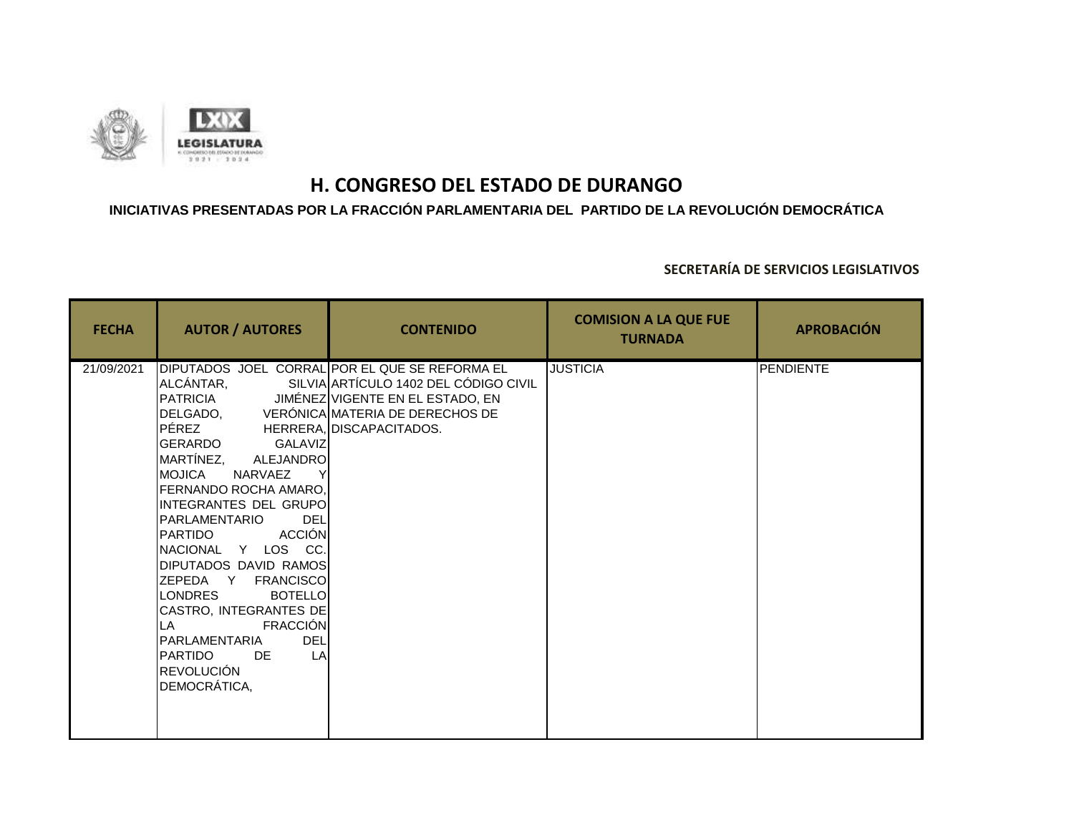

### **INICIATIVAS PRESENTADAS POR LA FRACCIÓN PARLAMENTARIA DEL PARTIDO DE LA REVOLUCIÓN DEMOCRÁTICA**

| <b>FECHA</b> | <b>AUTOR / AUTORES</b>                                                                                                                                                                                                                                                                                                                                                                                                                                                                                          | <b>CONTENIDO</b>                                                                                                                                                 | <b>COMISION A LA QUE FUE</b><br><b>TURNADA</b> | <b>APROBACIÓN</b> |
|--------------|-----------------------------------------------------------------------------------------------------------------------------------------------------------------------------------------------------------------------------------------------------------------------------------------------------------------------------------------------------------------------------------------------------------------------------------------------------------------------------------------------------------------|------------------------------------------------------------------------------------------------------------------------------------------------------------------|------------------------------------------------|-------------------|
| 21/09/2021   | ALCÁNTAR,<br>DELGADO, VERÓNICA MATERIA DE DERECHOS DE<br>PÉREZ<br>GERARDO<br>GALAVIZ<br>MARTÍNEZ, ALEJANDRO<br><b>IMOJICA</b><br>NARVAEZ<br>FERNANDO ROCHA AMARO,<br>INTEGRANTES DEL GRUPOI<br>PARLAMENTARIO<br><b>DEL</b><br>ACCIÓN<br>PARTIDO<br>NACIONAL Y LOS CC.<br>DIPUTADOS DAVID RAMOS<br>ZEPEDA Y FRANCISCO<br><b>LONDRES</b><br><b>BOTELLO</b><br>CASTRO, INTEGRANTES DE<br><b>FRACCIÓN</b><br>LA<br><b>DEL</b><br>PARLAMENTARIA<br>LA<br><b>I</b> PARTIDO<br>DE<br><b>REVOLUCIÓN</b><br>DEMOCRÁTICA, | DIPUTADOS JOEL CORRAL POR EL QUE SE REFORMA EL<br>SILVIA ARTÍCULO 1402 DEL CÓDIGO CIVIL<br>PATRICIA JIMÉNEZ VIGENTE EN EL ESTADO, EN<br>HERRERA. DISCAPACITADOS. | <b>JUSTICIA</b>                                | <b>PENDIENTE</b>  |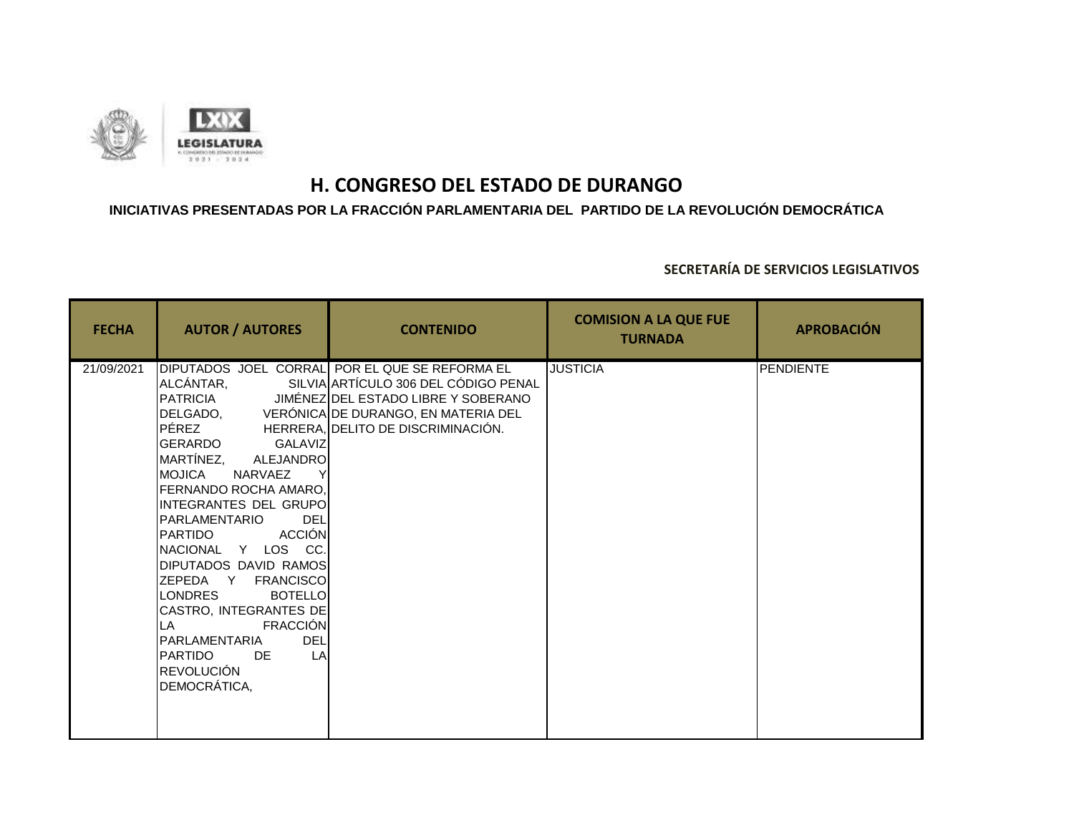

### **INICIATIVAS PRESENTADAS POR LA FRACCIÓN PARLAMENTARIA DEL PARTIDO DE LA REVOLUCIÓN DEMOCRÁTICA**

| <b>FECHA</b> | <b>AUTOR / AUTORES</b>                                                                                                                                                                                                                                                                                                                                                                                                                                                                                      | <b>CONTENIDO</b>                                                                                                                                                                                                             | <b>COMISION A LA QUE FUE</b><br><b>TURNADA</b> | <b>APROBACIÓN</b> |
|--------------|-------------------------------------------------------------------------------------------------------------------------------------------------------------------------------------------------------------------------------------------------------------------------------------------------------------------------------------------------------------------------------------------------------------------------------------------------------------------------------------------------------------|------------------------------------------------------------------------------------------------------------------------------------------------------------------------------------------------------------------------------|------------------------------------------------|-------------------|
| 21/09/2021   | ALCÁNTAR,<br>PÉREZ<br>GERARDO<br>GALAVIZ<br>MARTÍNEZ,<br><b>ALEJANDRO</b><br><b>I</b> MOJICA<br>NARVAEZ<br><b>I</b> FERNANDO ROCHA AMARO.<br>IINTEGRANTES DEL GRUPOI<br><b>I</b> PARLAMENTARIO<br><b>DEL</b><br><b>ACCIÓN</b><br>IPARTIDO<br>INACIONAL Y LOS CC.<br>DIPUTADOS DAVID RAMOS<br>ZEPEDA Y FRANCISCO<br><b>LONDRES</b><br><b>BOTELLO</b><br>CASTRO, INTEGRANTES DE<br><b>FRACCIÓN</b><br>ILA<br><b>DEL</b><br>PARLAMENTARIA<br><b>I</b> PARTIDO<br>LA<br>DE<br><b>REVOLUCIÓN</b><br>DEMOCRÁTICA, | DIPUTADOS JOEL CORRAL POR EL QUE SE REFORMA EL<br>SILVIA ARTÍCULO 306 DEL CÓDIGO PENAL<br>PATRICIA JIMÉNEZ DEL ESTADO LIBRE Y SOBERANO<br>DELGADO, VERÓNICA DE DURANGO, EN MATERIA DEL<br>HERRERA, DELITO DE DISCRIMINACIÓN. | <b>JUSTICIA</b>                                | <b>PENDIENTE</b>  |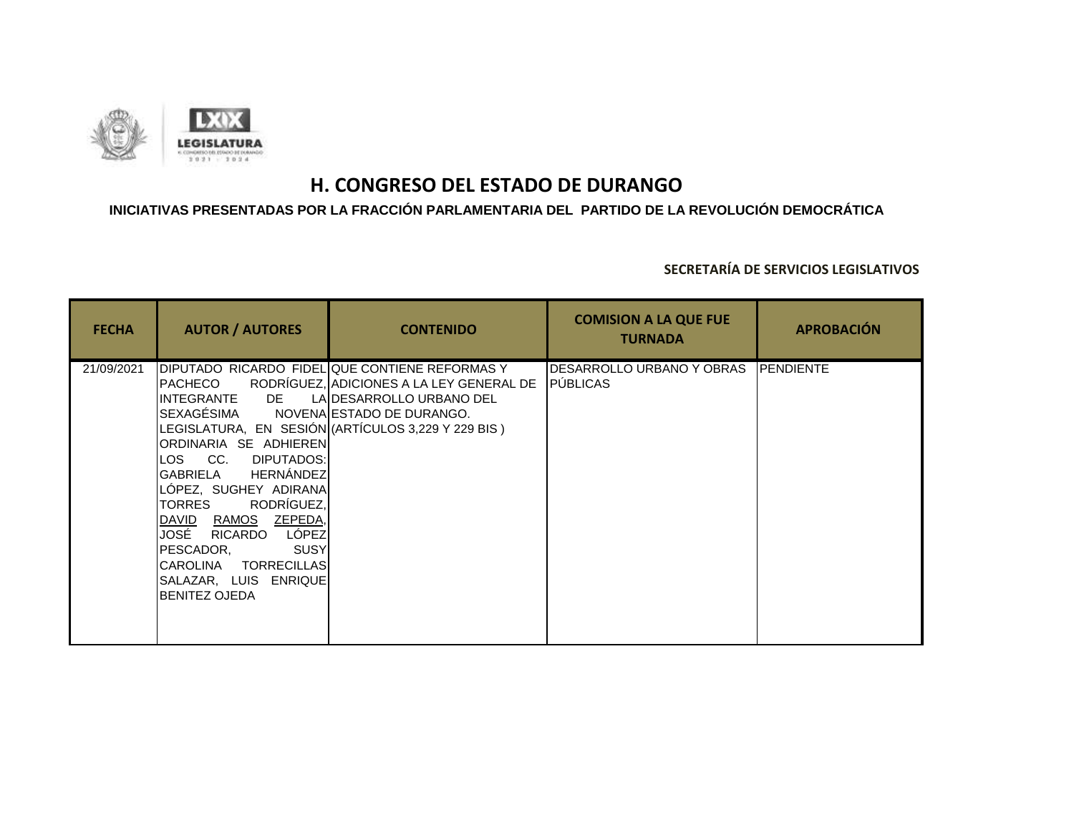

### **INICIATIVAS PRESENTADAS POR LA FRACCIÓN PARLAMENTARIA DEL PARTIDO DE LA REVOLUCIÓN DEMOCRÁTICA**

| <b>FECHA</b> | <b>AUTOR / AUTORES</b>                                                                                                                                                                                                                                                                                                    | <b>CONTENIDO</b>                                                                                                                                                                                          | <b>COMISION A LA QUE FUE</b><br><b>TURNADA</b> | <b>APROBACIÓN</b> |
|--------------|---------------------------------------------------------------------------------------------------------------------------------------------------------------------------------------------------------------------------------------------------------------------------------------------------------------------------|-----------------------------------------------------------------------------------------------------------------------------------------------------------------------------------------------------------|------------------------------------------------|-------------------|
| 21/09/2021   | PACHECO<br>INTEGRANTE DE<br>SEXAGÉSIMA<br>ORDINARIA SE ADHIERENI<br>LOS CC.<br>DIPUTADOS:I<br><b>HERNÁNDEZ</b><br>GABRIELA<br>LOPEZ, SUGHEY ADIRANA<br>RODRÍGUEZ,<br>TORRES<br>DAVID RAMOS ZEPEDA,<br>JOSÉ<br>RICARDO LÓPEZ<br>SUSY<br>PESCADOR,<br>CAROLINA TORRECILLAS<br>SALAZAR, LUIS ENRIQUE<br><b>BENITEZ OJEDA</b> | DIPUTADO RICARDO FIDEL QUE CONTIENE REFORMAS Y<br>RODRÍGUEZ, ADICIONES A LA LEY GENERAL DE<br>LA DESARROLLO URBANO DEL<br>NOVENA ESTADO DE DURANGO.<br>LEGISLATURA, EN SESIÓN (ARTÍCULOS 3,229 Y 229 BIS) | <b>I</b> DESARROLLO URBANO Y OBRAS<br>PÚBLICAS | <b>IPENDIENTE</b> |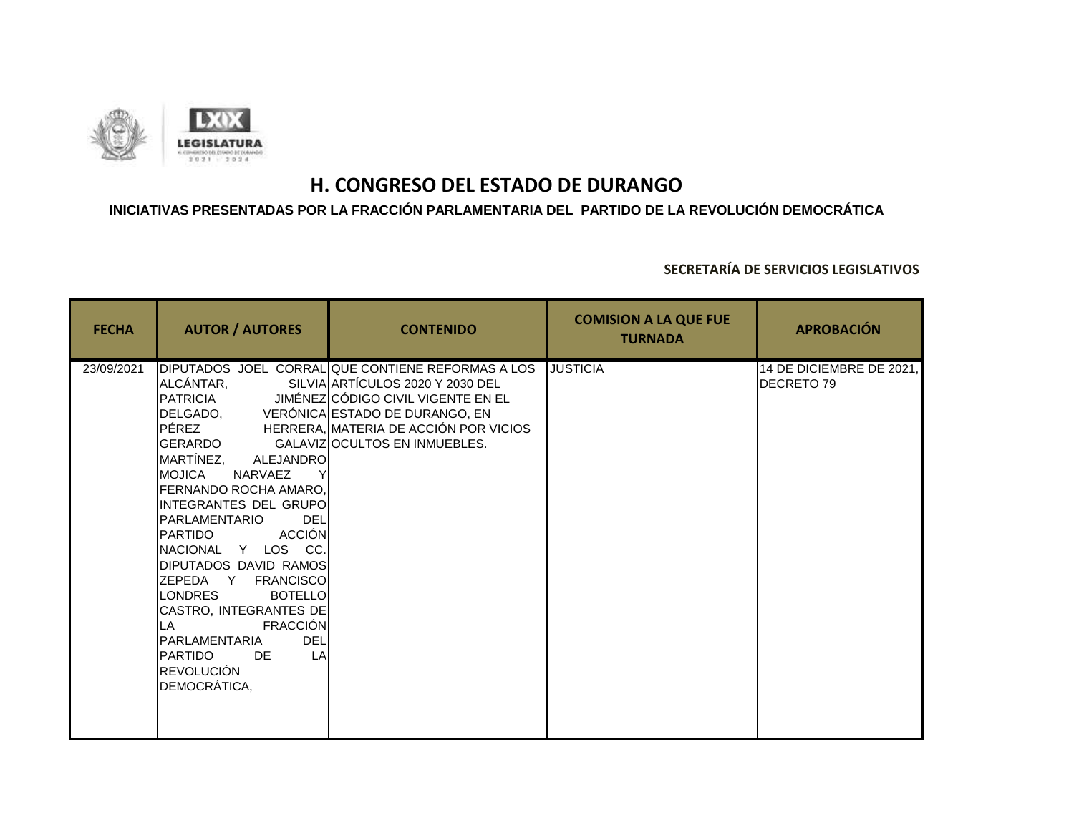

### **INICIATIVAS PRESENTADAS POR LA FRACCIÓN PARLAMENTARIA DEL PARTIDO DE LA REVOLUCIÓN DEMOCRÁTICA**

| <b>FECHA</b> | <b>AUTOR / AUTORES</b>                                                                                                                                                                                                                                                                                                                                                                                                                                                                                                           | <b>CONTENIDO</b>                                                                                                                                                                                     | <b>COMISION A LA QUE FUE</b><br><b>TURNADA</b> | <b>APROBACIÓN</b>                      |
|--------------|----------------------------------------------------------------------------------------------------------------------------------------------------------------------------------------------------------------------------------------------------------------------------------------------------------------------------------------------------------------------------------------------------------------------------------------------------------------------------------------------------------------------------------|------------------------------------------------------------------------------------------------------------------------------------------------------------------------------------------------------|------------------------------------------------|----------------------------------------|
| 23/09/2021   | ALCÁNTAR,<br>PATRICIA<br>DELGADO, VERÓNICA ESTADO DE DURANGO, EN<br>PÉREZ<br><b>GERARDO</b><br>MARTÍNEZ,<br>ALEJANDRO<br><b>IMOJICA</b><br>NARVAEZ<br>IFERNANDO ROCHA AMARO.<br>INTEGRANTES DEL GRUPOI<br>PARLAMENTARIO<br><b>DEL</b><br><b>ACCIÓN</b><br>PARTIDO<br>INACIONAL Y LOS CC.<br>DIPUTADOS DAVID RAMOS<br>ZEPEDA Y FRANCISCO<br><b>BOTELLO</b><br><b>LONDRES</b><br>CASTRO, INTEGRANTES DE<br><b>FRACCIÓN</b><br>LA<br><b>DEL</b><br>PARLAMENTARIA<br>LA<br><b>PARTIDO</b><br>DE<br><b>REVOLUCIÓN</b><br>DEMOCRÁTICA, | DIPUTADOS JOEL CORRAL QUE CONTIENE REFORMAS A LOS<br>SILVIA ARTÍCULOS 2020 Y 2030 DEL<br>JIMÉNEZ CÓDIGO CIVIL VIGENTE EN EL<br>HERRERA, MATERIA DE ACCIÓN POR VICIOS<br>GALAVIZOCULTOS EN INMUEBLES. | <b>JUSTICIA</b>                                | 14 DE DICIEMBRE DE 2021,<br>DECRETO 79 |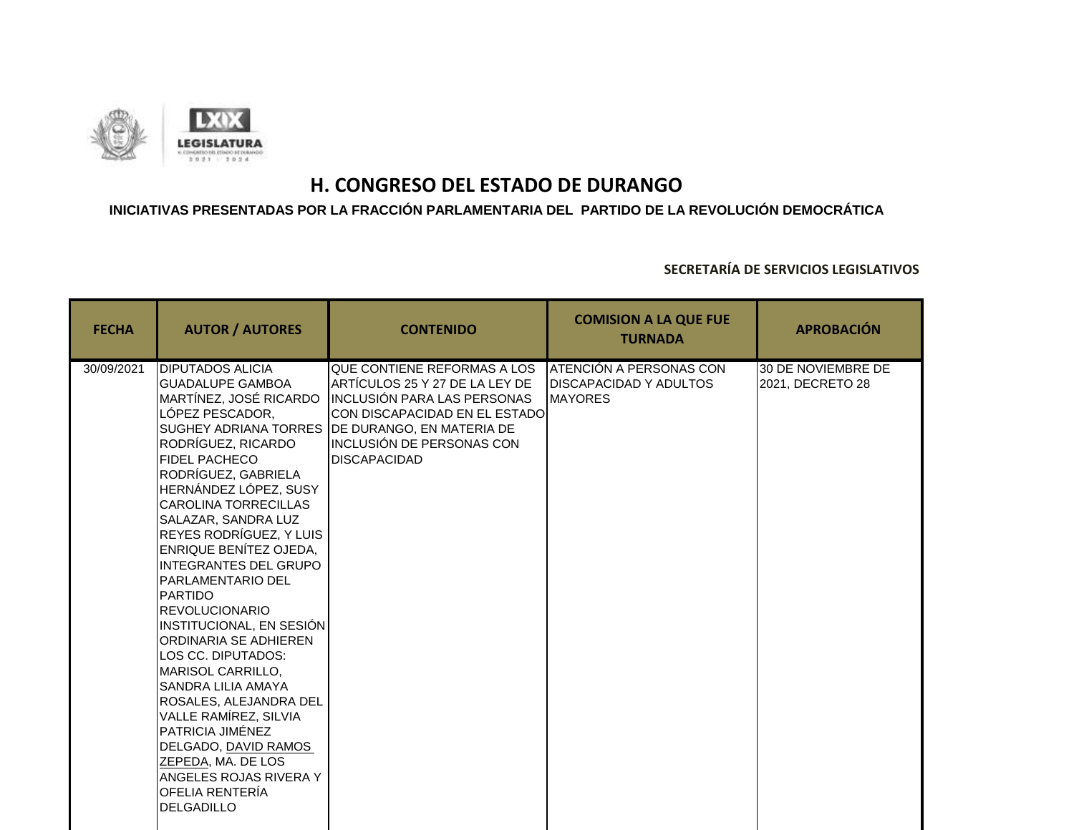

### **INICIATIVAS PRESENTADAS POR LA FRACCIÓN PARLAMENTARIA DEL PARTIDO DE LA REVOLUCIÓN DEMOCRÁTICA**

| <b>FECHA</b> | <b>AUTOR / AUTORES</b>                                                                                                                                                                                                                                                                                                                                                                                                                                                                                                                                                                                                                                                                                                                                                             | <b>CONTENIDO</b>                                                                                                                                                                                                       | <b>COMISION A LA QUE FUE</b><br><b>TURNADA</b>                             | <b>APROBACIÓN</b>                      |
|--------------|------------------------------------------------------------------------------------------------------------------------------------------------------------------------------------------------------------------------------------------------------------------------------------------------------------------------------------------------------------------------------------------------------------------------------------------------------------------------------------------------------------------------------------------------------------------------------------------------------------------------------------------------------------------------------------------------------------------------------------------------------------------------------------|------------------------------------------------------------------------------------------------------------------------------------------------------------------------------------------------------------------------|----------------------------------------------------------------------------|----------------------------------------|
| 30/09/2021   | <b>DIPUTADOS ALICIA</b><br><b>GUADALUPE GAMBOA</b><br>MARTÍNEZ, JOSÉ RICARDO<br>LÓPEZ PESCADOR,<br><b>SUGHEY ADRIANA TORRES</b><br>RODRÍGUEZ, RICARDO<br><b>FIDEL PACHECO</b><br>RODRÍGUEZ, GABRIELA<br>HERNÁNDEZ LÓPEZ, SUSY<br><b>CAROLINA TORRECILLAS</b><br><b>SALAZAR, SANDRA LUZ</b><br>REYES RODRÍGUEZ, Y LUIS<br><b>ENRIQUE BENÍTEZ OJEDA,</b><br><b>INTEGRANTES DEL GRUPO</b><br><b>PARLAMENTARIO DEL</b><br><b>IPARTIDO</b><br><b>REVOLUCIONARIO</b><br>INSTITUCIONAL, EN SESIÓN<br>ORDINARIA SE ADHIEREN<br>LOS CC. DIPUTADOS:<br>MARISOL CARRILLO,<br><b>SANDRA LILIA AMAYA</b><br>ROSALES, ALEJANDRA DEL<br>VALLE RAMÍREZ, SILVIA<br>PATRICIA JIMÉNEZ<br>DELGADO, DAVID RAMOS<br>ZEPEDA, MA. DE LOS<br>ANGELES ROJAS RIVERA Y<br>OFELIA RENTERÍA<br><b>DELGADILLO</b> | <b>QUE CONTIENE REFORMAS A LOS</b><br>ARTÍCULOS 25 Y 27 DE LA LEY DE<br>INCLUSIÓN PARA LAS PERSONAS<br>CON DISCAPACIDAD EN EL ESTADOI<br>DE DURANGO, EN MATERIA DE<br>INCLUSIÓN DE PERSONAS CON<br><b>DISCAPACIDAD</b> | ATENCIÓN A PERSONAS CON<br><b>DISCAPACIDAD Y ADULTOS</b><br><b>MAYORES</b> | 30 DE NOVIEMBRE DE<br>2021, DECRETO 28 |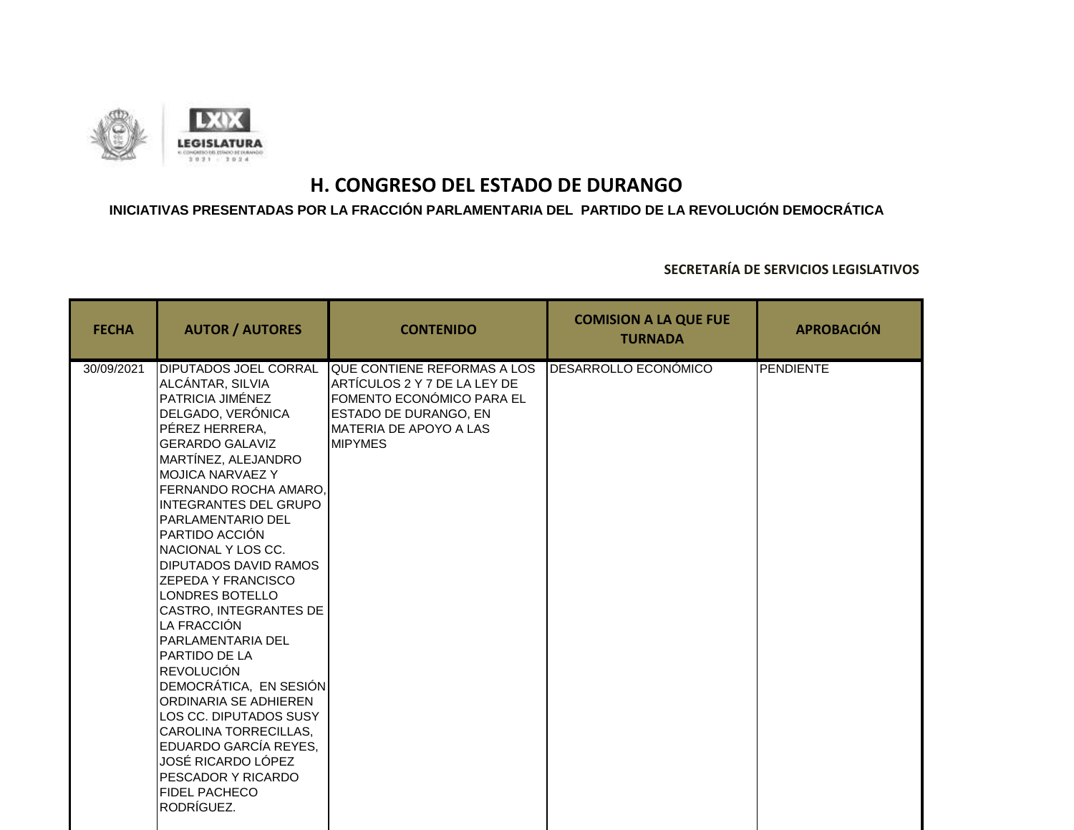

### **INICIATIVAS PRESENTADAS POR LA FRACCIÓN PARLAMENTARIA DEL PARTIDO DE LA REVOLUCIÓN DEMOCRÁTICA**

| <b>FECHA</b> | <b>AUTOR / AUTORES</b>                                                                                                                                                                                                                                                                                                                                                                                                                                                                                                                                                                                                                                                                                                    | <b>CONTENIDO</b>                                                                                                                                              | <b>COMISION A LA QUE FUE</b><br><b>TURNADA</b> | <b>APROBACIÓN</b> |
|--------------|---------------------------------------------------------------------------------------------------------------------------------------------------------------------------------------------------------------------------------------------------------------------------------------------------------------------------------------------------------------------------------------------------------------------------------------------------------------------------------------------------------------------------------------------------------------------------------------------------------------------------------------------------------------------------------------------------------------------------|---------------------------------------------------------------------------------------------------------------------------------------------------------------|------------------------------------------------|-------------------|
| 30/09/2021   | <b>DIPUTADOS JOEL CORRAL</b><br>ALCÁNTAR, SILVIA<br>PATRICIA JIMÉNEZ<br>DELGADO, VERÓNICA<br>PÉREZ HERRERA,<br><b>GERARDO GALAVIZ</b><br>MARTÍNEZ, ALEJANDRO<br><b>MOJICA NARVAEZ Y</b><br>FERNANDO ROCHA AMARO.<br><b>INTEGRANTES DEL GRUPO</b><br>PARLAMENTARIO DEL<br>PARTIDO ACCIÓN<br>NACIONAL Y LOS CC.<br><b>DIPUTADOS DAVID RAMOS</b><br><b>ZEPEDA Y FRANCISCO</b><br>LONDRES BOTELLO<br>CASTRO, INTEGRANTES DE<br>LA FRACCIÓN<br><b>PARLAMENTARIA DEL</b><br>PARTIDO DE LA<br><b>REVOLUCIÓN</b><br>DEMOCRÁTICA, EN SESIÓN<br>ORDINARIA SE ADHIEREN<br>LOS CC. DIPUTADOS SUSY<br>CAROLINA TORRECILLAS,<br>EDUARDO GARCÍA REYES,<br>JOSÉ RICARDO LÓPEZ<br>PESCADOR Y RICARDO<br><b>FIDEL PACHECO</b><br>RODRÍGUEZ. | QUE CONTIENE REFORMAS A LOS<br>ARTÍCULOS 2 Y 7 DE LA LEY DE<br>FOMENTO ECONÓMICO PARA EL<br>ESTADO DE DURANGO, EN<br>MATERIA DE APOYO A LAS<br><b>MIPYMES</b> | DESARROLLO ECONÓMICO                           | <b>PENDIENTE</b>  |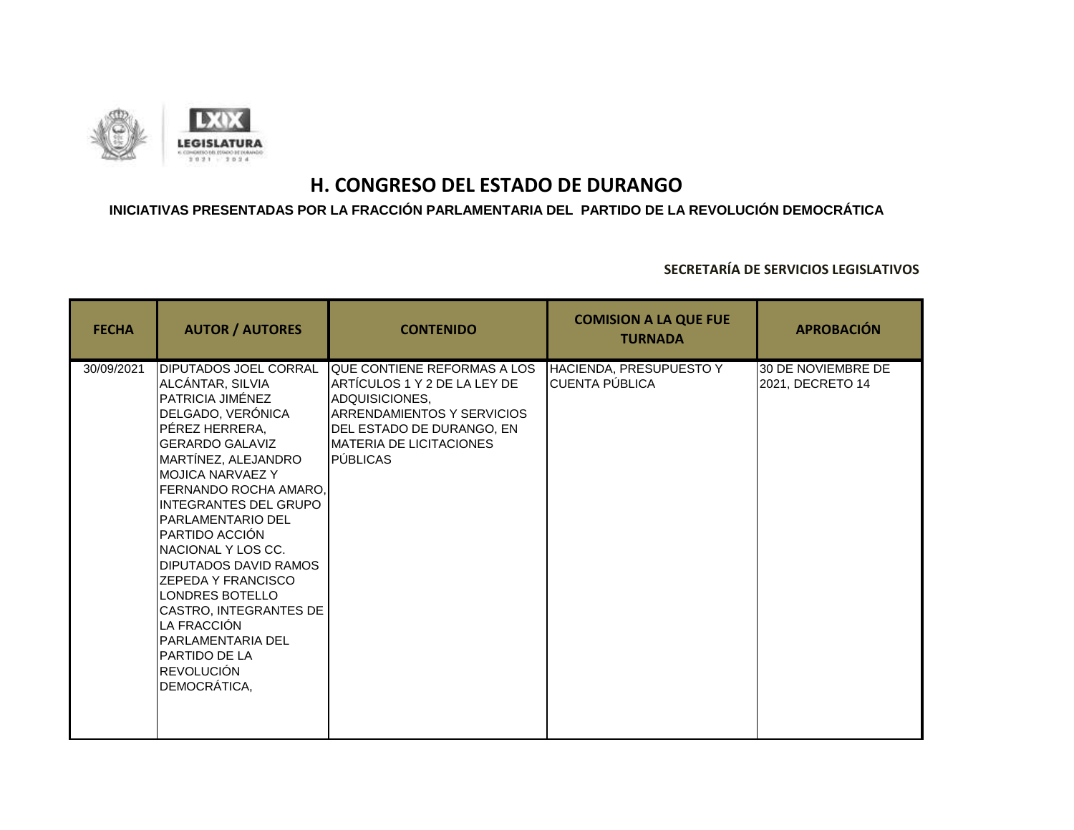

### **INICIATIVAS PRESENTADAS POR LA FRACCIÓN PARLAMENTARIA DEL PARTIDO DE LA REVOLUCIÓN DEMOCRÁTICA**

| <b>FECHA</b> | <b>AUTOR / AUTORES</b>                                                                                                                                                                                                                                                                                                                                                                                                                                                                                                                 | <b>CONTENIDO</b>                                                                                                                                                                                         | <b>COMISION A LA QUE FUE</b><br><b>TURNADA</b>   | <b>APROBACIÓN</b>                      |
|--------------|----------------------------------------------------------------------------------------------------------------------------------------------------------------------------------------------------------------------------------------------------------------------------------------------------------------------------------------------------------------------------------------------------------------------------------------------------------------------------------------------------------------------------------------|----------------------------------------------------------------------------------------------------------------------------------------------------------------------------------------------------------|--------------------------------------------------|----------------------------------------|
| 30/09/2021   | <b>DIPUTADOS JOEL CORRAL</b><br>ALCÁNTAR, SILVIA<br>PATRICIA JIMÉNEZ<br>DELGADO, VERÓNICA<br>PÉREZ HERRERA,<br><b>GERARDO GALAVIZ</b><br>MARTÍNEZ, ALEJANDRO<br><b>MOJICA NARVAEZ Y</b><br>FERNANDO ROCHA AMARO.<br><b>INTEGRANTES DEL GRUPO</b><br><b>PARLAMENTARIO DEL</b><br>PARTIDO ACCIÓN<br>NACIONAL Y LOS CC.<br><b>DIPUTADOS DAVID RAMOS</b><br><b>ZEPEDA Y FRANCISCO</b><br>LONDRES BOTELLO<br>CASTRO, INTEGRANTES DE<br>LA FRACCIÓN<br><b>PARLAMENTARIA DEL</b><br><b>PARTIDO DE LA</b><br><b>REVOLUCIÓN</b><br>DEMOCRÁTICA, | QUE CONTIENE REFORMAS A LOS<br>IARTICULOS 1 Y 2 DE LA LEY DE<br>ADQUISICIONES,<br><b>IARRENDAMIENTOS Y SERVICIOS</b><br>DEL ESTADO DE DURANGO. EN<br><b>MATERIA DE LICITACIONES</b><br><b>I</b> PÚBLICAS | HACIENDA, PRESUPUESTO Y<br><b>CUENTA PÚBLICA</b> | 30 DE NOVIEMBRE DE<br>2021, DECRETO 14 |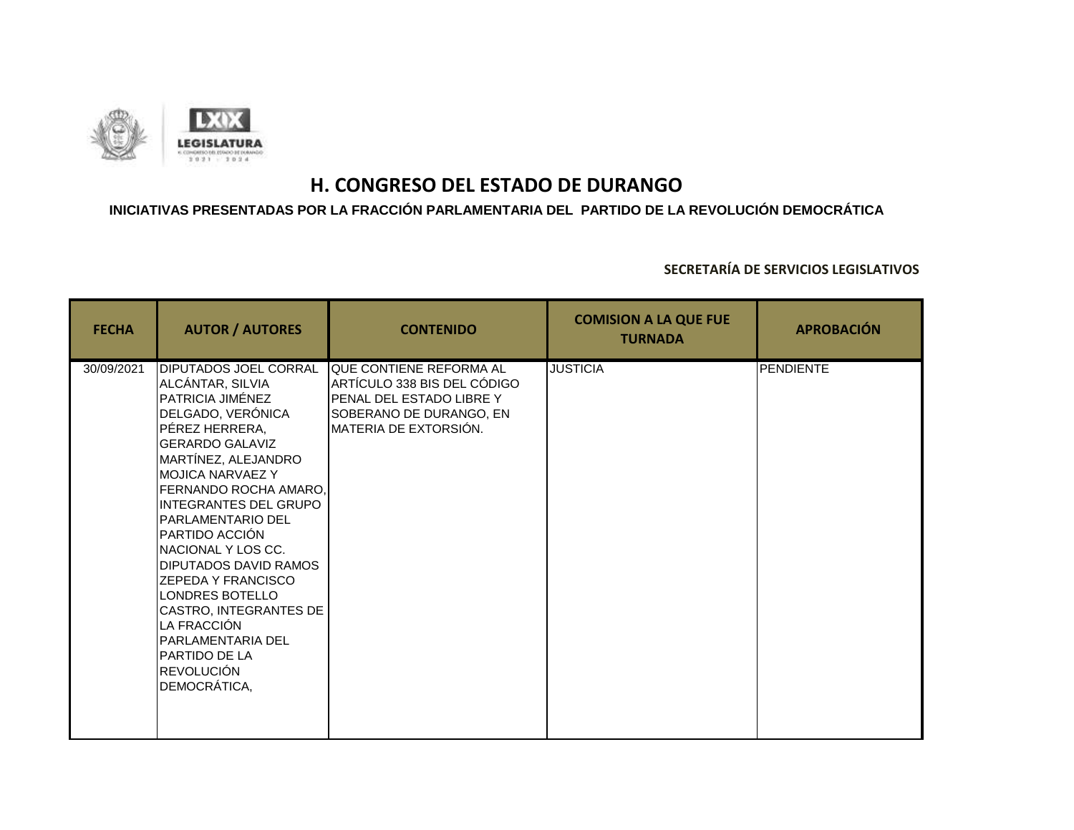

### **INICIATIVAS PRESENTADAS POR LA FRACCIÓN PARLAMENTARIA DEL PARTIDO DE LA REVOLUCIÓN DEMOCRÁTICA**

| <b>FECHA</b> | <b>AUTOR / AUTORES</b>                                                                                                                                                                                                                                                                                                                                                                                                                                                                                                          | <b>CONTENIDO</b>                                                                                                                                     | <b>COMISION A LA QUE FUE</b><br><b>TURNADA</b> | <b>APROBACIÓN</b> |
|--------------|---------------------------------------------------------------------------------------------------------------------------------------------------------------------------------------------------------------------------------------------------------------------------------------------------------------------------------------------------------------------------------------------------------------------------------------------------------------------------------------------------------------------------------|------------------------------------------------------------------------------------------------------------------------------------------------------|------------------------------------------------|-------------------|
| 30/09/2021   | DIPUTADOS JOEL CORRAL<br>ALCÁNTAR, SILVIA<br>PATRICIA JIMÉNEZ<br>DELGADO, VERÓNICA<br>PÉREZ HERRERA,<br><b>GERARDO GALAVIZ</b><br>MARTÍNEZ, ALEJANDRO<br><b>MOJICA NARVAEZ Y</b><br>FERNANDO ROCHA AMARO.<br><b>INTEGRANTES DEL GRUPO</b><br><b>PARLAMENTARIO DEL</b><br>PARTIDO ACCIÓN<br>NACIONAL Y LOS CC.<br><b>DIPUTADOS DAVID RAMOS</b><br><b>ZEPEDA Y FRANCISCO</b><br>LONDRES BOTELLO<br>CASTRO, INTEGRANTES DE<br>LA FRACCIÓN<br><b>PARLAMENTARIA DEL</b><br><b>PARTIDO DE LA</b><br><b>REVOLUCIÓN</b><br>DEMOCRÁTICA, | <b>QUE CONTIENE REFORMA AL</b><br>ARTÍCULO 338 BIS DEL CÓDIGO<br><b>PENAL DEL ESTADO LIBRE Y</b><br>SOBERANO DE DURANGO, EN<br>MATERIA DE EXTORSIÓN. | <b>JUSTICIA</b>                                | <b>PENDIENTE</b>  |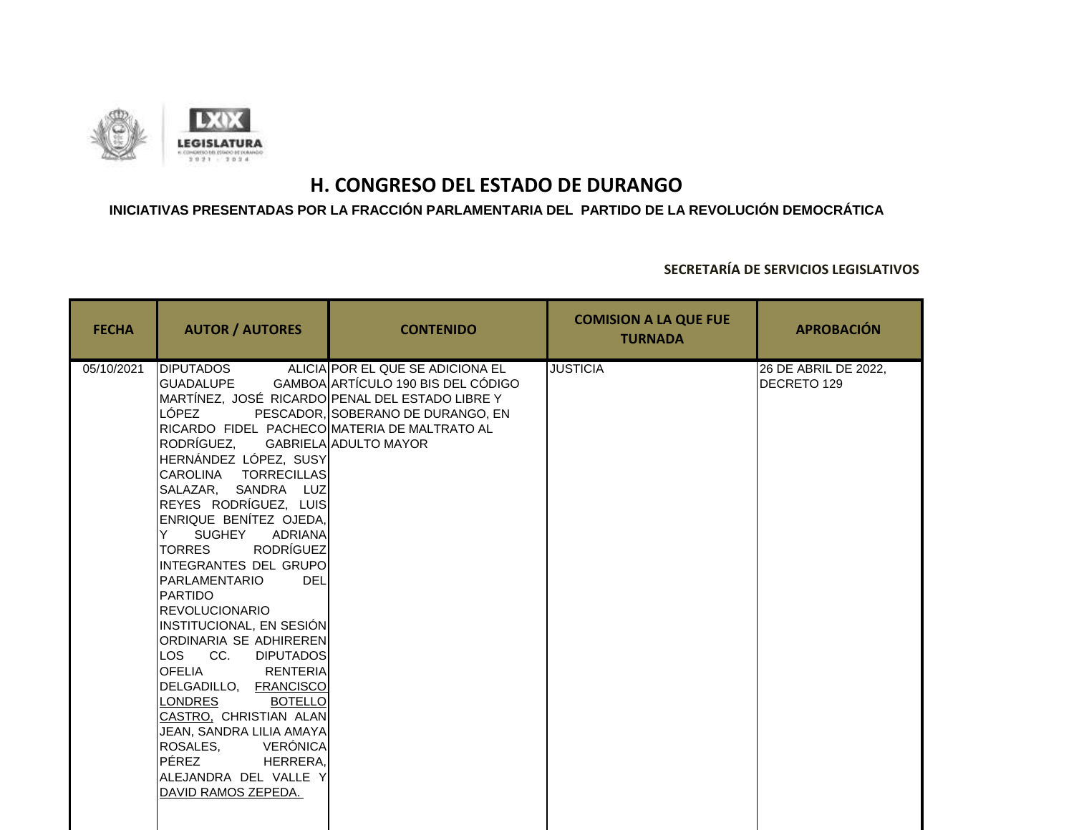

### **INICIATIVAS PRESENTADAS POR LA FRACCIÓN PARLAMENTARIA DEL PARTIDO DE LA REVOLUCIÓN DEMOCRÁTICA**

| <b>FECHA</b> | <b>AUTOR / AUTORES</b>                                                                                                                                                                                                                                                                                                                                                                                                                                                                                                                                                                                                                                                                                                                   | <b>CONTENIDO</b>                                                                                                                                                                        | <b>COMISION A LA QUE FUE</b><br><b>TURNADA</b> | <b>APROBACIÓN</b>                   |
|--------------|------------------------------------------------------------------------------------------------------------------------------------------------------------------------------------------------------------------------------------------------------------------------------------------------------------------------------------------------------------------------------------------------------------------------------------------------------------------------------------------------------------------------------------------------------------------------------------------------------------------------------------------------------------------------------------------------------------------------------------------|-----------------------------------------------------------------------------------------------------------------------------------------------------------------------------------------|------------------------------------------------|-------------------------------------|
| 05/10/2021   | <b>DIPUTADOS</b><br>GUADALUPE<br>LÓPEZ<br>RICARDO FIDEL PACHECO MATERIA DE MALTRATO AL<br>RODRÍGUEZ,<br>HERNÁNDEZ LÓPEZ, SUSY<br>CAROLINA TORRECILLAS<br>SALAZAR, SANDRA LUZ<br>REYES RODRÍGUEZ, LUIS<br>ENRIQUE BENÍTEZ OJEDA,<br>SUGHEY ADRIANA<br>Y.<br><b>RODRÍGUEZ</b><br><b>TORRES</b><br>INTEGRANTES DEL GRUPO<br>PARLAMENTARIO<br><b>DEL</b><br><b>PARTIDO</b><br><b>REVOLUCIONARIO</b><br><b>INSTITUCIONAL, EN SESIÓN</b><br>ORDINARIA SE ADHIREREN<br>LOS CC.<br><b>DIPUTADOS</b><br><b>RENTERIA</b><br><b>OFELIA</b><br>DELGADILLO, FRANCISCO<br>LONDRES<br><b>BOTELLO</b><br>CASTRO, CHRISTIAN ALAN<br>JEAN, SANDRA LILIA AMAYA<br>VERÓNICA<br>ROSALES.<br>PÉREZ<br>HERRERA,<br>ALEJANDRA DEL VALLE Y<br>DAVID RAMOS ZEPEDA. | ALICIA POR EL QUE SE ADICIONA EL<br>GAMBOA ARTÍCULO 190 BIS DEL CÓDIGO<br>MARTÍNEZ, JOSÉ RICARDO PENAL DEL ESTADO LIBRE Y<br>PESCADOR, SOBERANO DE DURANGO, EN<br>GABRIELA ADULTO MAYOR | <b>JUSTICIA</b>                                | 26 DE ABRIL DE 2022,<br>DECRETO 129 |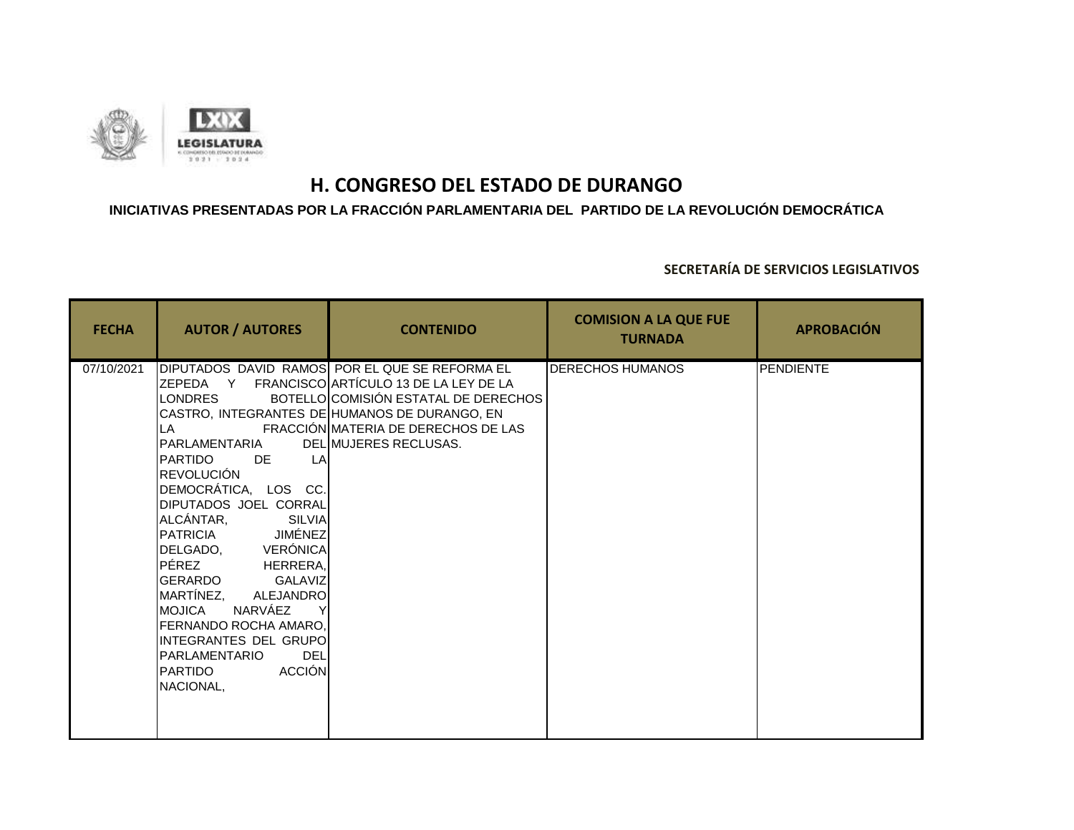

### **INICIATIVAS PRESENTADAS POR LA FRACCIÓN PARLAMENTARIA DEL PARTIDO DE LA REVOLUCIÓN DEMOCRÁTICA**

| <b>FECHA</b> | <b>AUTOR / AUTORES</b>                                                                                                                                                                                                                                                                                                                                                                                                                    | <b>CONTENIDO</b>                                                                                                                                                                                                                                          | <b>COMISION A LA QUE FUE</b><br><b>TURNADA</b> | <b>APROBACIÓN</b> |
|--------------|-------------------------------------------------------------------------------------------------------------------------------------------------------------------------------------------------------------------------------------------------------------------------------------------------------------------------------------------------------------------------------------------------------------------------------------------|-----------------------------------------------------------------------------------------------------------------------------------------------------------------------------------------------------------------------------------------------------------|------------------------------------------------|-------------------|
| 07/10/2021   | LONDRES<br>LA<br>PARLAMENTARIA<br>IPARTIDO<br>DE<br><b>LA</b><br>REVOLUCIÓN<br>DEMOCRÁTICA, LOS CC.<br><b>DIPUTADOS JOEL CORRAL</b><br>ALCÁNTAR,<br>SILVIA<br>PATRICIA JIMÉNEZ<br>DELGADO, VERÓNICA<br>PÉREZ<br>HERRERA,<br>GERARDO<br>GALAVIZ<br>MARTÍNEZ,<br>ALEJANDRO<br>NARVÁEZ<br>IMOJICA<br><b>FERNANDO ROCHA AMARO,</b><br>INTEGRANTES DEL GRUPO<br><b>DEL</b><br><b>I</b> PARLAMENTARIO<br><b>ACCIÓN</b><br>IPARTIDO<br>NACIONAL, | DIPUTADOS DAVID RAMOS POR EL QUE SE REFORMA EL<br>ZEPEDA Y FRANCISCO ARTÍCULO 13 DE LA LEY DE LA<br>BOTELLOICOMISIÓN ESTATAL DE DERECHOS<br>CASTRO, INTEGRANTES DE HUMANOS DE DURANGO, EN<br>FRACCIÓN MATERIA DE DERECHOS DE LAS<br>DELIMUJERES RECLUSAS. | <b>DERECHOS HUMANOS</b>                        | <b>PENDIENTE</b>  |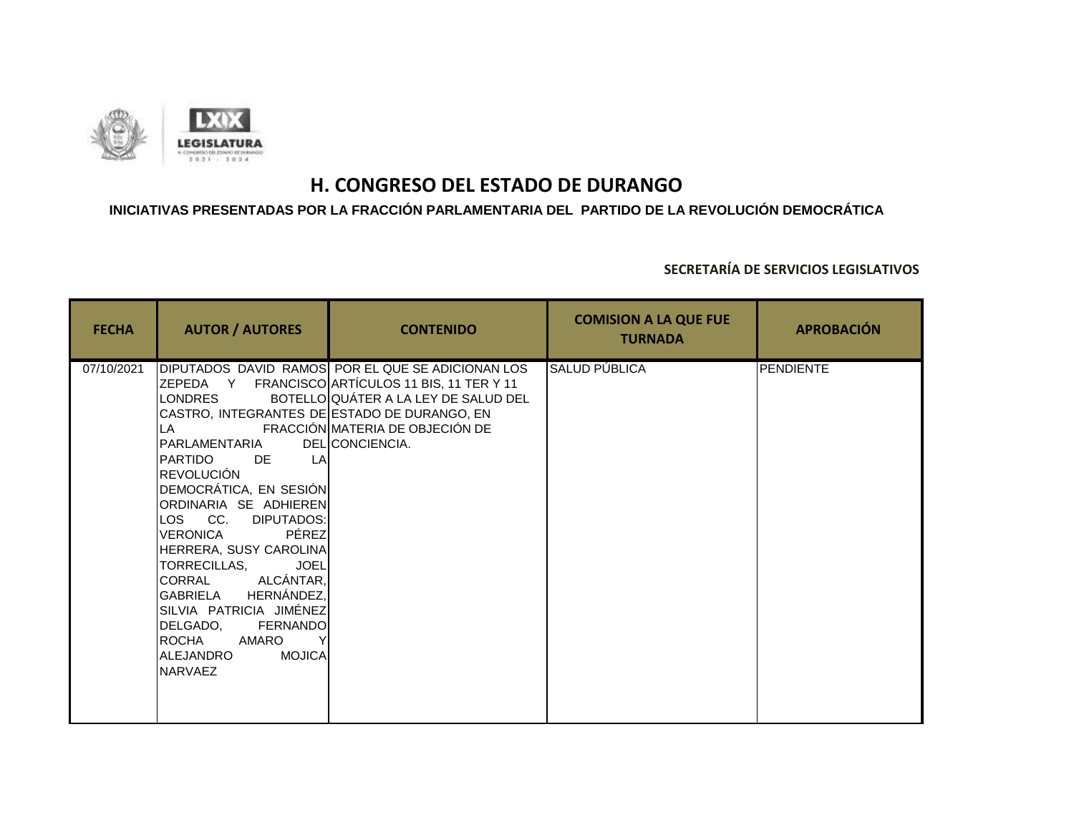

### **INICIATIVAS PRESENTADAS POR LA FRACCIÓN PARLAMENTARIA DEL PARTIDO DE LA REVOLUCIÓN DEMOCRÁTICA**

| <b>FECHA</b> | <b>AUTOR / AUTORES</b>                                                                                                                                                                                                                                                                                                                                                                                                                              | <b>CONTENIDO</b>                                                                                                                                                                                    | <b>COMISION A LA QUE FUE</b><br><b>TURNADA</b> | <b>APROBACIÓN</b> |
|--------------|-----------------------------------------------------------------------------------------------------------------------------------------------------------------------------------------------------------------------------------------------------------------------------------------------------------------------------------------------------------------------------------------------------------------------------------------------------|-----------------------------------------------------------------------------------------------------------------------------------------------------------------------------------------------------|------------------------------------------------|-------------------|
| 07/10/2021   | LONDRES<br>CASTRO, INTEGRANTES DE ESTADO DE DURANGO, EN<br>LA<br>PARLAMENTARIA<br>PARTIDO<br>DE.<br>LA<br><b>REVOLUCIÓN</b><br>DEMOCRÁTICA, EN SESIÓN<br>ORDINARIA SE ADHIEREN<br>LOS CC. DIPUTADOS:<br>PÉREZ<br>VERONICA<br>HERRERA, SUSY CAROLINA<br><b>JOEL</b><br>TORRECILLAS,<br>CORRAL ALCÁNTAR,<br>GABRIELA HERNÁNDEZ,<br>SILVIA PATRICIA JIMÉNEZ<br>DELGADO,<br>FERNANDO<br>ROCHA<br>AMARO<br><b>MOJICA</b><br>ALEJANDRO<br><b>INARVAEZ</b> | DIPUTADOS DAVID RAMOS POR EL QUE SE ADICIONAN LOS<br>ZEPEDA Y FRANCISCO ARTÍCULOS 11 BIS, 11 TER Y 11<br>BOTELLO QUÁTER A LA LEY DE SALUD DEL<br>FRACCIÓN MATERIA DE OBJECIÓN DE<br>DEL CONCIENCIA. | SALUD PÚBLICA                                  | <b>PENDIENTE</b>  |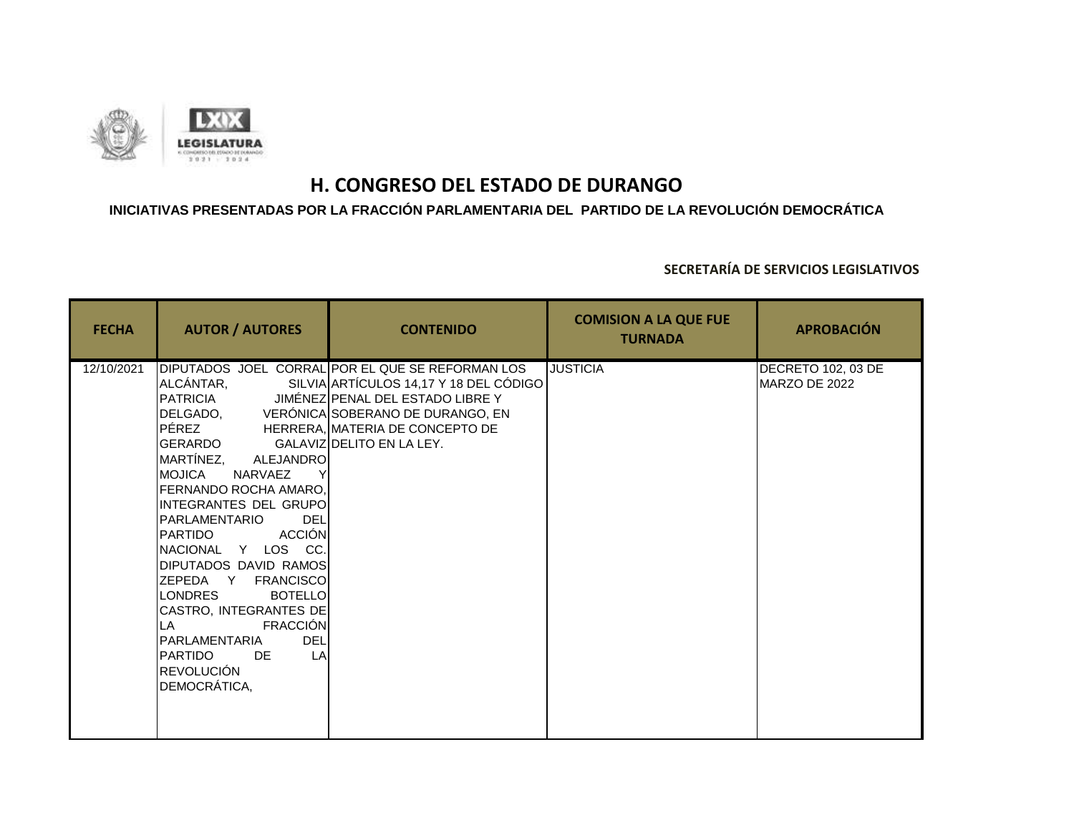

### **INICIATIVAS PRESENTADAS POR LA FRACCIÓN PARLAMENTARIA DEL PARTIDO DE LA REVOLUCIÓN DEMOCRÁTICA**

| <b>FECHA</b> | <b>AUTOR / AUTORES</b>                                                                                                                                                                                                                                                                                                                                                                                                                                                                           | <b>CONTENIDO</b>                                                                                                                                                                                                  | <b>COMISION A LA QUE FUE</b><br><b>TURNADA</b> | <b>APROBACIÓN</b>                   |
|--------------|--------------------------------------------------------------------------------------------------------------------------------------------------------------------------------------------------------------------------------------------------------------------------------------------------------------------------------------------------------------------------------------------------------------------------------------------------------------------------------------------------|-------------------------------------------------------------------------------------------------------------------------------------------------------------------------------------------------------------------|------------------------------------------------|-------------------------------------|
| 12/10/2021   | ALCÁNTAR,<br>PÉREZ HERRERA, MATERIA DE CONCEPTO DE<br>GERARDO<br>MARTÍNEZ, ALEJANDRO<br>IMOJICA<br>NARVAEZ<br><b>I</b> FERNANDO ROCHA AMARO.<br>INTEGRANTES DEL GRUPO<br>PARLAMENTARIO<br><b>DEL</b><br>ACCIÓN<br><b>PARTIDO</b><br>NACIONAL Y LOS CC.<br>DIPUTADOS DAVID RAMOS<br>ZEPEDA Y FRANCISCO<br><b>LONDRES</b><br><b>BOTELLO</b><br>CASTRO, INTEGRANTES DE<br><b>FRACCIÓN</b><br>LA I<br><b>DEL</b><br>PARLAMENTARIA<br>LA<br><b>PARTIDO</b><br>DE<br><b>REVOLUCIÓN</b><br>DEMOCRÁTICA, | DIPUTADOS JOEL CORRAL POR EL QUE SE REFORMAN LOS<br>SILVIA ARTÍCULOS 14,17 Y 18 DEL CÓDIGO<br>PATRICIA JIMÉNEZ PENAL DEL ESTADO LIBRE Y<br>DELGADO, VERÓNICA SOBERANO DE DURANGO, EN<br>GALAVIZ DELITO EN LA LEY. | <b>JUSTICIA</b>                                | DECRETO 102, 03 DE<br>MARZO DE 2022 |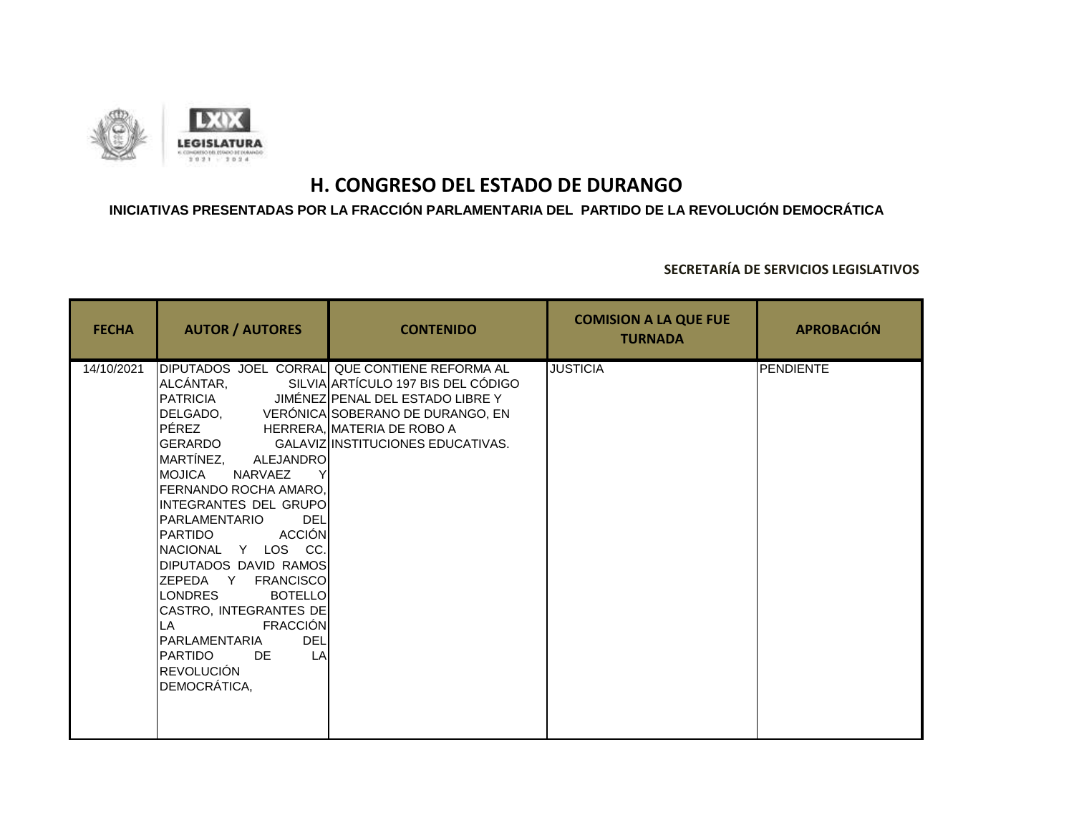

### **INICIATIVAS PRESENTADAS POR LA FRACCIÓN PARLAMENTARIA DEL PARTIDO DE LA REVOLUCIÓN DEMOCRÁTICA**

| <b>FECHA</b> | <b>AUTOR / AUTORES</b>                                                                                                                                                                                                                                                                                                                                                                                                                                                                             | <b>CONTENIDO</b>                                                                                                                                                                                                   | <b>COMISION A LA QUE FUE</b><br><b>TURNADA</b> | <b>APROBACIÓN</b> |
|--------------|----------------------------------------------------------------------------------------------------------------------------------------------------------------------------------------------------------------------------------------------------------------------------------------------------------------------------------------------------------------------------------------------------------------------------------------------------------------------------------------------------|--------------------------------------------------------------------------------------------------------------------------------------------------------------------------------------------------------------------|------------------------------------------------|-------------------|
| 14/10/2021   | ALCÁNTAR,<br>PÉREZ HERRERA, MATERIA DE ROBO A<br>GERARDO<br>MARTÍNEZ, ALEJANDRO<br><b>IMOJICA</b><br>NARVAEZ<br>FERNANDO ROCHA AMARO,<br>INTEGRANTES DEL GRUPOI<br><b>DEL</b><br>IPARLAMENTARIO<br>ACCIÓN<br><b>PARTIDO</b><br>NACIONAL Y LOS CC.<br><b>DIPUTADOS DAVID RAMOS</b><br>ZEPEDA Y FRANCISCO<br><b>LONDRES</b><br><b>BOTELLO</b><br>CASTRO, INTEGRANTES DE<br><b>FRACCIÓN</b><br>LA.<br><b>DEL</b><br>PARLAMENTARIA<br><b>IPARTIDO</b><br>LA<br>DE<br><b>REVOLUCIÓN</b><br>DEMOCRÁTICA, | DIPUTADOS JOEL CORRAL QUE CONTIENE REFORMA AL<br>SILVIA ARTÍCULO 197 BIS DEL CÓDIGO<br>PATRICIA JIMÉNEZ PENAL DEL ESTADO LIBRE Y<br>DELGADO, VERÓNICA SOBERANO DE DURANGO, EN<br>GALAVIZ INSTITUCIONES EDUCATIVAS. | <b>JUSTICIA</b>                                | <b>PENDIENTE</b>  |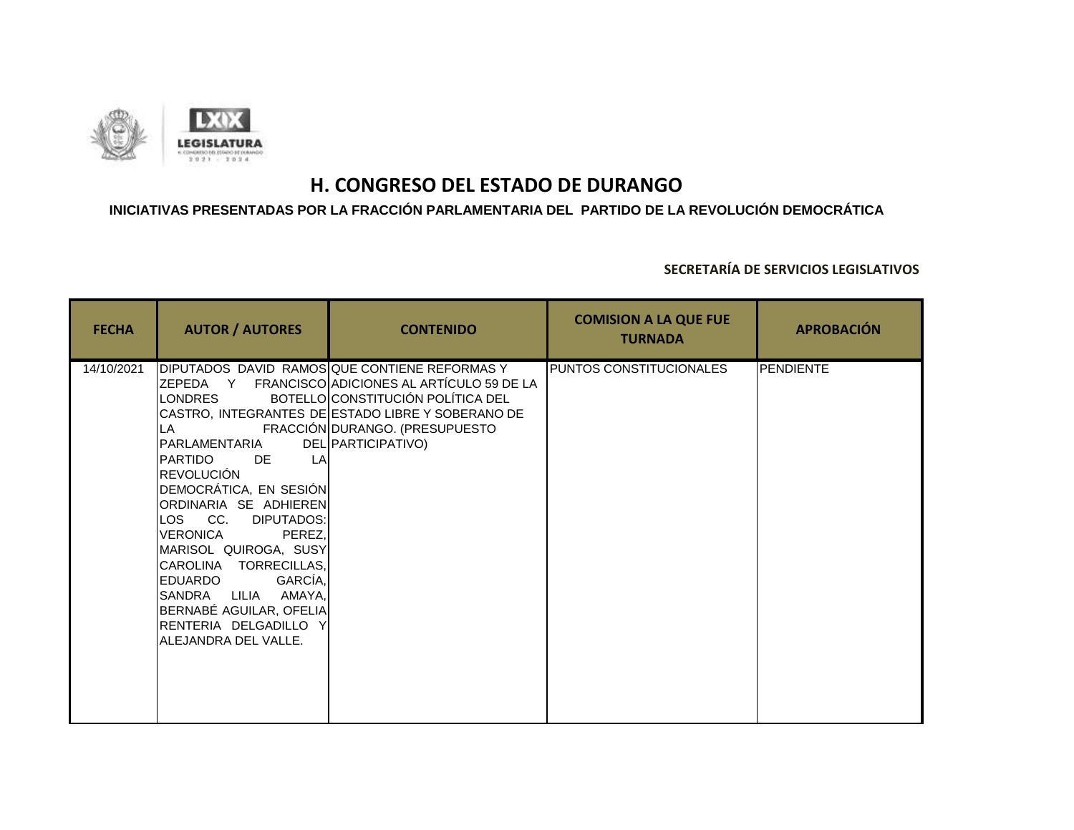

### **INICIATIVAS PRESENTADAS POR LA FRACCIÓN PARLAMENTARIA DEL PARTIDO DE LA REVOLUCIÓN DEMOCRÁTICA**

| <b>FECHA</b> | <b>AUTOR / AUTORES</b>                                                                                                                                                                                                                                                                                                                                                                        | <b>CONTENIDO</b>                                                                                                                                                                                                                                    | <b>COMISION A LA QUE FUE</b><br><b>TURNADA</b> | <b>APROBACIÓN</b> |
|--------------|-----------------------------------------------------------------------------------------------------------------------------------------------------------------------------------------------------------------------------------------------------------------------------------------------------------------------------------------------------------------------------------------------|-----------------------------------------------------------------------------------------------------------------------------------------------------------------------------------------------------------------------------------------------------|------------------------------------------------|-------------------|
| 14/10/2021   | <b>I</b> LONDRES<br><b>I</b> LA<br>IPARLAMENTARIA<br><b>I</b> PARTIDO<br>DE.<br>LA<br><b>REVOLUCIÓN</b><br>DEMOCRÁTICA, EN SESIÓN<br>ORDINARIA SE ADHIEREN<br>LOS CC. DIPUTADOS:<br>VERONICA<br>PEREZ.<br>MARISOL QUIROGA, SUSY<br>CAROLINA TORRECILLAS,<br>GARCÍA,<br><b>I</b> EDUARDO<br>SANDRA LILIA<br>AMAYA,<br>BERNABÉ AGUILAR, OFELIA<br>RENTERIA DELGADILLO Y<br>ALEJANDRA DEL VALLE. | DIPUTADOS DAVID RAMOSQUE CONTIENE REFORMAS Y<br>ZEPEDA Y FRANCISCO ADICIONES AL ARTÍCULO 59 DE LA<br>BOTELLO CONSTITUCIÓN POLÍTICA DEL<br>CASTRO, INTEGRANTES DE ESTADO LIBRE Y SOBERANO DE<br>FRACCIÓN DURANGO. (PRESUPUESTO<br>DEL PARTICIPATIVO) | PUNTOS CONSTITUCIONALES                        | <b>PENDIENTE</b>  |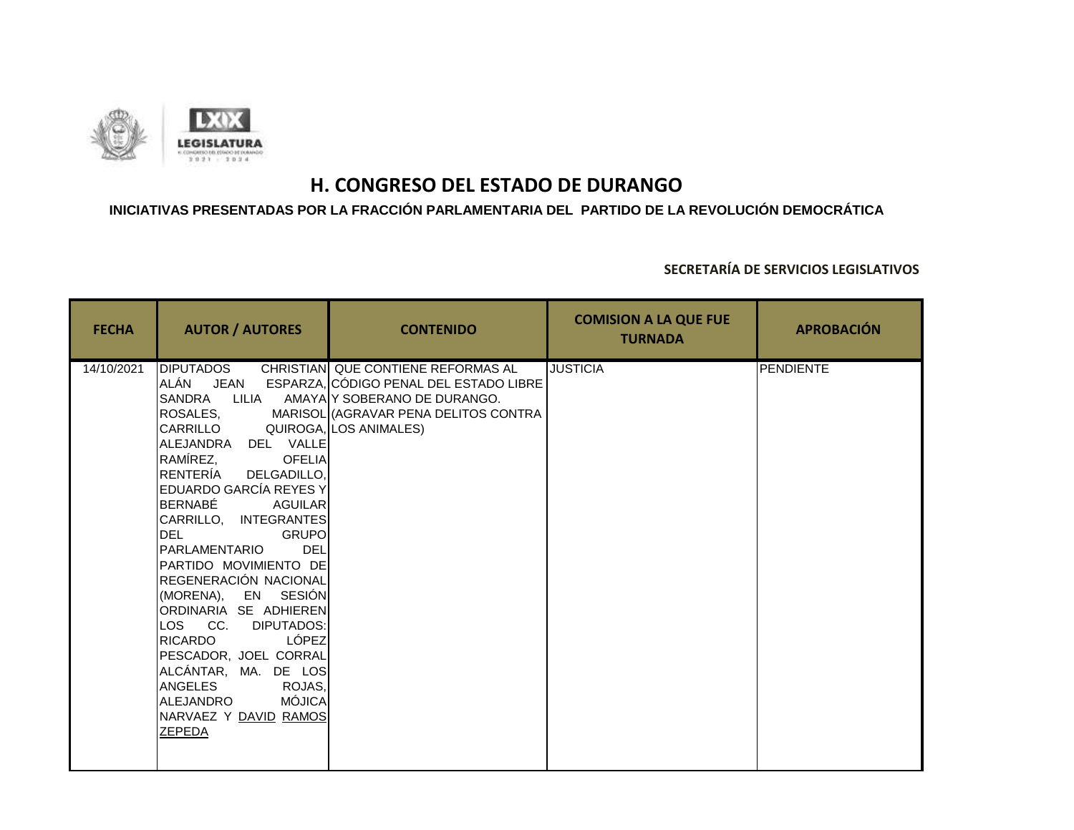

## **INICIATIVAS PRESENTADAS POR LA FRACCIÓN PARLAMENTARIA DEL PARTIDO DE LA REVOLUCIÓN DEMOCRÁTICA**

| <b>FECHA</b> | <b>AUTOR / AUTORES</b>                                                                                                                                                                                                                                                                                                                                                                                                                                                                                                                   | <b>CONTENIDO</b>                                                                                                                                                                                      | <b>COMISION A LA QUE FUE</b><br><b>TURNADA</b> | <b>APROBACIÓN</b> |
|--------------|------------------------------------------------------------------------------------------------------------------------------------------------------------------------------------------------------------------------------------------------------------------------------------------------------------------------------------------------------------------------------------------------------------------------------------------------------------------------------------------------------------------------------------------|-------------------------------------------------------------------------------------------------------------------------------------------------------------------------------------------------------|------------------------------------------------|-------------------|
| 14/10/2021   | <b>DIPUTADOS</b><br>ROSALES.<br>CARRILLO<br>ALEJANDRA DEL VALLE<br>RAMÍREZ, OFELIA<br>RENTERÍA DELGADILLO,<br><b>EDUARDO GARCÍA REYES Y</b><br>BERNABÉ AGUILAR<br>CARRILLO, INTEGRANTES<br><b>Example 19 GRUPO</b><br>DEL<br><b>DEL</b><br>PARLAMENTARIO<br>PARTIDO MOVIMIENTO DE<br>REGENERACIÓN NACIONAL<br>(MORENA), EN SESIÓN<br>ORDINARIA SE ADHIEREN<br>LOS CC. DIPUTADOS:<br>LÓPEZ<br><b>RICARDO</b><br>PESCADOR, JOEL CORRAL<br>ALCÁNTAR, MA. DE LOS<br>ANGELES ROJAS,<br>MÓJICA<br>ALEJANDRO<br>NARVAEZ Y DAVID RAMOS<br>ZEPEDA | CHRISTIAN QUE CONTIENE REFORMAS AL<br>ALÁN JEAN ESPARZA, CÓDIGO PENAL DEL ESTADO LIBRE<br>SANDRA LILIA AMAYA Y SOBERANO DE DURANGO.<br>MARISOL (AGRAVAR PENA DELITOS CONTRA<br>QUIROGA, LOS ANIMALES) | <b>JUSTICIA</b>                                | PENDIENTE         |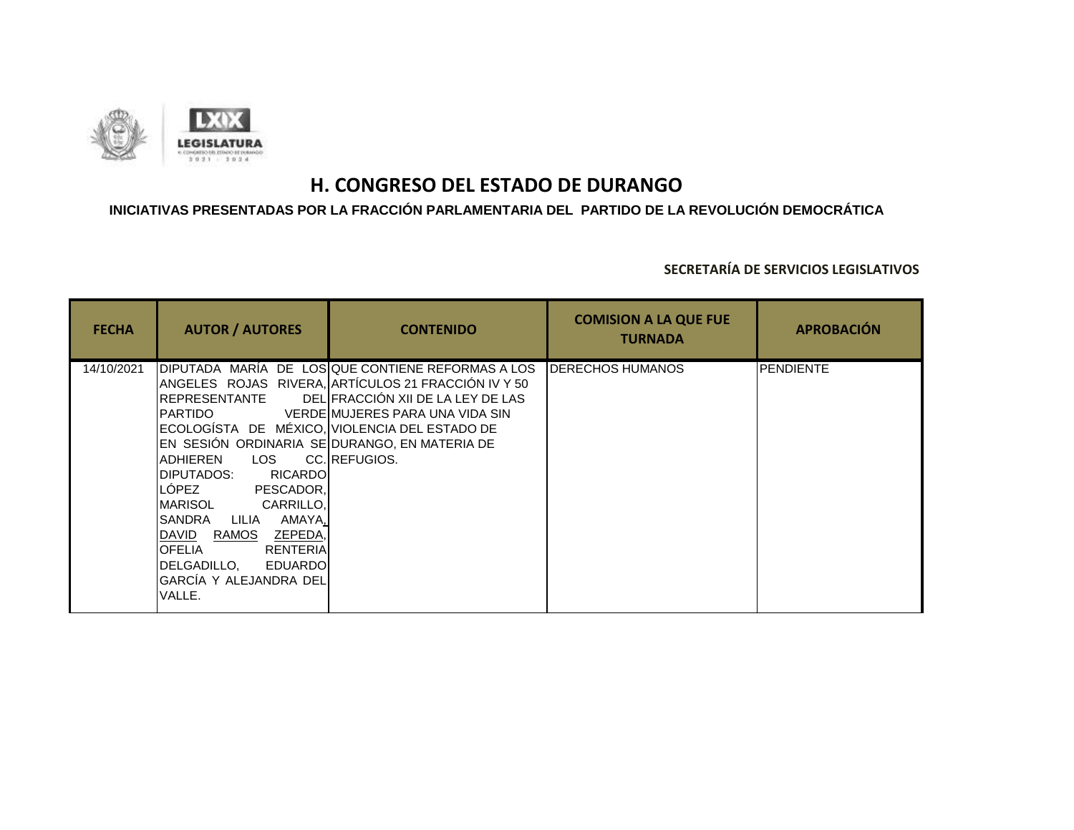

## **INICIATIVAS PRESENTADAS POR LA FRACCIÓN PARLAMENTARIA DEL PARTIDO DE LA REVOLUCIÓN DEMOCRÁTICA**

| <b>FECHA</b> | <b>AUTOR / AUTORES</b>                                                                                                                                                                                                                                                                                                                                                                     | <b>CONTENIDO</b>                                                                                                                                                                                  | <b>COMISION A LA QUE FUE</b><br><b>TURNADA</b> | <b>APROBACIÓN</b> |
|--------------|--------------------------------------------------------------------------------------------------------------------------------------------------------------------------------------------------------------------------------------------------------------------------------------------------------------------------------------------------------------------------------------------|---------------------------------------------------------------------------------------------------------------------------------------------------------------------------------------------------|------------------------------------------------|-------------------|
| 14/10/2021   | <b>REPRESENTANTE</b><br>IPARTIDO<br>ECOLOGÍSTA DE MÉXICO, VIOLENCIA DEL ESTADO DE<br>EN SESIÓN ORDINARIA SE DURANGO, EN MATERIA DE<br><b>LOS</b><br>ADHIEREN<br>DIPUTADOS:<br><b>RICARDOI</b><br>LÓPEZ<br>PESCADOR.<br>CARRILLO.<br>MARISOL<br>AMAYA.<br>SANDRA<br>LILIA<br>DAVID RAMOS<br>ZEPEDA<br><b>OFELIA</b><br>RENTERIA<br>DELGADILLO. EDUARDOI<br>GARCÍA Y ALEJANDRA DEL<br>VALLE. | DIPUTADA MARÍA DE LOSIQUE CONTIENE REFORMAS A LOS<br>ANGELES ROJAS RIVERA, ARTÍCULOS 21 FRACCIÓN IV Y 50<br>DELIFRACCIÓN XII DE LA LEY DE LAS<br>VERDEIMUJERES PARA UNA VIDA SIN<br>CC.IREFUGIOS. | <b>I</b> DERECHOS HUMANOS                      | <b>PENDIENTE</b>  |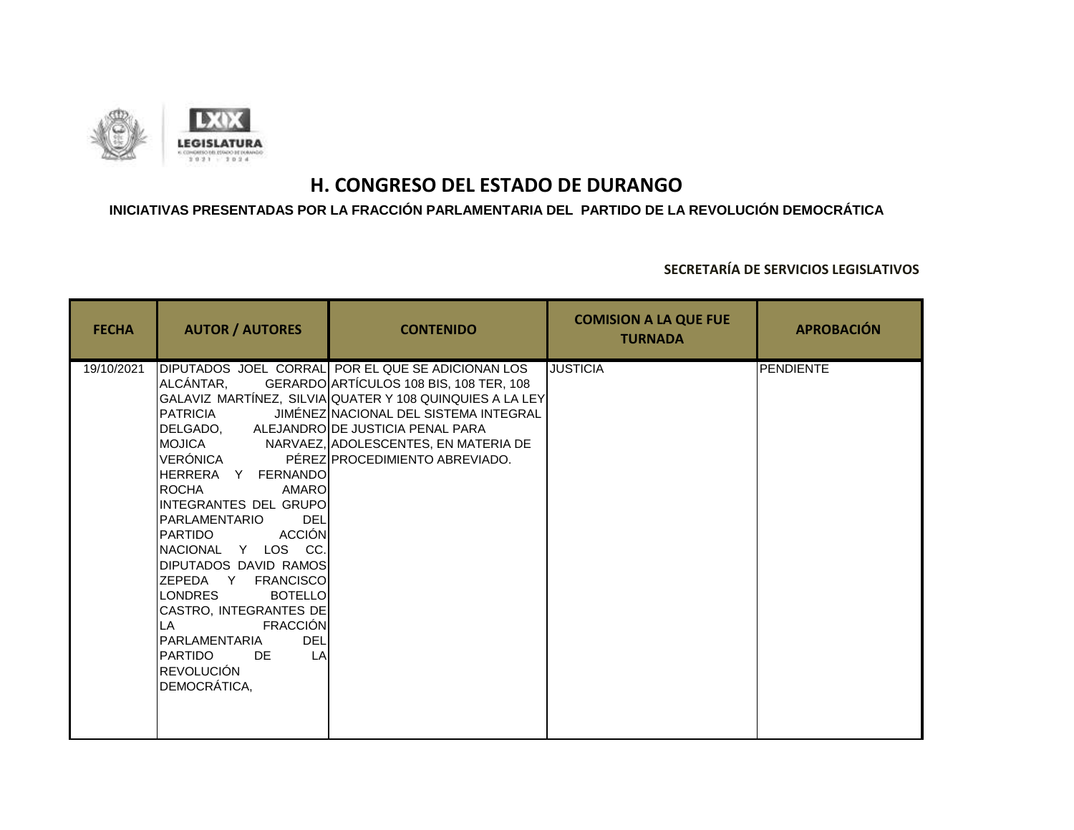

### **INICIATIVAS PRESENTADAS POR LA FRACCIÓN PARLAMENTARIA DEL PARTIDO DE LA REVOLUCIÓN DEMOCRÁTICA**

| <b>FECHA</b> | <b>AUTOR / AUTORES</b>                                                                                                                                                                                                                                                                                                                                                                                                                                                          | <b>CONTENIDO</b>                                                                                                                                                                                                                                                                   | <b>COMISION A LA QUE FUE</b><br><b>TURNADA</b> | <b>APROBACIÓN</b> |
|--------------|---------------------------------------------------------------------------------------------------------------------------------------------------------------------------------------------------------------------------------------------------------------------------------------------------------------------------------------------------------------------------------------------------------------------------------------------------------------------------------|------------------------------------------------------------------------------------------------------------------------------------------------------------------------------------------------------------------------------------------------------------------------------------|------------------------------------------------|-------------------|
| 19/10/2021   | ALCÁNTAR,<br>PATRICIA<br>DELGADO, ALEJANDRODE JUSTICIA PENAL PARA<br>VERÓNICA<br>HERRERA Y FERNANDO<br>ROCHA<br><b>AMARO</b><br>INTEGRANTES DEL GRUPO<br>PARLAMENTARIO<br><b>DEL</b><br><b>ACCIÓN</b><br>PARTIDO<br>NACIONAL Y LOS CC.<br>DIPUTADOS DAVID RAMOS<br>ZEPEDA Y FRANCISCO<br><b>LONDRES</b><br><b>BOTELLO</b><br>CASTRO, INTEGRANTES DE<br><b>FRACCIÓN</b><br>LA.<br><b>DEL</b><br>PARLAMENTARIA<br>LA<br><b>PARTIDO</b><br>DE<br><b>REVOLUCIÓN</b><br>DEMOCRÁTICA, | DIPUTADOS JOEL CORRAL POR EL QUE SE ADICIONAN LOS<br>GERARDO ARTÍCULOS 108 BIS, 108 TER, 108<br>GALAVIZ MARTÍNEZ, SILVIA QUATER Y 108 QUINQUIES A LA LEY<br>JIMÉNEZ NACIONAL DEL SISTEMA INTEGRAL<br>MOJICA NARVAEZ, ADOLESCENTES, EN MATERIA DE<br>PÉREZ PROCEDIMIENTO ABREVIADO. | <b>JUSTICIA</b>                                | <b>PENDIENTE</b>  |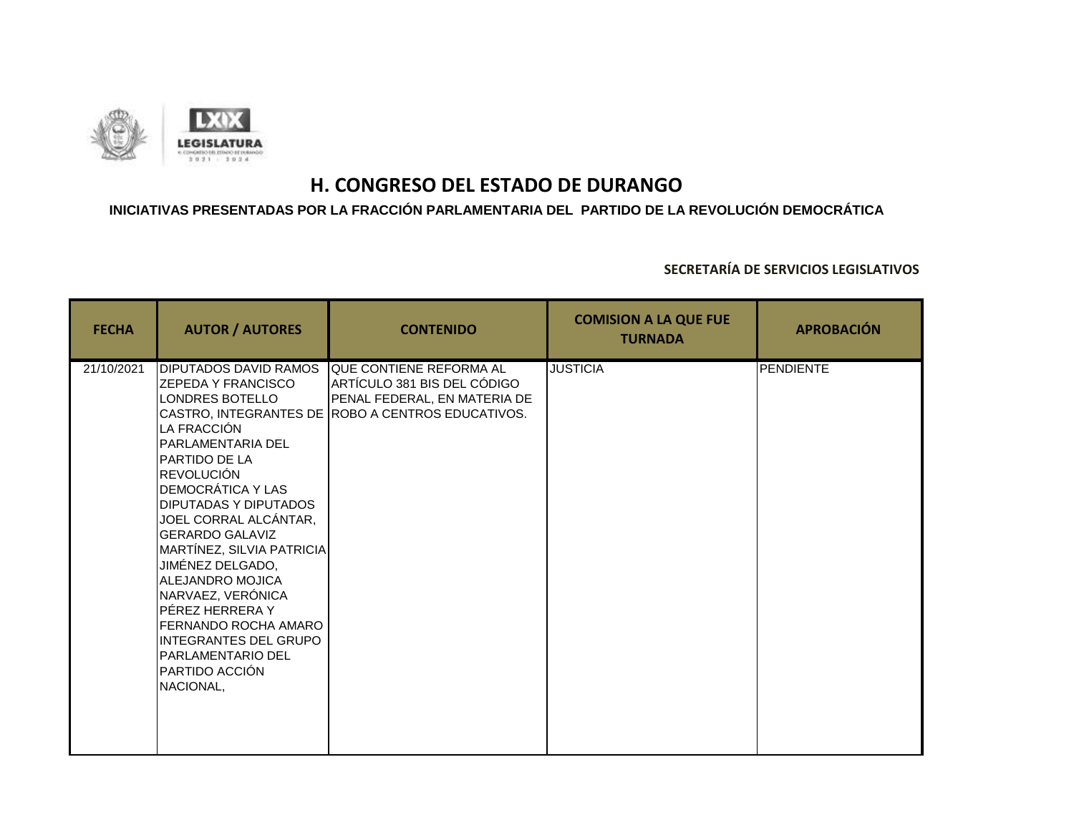

### **INICIATIVAS PRESENTADAS POR LA FRACCIÓN PARLAMENTARIA DEL PARTIDO DE LA REVOLUCIÓN DEMOCRÁTICA**

| <b>FECHA</b> | <b>AUTOR / AUTORES</b>                                                                                                                                                                                                                                                                                                                                                                                                                                                                                              | <b>CONTENIDO</b>                                                                                                                            | <b>COMISION A LA QUE FUE</b><br><b>TURNADA</b> | <b>APROBACIÓN</b> |
|--------------|---------------------------------------------------------------------------------------------------------------------------------------------------------------------------------------------------------------------------------------------------------------------------------------------------------------------------------------------------------------------------------------------------------------------------------------------------------------------------------------------------------------------|---------------------------------------------------------------------------------------------------------------------------------------------|------------------------------------------------|-------------------|
| 21/10/2021   | <b>DIPUTADOS DAVID RAMOS</b><br><b>ZEPEDA Y FRANCISCO</b><br>LONDRES BOTELLO<br>LA FRACCIÓN<br><b>PARLAMENTARIA DEL</b><br><b>PARTIDO DE LA</b><br><b>REVOLUCIÓN</b><br><b>DEMOCRÁTICA Y LAS</b><br><b>DIPUTADAS Y DIPUTADOS</b><br>JOEL CORRAL ALCÁNTAR,<br><b>GERARDO GALAVIZ</b><br>MARTÍNEZ, SILVIA PATRICIA<br>JIMÉNEZ DELGADO,<br>ALEJANDRO MOJICA<br>NARVAEZ, VERÓNICA<br>PÉREZ HERRERA Y<br>FERNANDO ROCHA AMARO<br><b>INTEGRANTES DEL GRUPO</b><br><b>PARLAMENTARIO DEL</b><br>PARTIDO ACCIÓN<br>NACIONAL, | QUE CONTIENE REFORMA AL<br>ARTÍCULO 381 BIS DEL CÓDIGO<br>PENAL FEDERAL, EN MATERIA DE<br>CASTRO, INTEGRANTES DE ROBO A CENTROS EDUCATIVOS. | <b>JUSTICIA</b>                                | PENDIENTE         |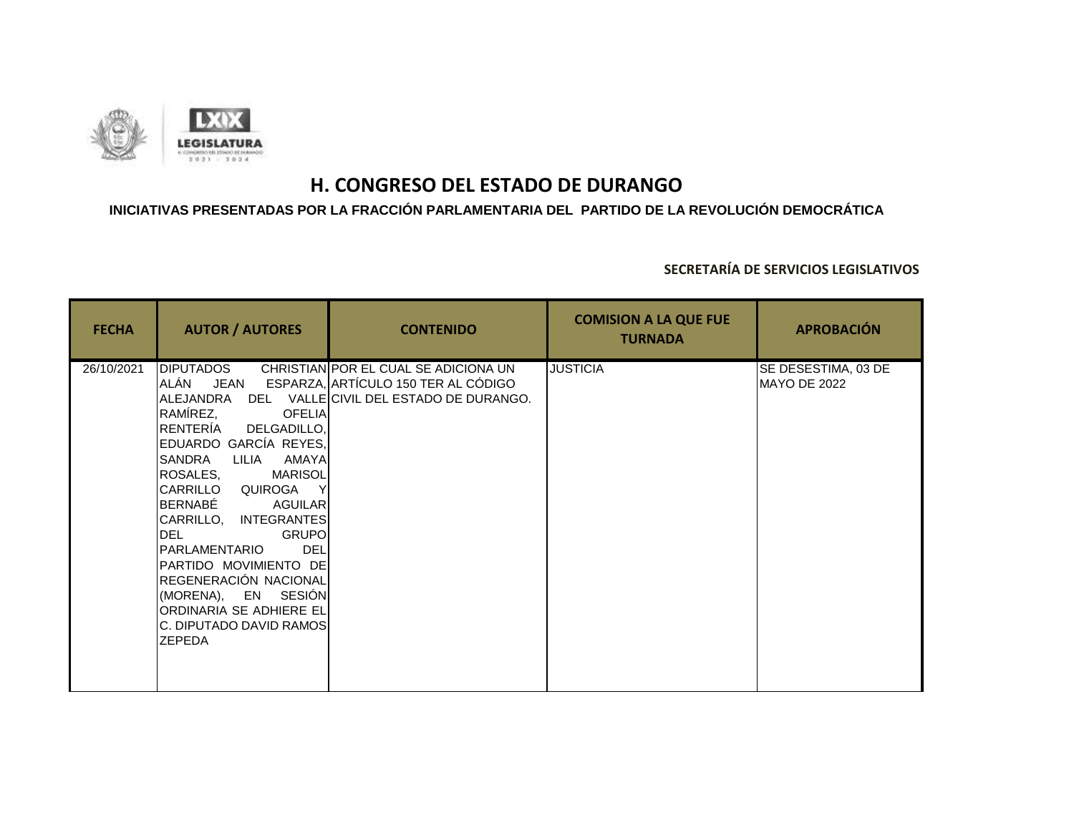

## **INICIATIVAS PRESENTADAS POR LA FRACCIÓN PARLAMENTARIA DEL PARTIDO DE LA REVOLUCIÓN DEMOCRÁTICA**

| <b>FECHA</b> | <b>AUTOR / AUTORES</b>                                                                                                                                                                                                                                                                                                                                                                                                                                      | <b>CONTENIDO</b>                                                                                                                | <b>COMISION A LA QUE FUE</b><br><b>TURNADA</b> | <b>APROBACIÓN</b>                   |
|--------------|-------------------------------------------------------------------------------------------------------------------------------------------------------------------------------------------------------------------------------------------------------------------------------------------------------------------------------------------------------------------------------------------------------------------------------------------------------------|---------------------------------------------------------------------------------------------------------------------------------|------------------------------------------------|-------------------------------------|
| 26/10/2021   | <b>DIPUTADOS</b><br>ALÁN<br>JEAN<br>RAMÍREZ,<br><b>OFELIA</b><br>RENTERÍA<br>DELGADILLO,<br>EDUARDO GARCÍA REYES,<br>SANDRA<br>AMAYA<br>LILIA<br>ROSALES.<br>MARISOL<br>CARRILLO QUIROGA<br>BERNABÉ<br><b>AGUILAR</b><br>CARRILLO, INTEGRANTES<br><b>GRUPO</b><br><b>DEL</b><br><b>DEL</b><br>PARLAMENTARIO<br>PARTIDO MOVIMIENTO DE<br>REGENERACIÓN NACIONAL<br>(MORENA), EN SESIÓN<br>ORDINARIA SE ADHIERE EL<br>C. DIPUTADO DAVID RAMOS<br><b>ZEPEDA</b> | CHRISTIAN POR EL CUAL SE ADICIONA UN<br>ESPARZA, ARTÍCULO 150 TER AL CÓDIGO<br>ALEJANDRA DEL VALLE CIVIL DEL ESTADO DE DURANGO. | <b>JUSTICIA</b>                                | SE DESESTIMA, 03 DE<br>MAYO DE 2022 |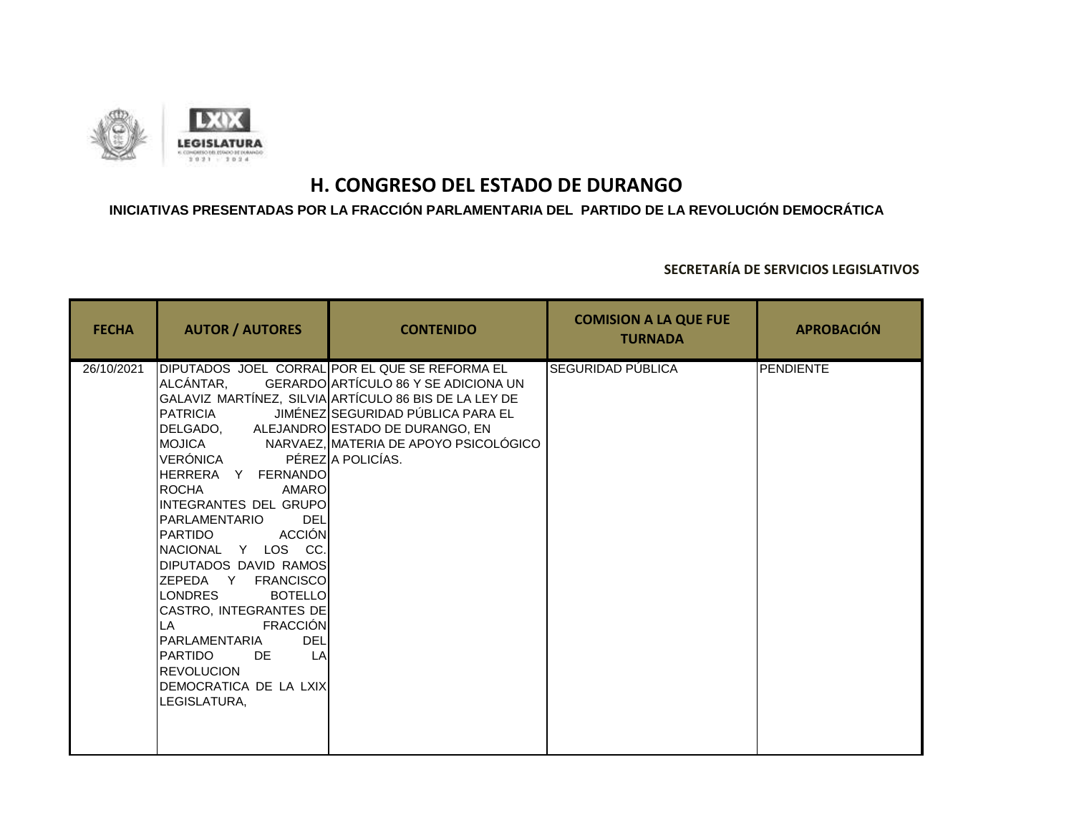

### **INICIATIVAS PRESENTADAS POR LA FRACCIÓN PARLAMENTARIA DEL PARTIDO DE LA REVOLUCIÓN DEMOCRÁTICA**

| <b>FECHA</b> | <b>AUTOR / AUTORES</b>                                                                                                                                                                                                                                                                                                                                                                                                                                                                                       | <b>CONTENIDO</b>                                                                                                                                                                                          | <b>COMISION A LA QUE FUE</b><br><b>TURNADA</b> | <b>APROBACIÓN</b> |
|--------------|--------------------------------------------------------------------------------------------------------------------------------------------------------------------------------------------------------------------------------------------------------------------------------------------------------------------------------------------------------------------------------------------------------------------------------------------------------------------------------------------------------------|-----------------------------------------------------------------------------------------------------------------------------------------------------------------------------------------------------------|------------------------------------------------|-------------------|
| 26/10/2021   | ALCÁNTAR,<br>PATRICIA<br>DELGADO, ALEJANDRO ESTADO DE DURANGO, EN<br>VERÓNICA<br>IHERRERA Y FERNANDOI<br><b>IROCHA</b><br>AMARO<br>INTEGRANTES DEL GRUPO<br><b>DEL</b><br>PARLAMENTARIO<br><b>Example 2</b> ACCIÓN<br>IPARTIDO<br>INACIONAL Y LOS CC.<br>DIPUTADOS DAVID RAMOS<br>ZEPEDA Y FRANCISCO<br><b>LONDRES</b><br><b>BOTELLO</b><br>CASTRO, INTEGRANTES DE<br>FRACCIÓN<br>LA<br>IPARLAMENTARIA<br><b>DEL</b><br>LA<br>IPARTIDO<br>DE<br><b>REVOLUCION</b><br>IDEMOCRATICA DE LA LXIX<br>LEGISLATURA. | DIPUTADOS JOEL CORRAL POR EL QUE SE REFORMA EL<br>GERARDO ARTÍCULO 86 Y SE ADICIONA UN<br>GALAVIZ MARTÍNEZ, SILVIA ARTÍCULO 86 BIS DE LA LEY DE<br>JIMÉNEZ SEGURIDAD PÚBLICA PARA EL<br>PÉREZ A POLICÍAS. | SEGURIDAD PÚBLICA                              | <b>PENDIENTE</b>  |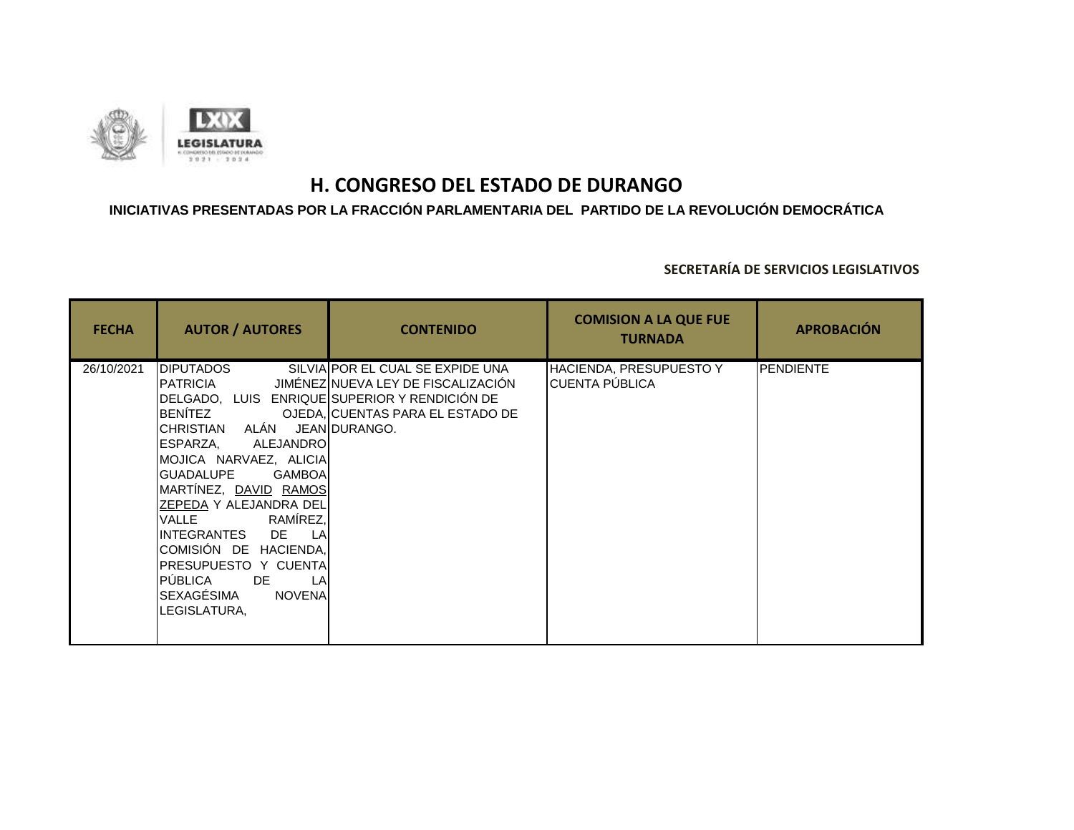

## **INICIATIVAS PRESENTADAS POR LA FRACCIÓN PARLAMENTARIA DEL PARTIDO DE LA REVOLUCIÓN DEMOCRÁTICA**

| <b>FECHA</b> | <b>AUTOR / AUTORES</b>                                                                                                                                                                                                                                                                                                                                            | <b>CONTENIDO</b>                                                                                                                                                    | <b>COMISION A LA QUE FUE</b><br><b>TURNADA</b> | <b>APROBACIÓN</b> |
|--------------|-------------------------------------------------------------------------------------------------------------------------------------------------------------------------------------------------------------------------------------------------------------------------------------------------------------------------------------------------------------------|---------------------------------------------------------------------------------------------------------------------------------------------------------------------|------------------------------------------------|-------------------|
| 26/10/2021   | <b>DIPUTADOS</b><br>PATRICIA<br>CHRISTIAN ALÁN JEANDURANGO.<br>ALEJANDRO<br>ESPARZA,<br>MOJICA NARVAEZ, ALICIA<br>GUADALUPE<br><b>GAMBOA</b><br>MARTÍNEZ, <u>DAVID</u> RAMOS<br>ZEPEDA Y ALEJANDRA DEL<br>VALLE RAMÍREZ,<br>INTEGRANTES DE LA<br>COMISIÓN DE HACIENDA,<br>PRESUPUESTO Y CUENTA<br>PUBLICA DE<br>LA<br>SEXAGÉSIMA<br><b>NOVENA</b><br>LEGISLATURA, | SILVIAIPOR EL CUAL SE EXPIDE UNA<br>JIMÉNEZINUEVA LEY DE FISCALIZACIÓN<br>DELGADO, LUIS ENRIQUE SUPERIOR Y RENDICIÓN DE<br>BENÍTEZ OJEDA, CUENTAS PARA EL ESTADO DE | HACIENDA, PRESUPUESTO Y<br>CUENTA PÚBLICA      | <b>PENDIENTE</b>  |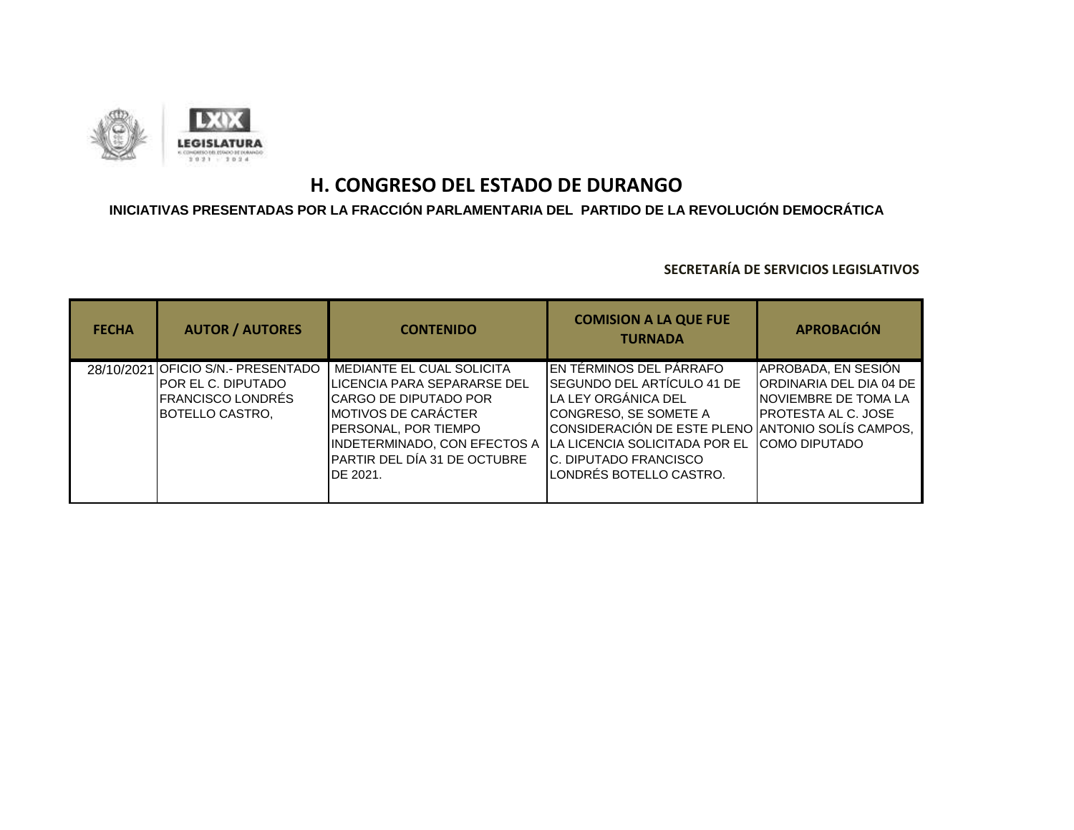

### **INICIATIVAS PRESENTADAS POR LA FRACCIÓN PARLAMENTARIA DEL PARTIDO DE LA REVOLUCIÓN DEMOCRÁTICA**

| <b>FECHA</b> | <b>AUTOR / AUTORES</b>                                                                                            | <b>CONTENIDO</b>                                                                                                                                                                                                                     | <b>COMISION A LA QUE FUE</b><br><b>TURNADA</b>                                                                                                                                                                                                                  | <b>APROBACIÓN</b>                                                                                                               |
|--------------|-------------------------------------------------------------------------------------------------------------------|--------------------------------------------------------------------------------------------------------------------------------------------------------------------------------------------------------------------------------------|-----------------------------------------------------------------------------------------------------------------------------------------------------------------------------------------------------------------------------------------------------------------|---------------------------------------------------------------------------------------------------------------------------------|
|              | 28/10/2021 OFICIO S/N.- PRESENTADO<br>IPOR EL C. DIPUTADO<br><b>I</b> FRANCISCO LONDRÉS<br><b>BOTELLO CASTRO.</b> | MEDIANTE EL CUAL SOLICITA<br><b>ILICENCIA PARA SEPARARSE DEL</b><br>ICARGO DE DIPUTADO POR<br><b>IMOTIVOS DE CARÁCTER</b><br>PERSONAL, POR TIEMPO<br><b>INDETERMINADO, CON EFECTOS A</b><br>PARTIR DEL DÍA 31 DE OCTUBRE<br>DE 2021. | EN TÉRMINOS DEL PÁRRAFO<br><b>SEGUNDO DEL ARTÍCULO 41 DE</b><br>LA LEY ORGÁNICA DEL<br>CONGRESO, SE SOMETE A<br>CONSIDERACIÓN DE ESTE PLENO ANTONIO SOLÍS CAMPOS,<br><b>ILA LICENCIA SOLICITADA POR EL</b><br>IC. DIPUTADO FRANCISCO<br>LONDRÉS BOTELLO CASTRO. | APROBADA, EN SESIÓN<br>ORDINARIA DEL DIA 04 DE<br><b>INOVIEMBRE DE TOMA LA</b><br>IPROTESTA AL C. JOSE<br><b>ICOMO DIPUTADO</b> |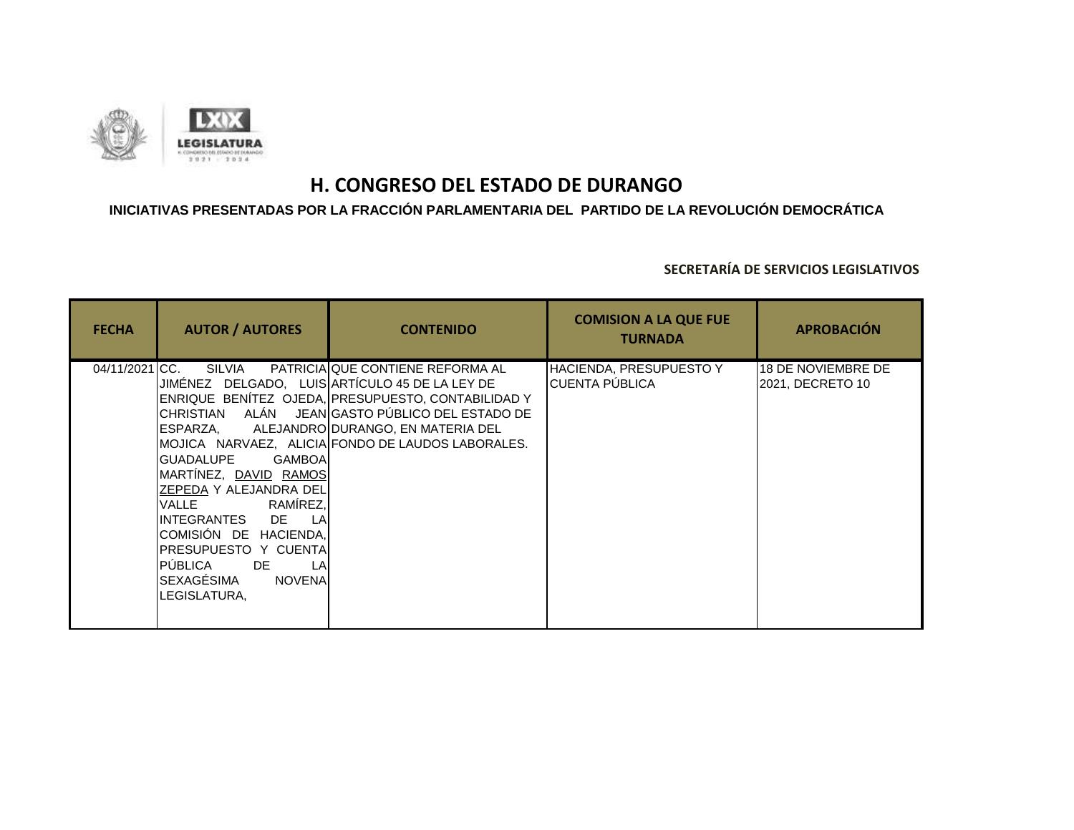

### **INICIATIVAS PRESENTADAS POR LA FRACCIÓN PARLAMENTARIA DEL PARTIDO DE LA REVOLUCIÓN DEMOCRÁTICA**

| <b>FECHA</b>   | <b>AUTOR / AUTORES</b>                                                                                                                                                                                                                                                                                 | <b>CONTENIDO</b>                                                                                                                                                                                                                             | <b>COMISION A LA QUE FUE</b><br><b>TURNADA</b>          | <b>APROBACIÓN</b>                             |
|----------------|--------------------------------------------------------------------------------------------------------------------------------------------------------------------------------------------------------------------------------------------------------------------------------------------------------|----------------------------------------------------------------------------------------------------------------------------------------------------------------------------------------------------------------------------------------------|---------------------------------------------------------|-----------------------------------------------|
| 04/11/2021 CC. | SILVIA<br>JIMÉNEZ DELGADO, LUIS ARTÍCULO 45 DE LA LEY DE<br>GUADALUPE<br><b>GAMBOA</b><br>MARTÍNEZ, DAVID RAMOS<br>ZEPEDA Y ALEJANDRA DEL<br>VALLE RAMÍREZ,<br>INTEGRANTES DE LA<br>COMISIÓN DE HACIENDA,<br>IPRESUPUESTO Y CUENTAI<br>PÚBLICA DE<br>LA<br>SEXAGÉSIMA<br><b>NOVENA</b><br>LEGISLATURA, | PATRICIA QUE CONTIENE REFORMA AL<br>ENRIQUE BENÍTEZ OJEDA, PRESUPUESTO, CONTABILIDAD Y<br>CHRISTIAN ALÁN JEAN GASTO PÚBLICO DEL ESTADO DE<br>ESPARZA, ALEJANDRO DURANGO, EN MATERIA DEL<br>MOJICA NARVAEZ, ALICIA FONDO DE LAUDOS LABORALES. | <b>HACIENDA, PRESUPUESTO Y</b><br><b>CUENTA PUBLICA</b> | <b>18 DE NOVIEMBRE DE</b><br>2021, DECRETO 10 |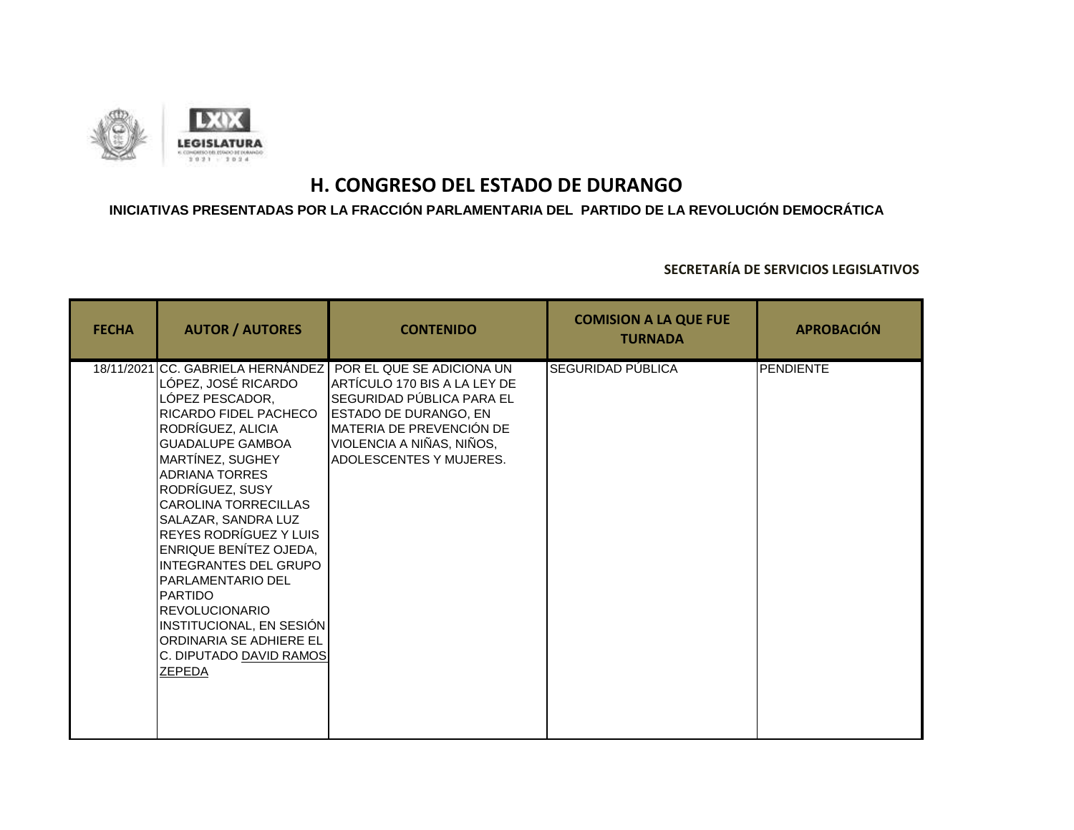

### **INICIATIVAS PRESENTADAS POR LA FRACCIÓN PARLAMENTARIA DEL PARTIDO DE LA REVOLUCIÓN DEMOCRÁTICA**

| <b>FECHA</b> | <b>AUTOR / AUTORES</b>                                                                                                                                                                                                                                                                                                                                                                                                                                                                                            | <b>CONTENIDO</b>                                                                                                                                                                                                                               | <b>COMISION A LA QUE FUE</b><br><b>TURNADA</b> | <b>APROBACIÓN</b> |
|--------------|-------------------------------------------------------------------------------------------------------------------------------------------------------------------------------------------------------------------------------------------------------------------------------------------------------------------------------------------------------------------------------------------------------------------------------------------------------------------------------------------------------------------|------------------------------------------------------------------------------------------------------------------------------------------------------------------------------------------------------------------------------------------------|------------------------------------------------|-------------------|
|              | LÓPEZ, JOSÉ RICARDO<br>LÓPEZ PESCADOR,<br>RICARDO FIDEL PACHECO<br>RODRÍGUEZ, ALICIA<br><b>GUADALUPE GAMBOA</b><br>MARTÍNEZ, SUGHEY<br><b>ADRIANA TORRES</b><br>RODRÍGUEZ, SUSY<br><b>CAROLINA TORRECILLAS</b><br>SALAZAR, SANDRA LUZ<br><b>REYES RODRÍGUEZ Y LUIS</b><br><b>ENRIQUE BENÍTEZ OJEDA,</b><br><b>INTEGRANTES DEL GRUPO</b><br><b>PARLAMENTARIO DEL</b><br><b>PARTIDO</b><br><b>REVOLUCIONARIO</b><br>INSTITUCIONAL, EN SESIÓN<br>ORDINARIA SE ADHIERE EL<br>C. DIPUTADO DAVID RAMOS<br><b>ZEPEDA</b> | 18/11/2021 CC. GABRIELA HERNÁNDEZ POR EL QUE SE ADICIONA UN<br>ARTÍCULO 170 BIS A LA LEY DE<br>SEGURIDAD PÚBLICA PARA EL<br><b>ESTADO DE DURANGO, EN</b><br>IMATERIA DE PREVENCIÓN DE<br>VIOLENCIA A NIÑAS, NIÑOS,<br>IADOLESCENTES Y MUJERES. | SEGURIDAD PÚBLICA                              | <b>PENDIENTE</b>  |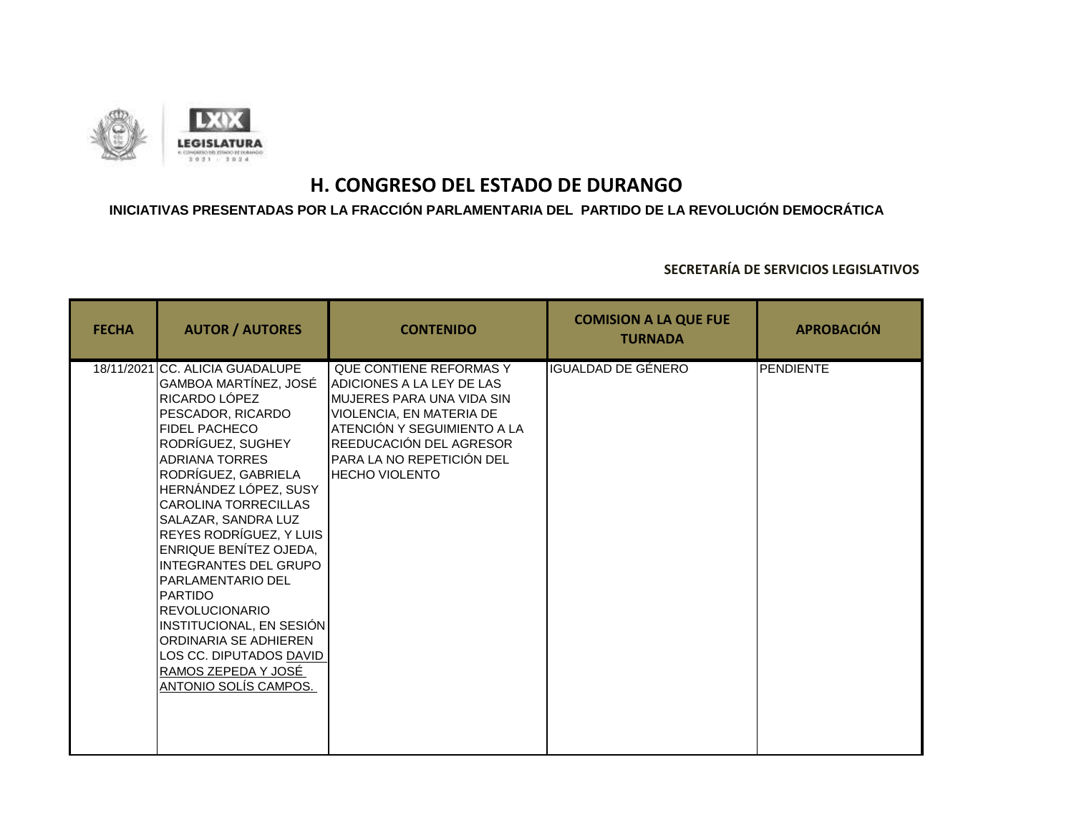

### **INICIATIVAS PRESENTADAS POR LA FRACCIÓN PARLAMENTARIA DEL PARTIDO DE LA REVOLUCIÓN DEMOCRÁTICA**

| <b>FECHA</b> | <b>AUTOR / AUTORES</b>                                                                                                                                                                                                                                                                                                                                                                                                                                                                                                                                                        | <b>CONTENIDO</b>                                                                                                                                                                                                                        | <b>COMISION A LA QUE FUE</b><br><b>TURNADA</b> | <b>APROBACIÓN</b> |
|--------------|-------------------------------------------------------------------------------------------------------------------------------------------------------------------------------------------------------------------------------------------------------------------------------------------------------------------------------------------------------------------------------------------------------------------------------------------------------------------------------------------------------------------------------------------------------------------------------|-----------------------------------------------------------------------------------------------------------------------------------------------------------------------------------------------------------------------------------------|------------------------------------------------|-------------------|
|              | 18/11/2021 CC. ALICIA GUADALUPE<br>GAMBOA MARTÍNEZ, JOSÉ<br>RICARDO LÓPEZ<br>PESCADOR, RICARDO<br><b>FIDEL PACHECO</b><br>RODRÍGUEZ, SUGHEY<br><b>ADRIANA TORRES</b><br>RODRÍGUEZ, GABRIELA<br>HERNÁNDEZ LÓPEZ, SUSY<br><b>CAROLINA TORRECILLAS</b><br>SALAZAR, SANDRA LUZ<br>REYES RODRÍGUEZ, Y LUIS<br>ENRIQUE BENÍTEZ OJEDA,<br><b>INTEGRANTES DEL GRUPO</b><br><b>PARLAMENTARIO DEL</b><br><b>PARTIDO</b><br><b>REVOLUCIONARIO</b><br>INSTITUCIONAL, EN SESIÓN<br><b>ORDINARIA SE ADHIEREN</b><br>LOS CC. DIPUTADOS DAVID<br>RAMOS ZEPEDA Y JOSÉ<br>ANTONIO SOLIS CAMPOS. | QUE CONTIENE REFORMAS Y<br><b>JADICIONES A LA LEY DE LAS</b><br>IMUJERES PARA UNA VIDA SIN<br>VIOLENCIA, EN MATERIA DE<br>ATENCIÓN Y SEGUIMIENTO A LA<br>REEDUCACIÓN DEL AGRESOR<br>PARA LA NO REPETICIÓN DEL<br><b>IHECHO VIOLENTO</b> | <b>IGUALDAD DE GÉNERO</b>                      | <b>PENDIENTE</b>  |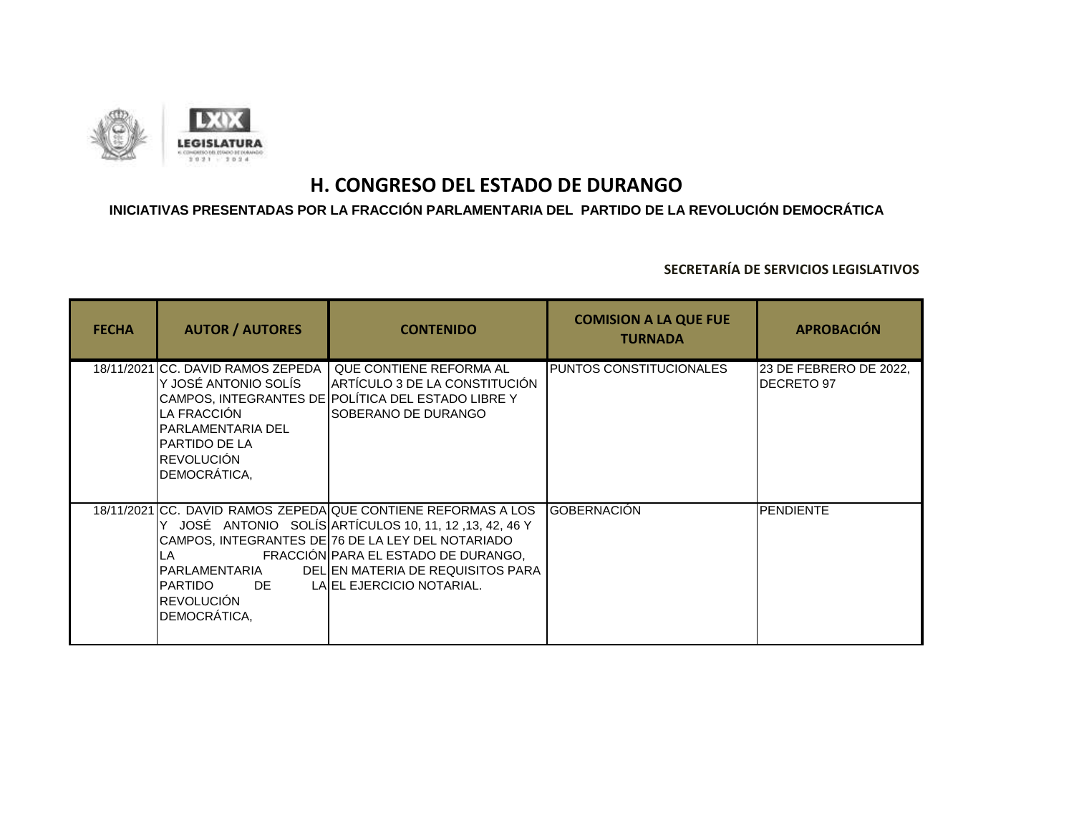

## **INICIATIVAS PRESENTADAS POR LA FRACCIÓN PARLAMENTARIA DEL PARTIDO DE LA REVOLUCIÓN DEMOCRÁTICA**

| <b>FECHA</b> | <b>AUTOR / AUTORES</b>                                                                                                                                 | <b>CONTENIDO</b>                                                                                                                                                                                                                                                                     | <b>COMISION A LA QUE FUE</b><br><b>TURNADA</b> | <b>APROBACIÓN</b>                    |
|--------------|--------------------------------------------------------------------------------------------------------------------------------------------------------|--------------------------------------------------------------------------------------------------------------------------------------------------------------------------------------------------------------------------------------------------------------------------------------|------------------------------------------------|--------------------------------------|
|              | 18/11/2021 CC. DAVID RAMOS ZEPEDA  <br>Y JOSÉ ANTONIO SOLÍS<br>LA FRACCIÓN<br>PARLAMENTARIA DEL<br>IPARTIDO DE LA<br><b>REVOLUCIÓN</b><br>DEMOCRÁTICA, | QUE CONTIENE REFORMA AL<br>ARTÍCULO 3 DE LA CONSTITUCIÓN<br>CAMPOS, INTEGRANTES DE POLÍTICA DEL ESTADO LIBRE Y<br>ISOBERANO DE DURANGO                                                                                                                                               | <b>I</b> PUNTOS CONSTITUCIONALES               | 23 DE FEBRERO DE 2022,<br>DECRETO 97 |
|              | LA<br>IPARLAMENTARIA<br>PARTIDO DE<br><b>REVOLUCIÓN</b><br>DEMOCRÁTICA,                                                                                | 18/11/2021 CC. DAVID RAMOS ZEPEDA QUE CONTIENE REFORMAS A LOS<br>JOSÉ ANTONIO SOLÍS ARTÍCULOS 10, 11, 12, 13, 42, 46 Y<br>CAMPOS, INTEGRANTES DE 76 DE LA LEY DEL NOTARIADO<br>FRACCIÓN PARA EL ESTADO DE DURANGO,<br>DELIEN MATERIA DE REQUISITOS PARA<br>LAIEL EJERCICIO NOTARIAL. | IGOBERNACIÓN                                   | <b>PENDIENTE</b>                     |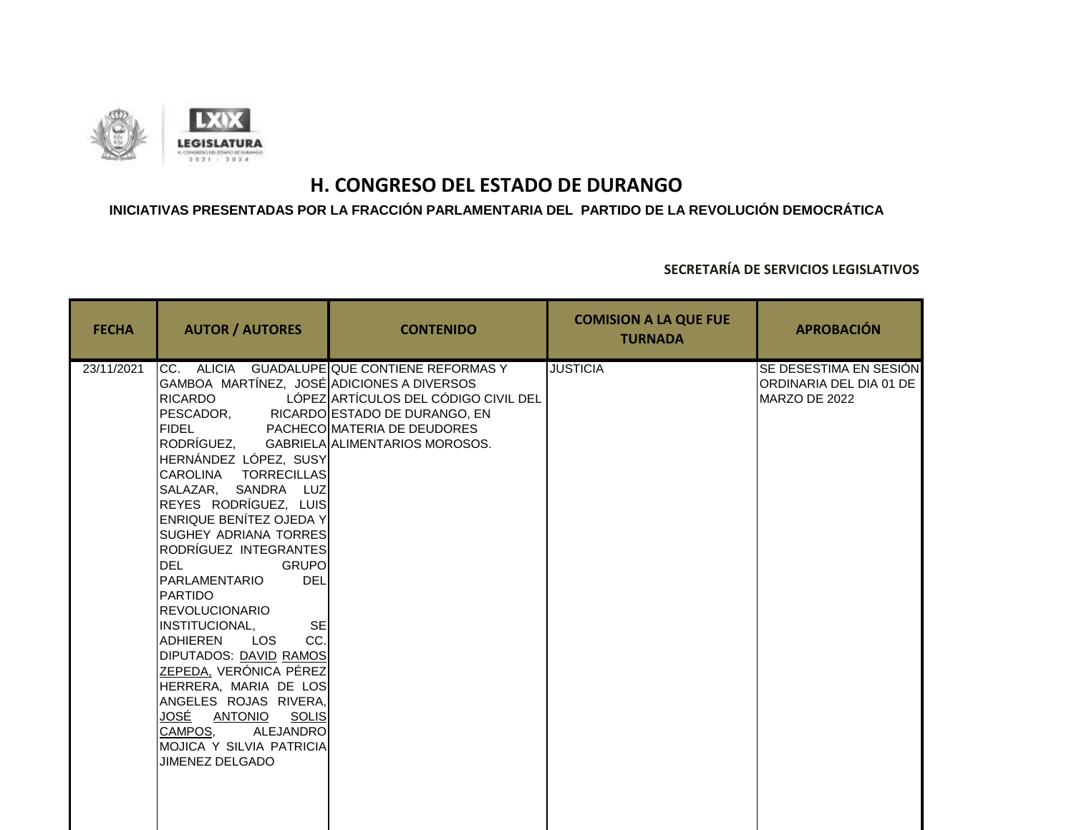

### **INICIATIVAS PRESENTADAS POR LA FRACCIÓN PARLAMENTARIA DEL PARTIDO DE LA REVOLUCIÓN DEMOCRÁTICA**

| <b>FECHA</b> | <b>AUTOR / AUTORES</b>                                                                                                                                                                                                                                                                                                                                                                                                                                                                                                                                                                                                                                                                                                                                                    | <b>CONTENIDO</b>                                                                                                    | <b>COMISION A LA QUE FUE</b><br><b>TURNADA</b> | <b>APROBACIÓN</b>                                                  |
|--------------|---------------------------------------------------------------------------------------------------------------------------------------------------------------------------------------------------------------------------------------------------------------------------------------------------------------------------------------------------------------------------------------------------------------------------------------------------------------------------------------------------------------------------------------------------------------------------------------------------------------------------------------------------------------------------------------------------------------------------------------------------------------------------|---------------------------------------------------------------------------------------------------------------------|------------------------------------------------|--------------------------------------------------------------------|
| 23/11/2021   | GAMBOA MARTÍNEZ, JOSÉ ADICIONES A DIVERSOS<br>RICARDO<br>PESCADOR, RICARDO ESTADO DE DURANGO, EN<br><b>FIDEL</b><br>RODRÍGUEZ, GABRIELA ALIMENTARIOS MOROSOS.<br>HERNÁNDEZ LÓPEZ, SUSY<br>CAROLINA TORRECILLAS<br>SALAZAR, SANDRA LUZ<br>REYES RODRÍGUEZ, LUIS<br><b>ENRIQUE BENÍTEZ OJEDA Y</b><br>SUGHEY ADRIANA TORRESI<br>RODRÍGUEZ INTEGRANTES<br><b>DEL</b><br><b>GRUPO</b><br><b>PARLAMENTARIO</b><br><b>DEL</b><br><b>I</b> PARTIDO<br><b>REVOLUCIONARIO</b><br><b>SE</b><br><b>INSTITUCIONAL.</b><br>CC.<br>LOS<br><b>ADHIEREN</b><br>DIPUTADOS: DAVID RAMOS<br>ZEPEDA, VERÓNICA PÉREZ<br>HERRERA, MARIA DE LOS<br>ANGELES ROJAS RIVERA,<br>JOSÉ<br>SOLIS<br><u>ANTONIO</u><br>CAMPOS,<br><b>ALEJANDRO</b><br>MOJICA Y SILVIA PATRICIA<br><b>JIMENEZ DELGADO</b> | CC. ALICIA GUADALUPE QUE CONTIENE REFORMAS Y<br>LÓPEZ ARTÍCULOS DEL CÓDIGO CIVIL DEL<br>PACHECO MATERIA DE DEUDORES | <b>JUSTICIA</b>                                | SE DESESTIMA EN SESIÓN<br>ORDINARIA DEL DIA 01 DE<br>MARZO DE 2022 |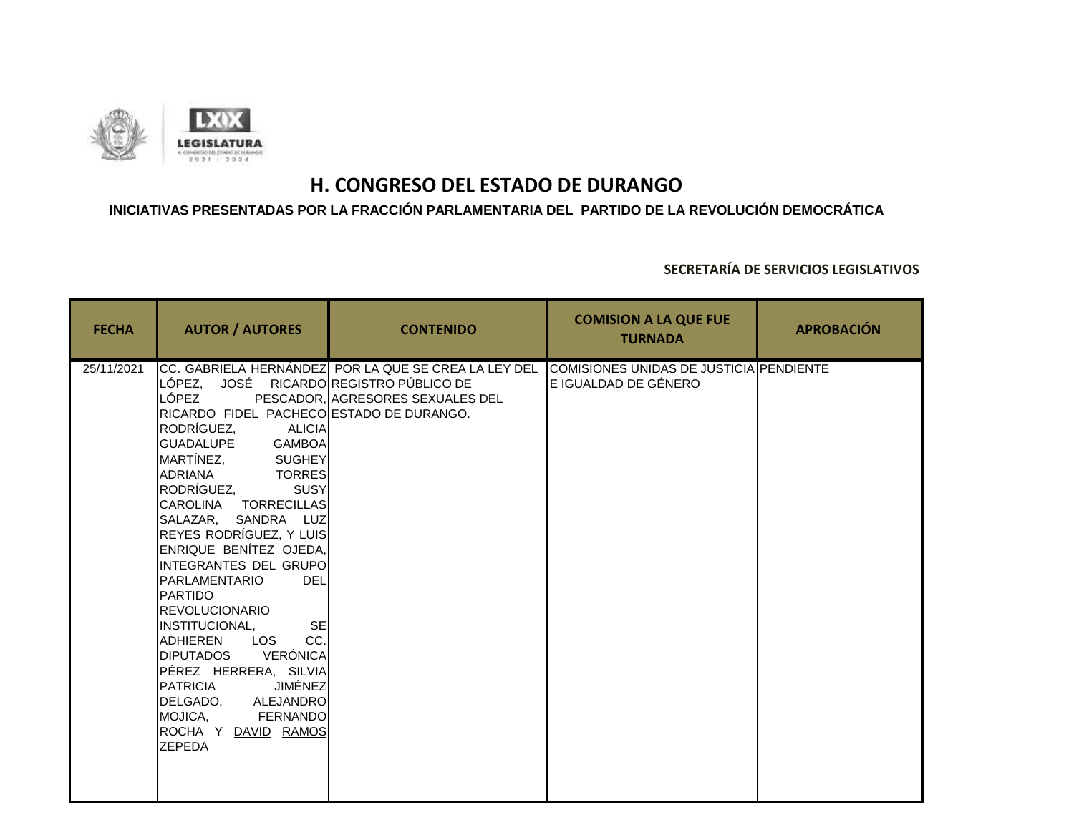

## **INICIATIVAS PRESENTADAS POR LA FRACCIÓN PARLAMENTARIA DEL PARTIDO DE LA REVOLUCIÓN DEMOCRÁTICA**

| <b>FECHA</b> | <b>AUTOR / AUTORES</b>                                                                                                                                                                                                                                                                                                                                                                                                                                                                                                                                                                                                                                   | <b>CONTENIDO</b>                                                                         | <b>COMISION A LA QUE FUE</b><br><b>TURNADA</b>                  | <b>APROBACIÓN</b> |
|--------------|----------------------------------------------------------------------------------------------------------------------------------------------------------------------------------------------------------------------------------------------------------------------------------------------------------------------------------------------------------------------------------------------------------------------------------------------------------------------------------------------------------------------------------------------------------------------------------------------------------------------------------------------------------|------------------------------------------------------------------------------------------|-----------------------------------------------------------------|-------------------|
| 25/11/2021   | LÓPEZ, JOSÉ RICARDO REGISTRO PÚBLICO DE<br>LÓPEZ<br>RICARDO FIDEL PACHECO ESTADO DE DURANGO.<br>RODRÍGUEZ,<br><b>ALICIA</b><br>GUADALUPE GAMBOA<br>MARTÍNEZ, SUGHEY<br><b>TORRES</b><br>ADRIANA<br>RODRÍGUEZ,<br><b>SUSY</b><br>CAROLINA TORRECILLAS<br>SALAZAR, SANDRA LUZ<br>REYES RODRÍGUEZ, Y LUIS<br>ENRIQUE BENÍTEZ OJEDA,<br>INTEGRANTES DEL GRUPO<br><b>DEL</b><br>PARLAMENTARIO<br><b>PARTIDO</b><br><b>REVOLUCIONARIO</b><br>IINSTITUCIONAL.<br><b>SE</b><br>CC.<br>LOS<br>ADHIEREN<br>DIPUTADOS VERÓNICA<br>PÉREZ HERRERA, SILVIA<br>JIMÉNEZ<br><b>PATRICIA</b><br>DELGADO. ALEJANDRO<br>MOJICA,<br>FERNANDO<br>ROCHA Y DAVID RAMOS<br>ZEPEDA | CC. GABRIELA HERNÁNDEZ POR LA QUE SE CREA LA LEY DEL<br>PESCADOR, AGRESORES SEXUALES DEL | COMISIONES UNIDAS DE JUSTICIA PENDIENTE<br>E IGUALDAD DE GÉNERO |                   |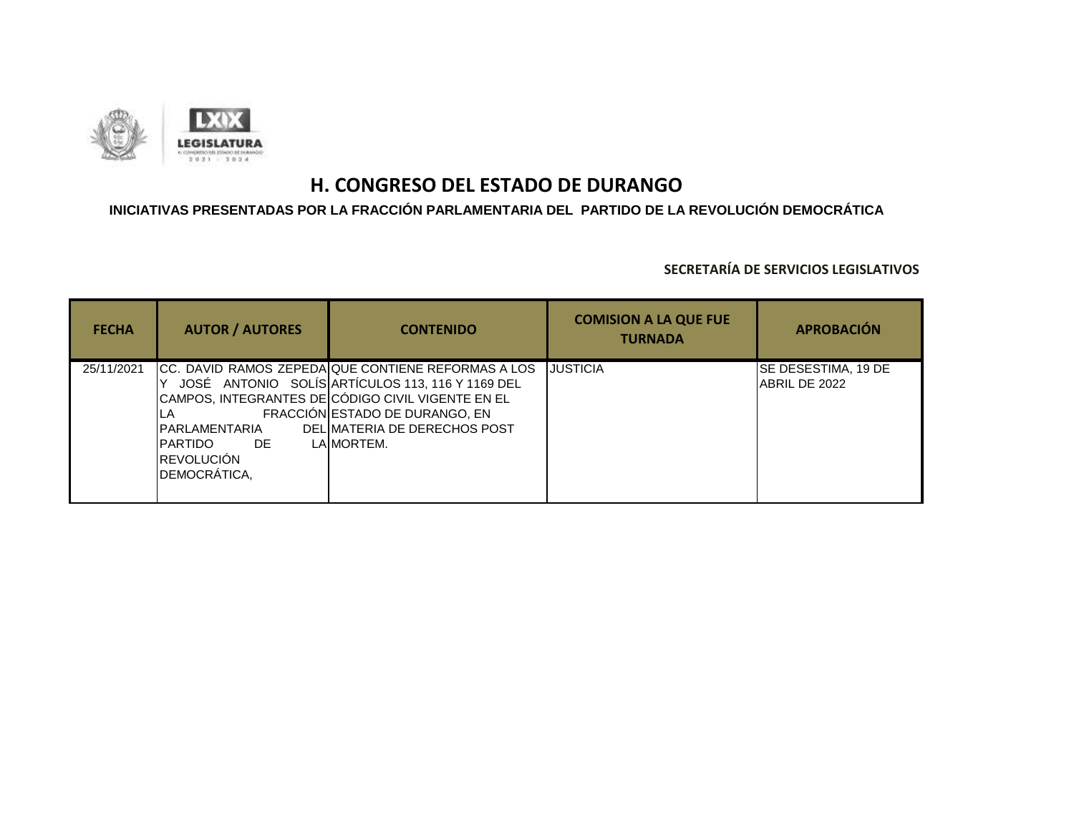

## **INICIATIVAS PRESENTADAS POR LA FRACCIÓN PARLAMENTARIA DEL PARTIDO DE LA REVOLUCIÓN DEMOCRÁTICA**

| <b>FECHA</b> | <b>AUTOR / AUTORES</b>                                                 | <b>CONTENIDO</b>                                                                                                                                                                                                                            | <b>COMISION A LA QUE FUE</b><br><b>TURNADA</b> | <b>APROBACIÓN</b>                    |
|--------------|------------------------------------------------------------------------|---------------------------------------------------------------------------------------------------------------------------------------------------------------------------------------------------------------------------------------------|------------------------------------------------|--------------------------------------|
| 25/11/2021   | IPARLAMENTARIA<br>IPARTIDO<br>DE<br><b>IREVOLUCIÓN</b><br>DEMOCRÁTICA, | CC. DAVID RAMOS ZEPEDA QUE CONTIENE REFORMAS A LOS<br>JOSÉ ANTONIO SOLÍS ARTÍCULOS 113, 116 Y 1169 DEL<br>CAMPOS, INTEGRANTES DE CÓDIGO CIVIL VIGENTE EN EL<br>FRACCIÓN ESTADO DE DURANGO, EN<br>DELIMATERIA DE DERECHOS POST<br>LAIMORTEM. | <b>JUSTICIA</b>                                | SE DESESTIMA, 19 DE<br>ABRIL DE 2022 |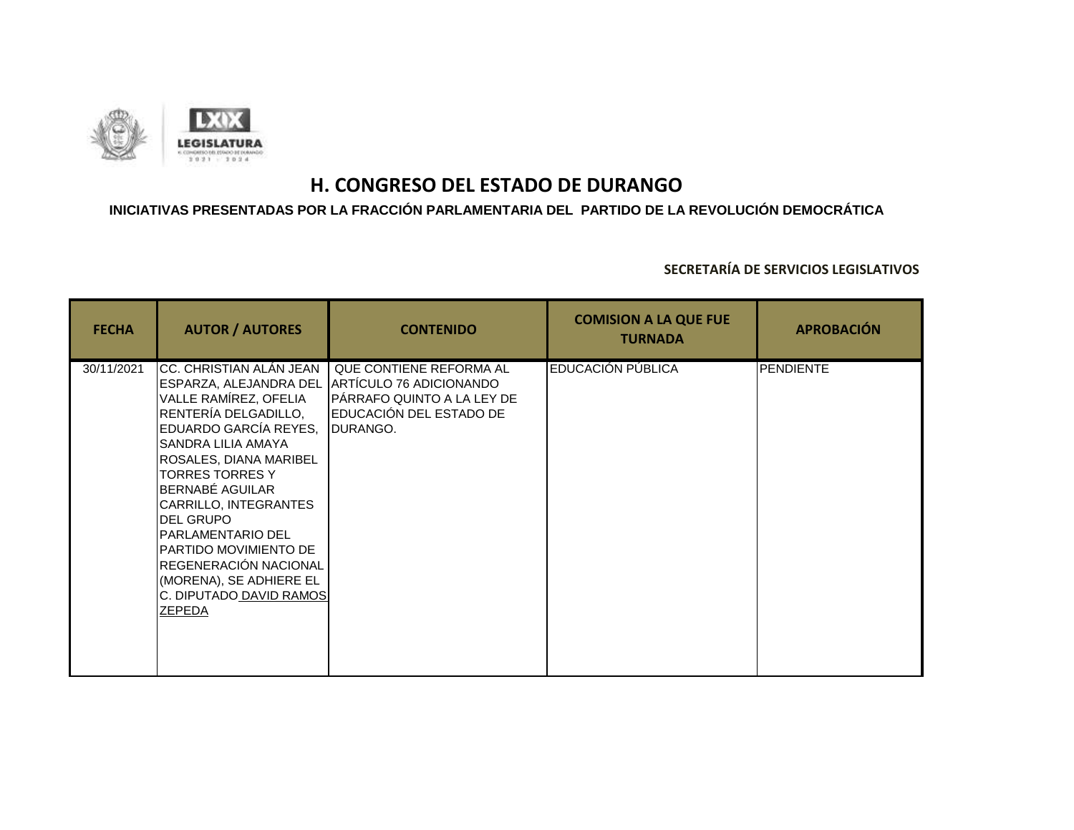

### **INICIATIVAS PRESENTADAS POR LA FRACCIÓN PARLAMENTARIA DEL PARTIDO DE LA REVOLUCIÓN DEMOCRÁTICA**

| <b>FECHA</b> | <b>AUTOR / AUTORES</b>                                                                                                                                                                                                                                                                                                                                                                                                     | <b>CONTENIDO</b>                                                                                                                | <b>COMISION A LA QUE FUE</b><br><b>TURNADA</b> | <b>APROBACIÓN</b> |
|--------------|----------------------------------------------------------------------------------------------------------------------------------------------------------------------------------------------------------------------------------------------------------------------------------------------------------------------------------------------------------------------------------------------------------------------------|---------------------------------------------------------------------------------------------------------------------------------|------------------------------------------------|-------------------|
| 30/11/2021   | CC. CHRISTIAN ALÁN JEAN<br>ESPARZA, ALEJANDRA DEL<br>VALLE RAMÍREZ, OFELIA<br>RENTERÍA DELGADILLO,<br>EDUARDO GARCÍA REYES,<br>SANDRA LILIA AMAYA<br>ROSALES, DIANA MARIBEL<br><b>TORRES TORRES Y</b><br><b>BERNABÉ AGUILAR</b><br>CARRILLO, INTEGRANTES<br><b>DEL GRUPO</b><br>PARLAMENTARIO DEL<br>PARTIDO MOVIMIENTO DE<br>REGENERACIÓN NACIONAL<br>(MORENA), SE ADHIERE EL<br>C. DIPUTADO DAVID RAMOS<br><b>ZEPEDA</b> | QUE CONTIENE REFORMA AL<br><b>JARTICULO 76 ADICIONANDO</b><br>PÁRRAFO QUINTO A LA LEY DE<br>EDUCACIÓN DEL ESTADO DE<br>DURANGO. | EDUCACIÓN PÚBLICA                              | <b>PENDIENTE</b>  |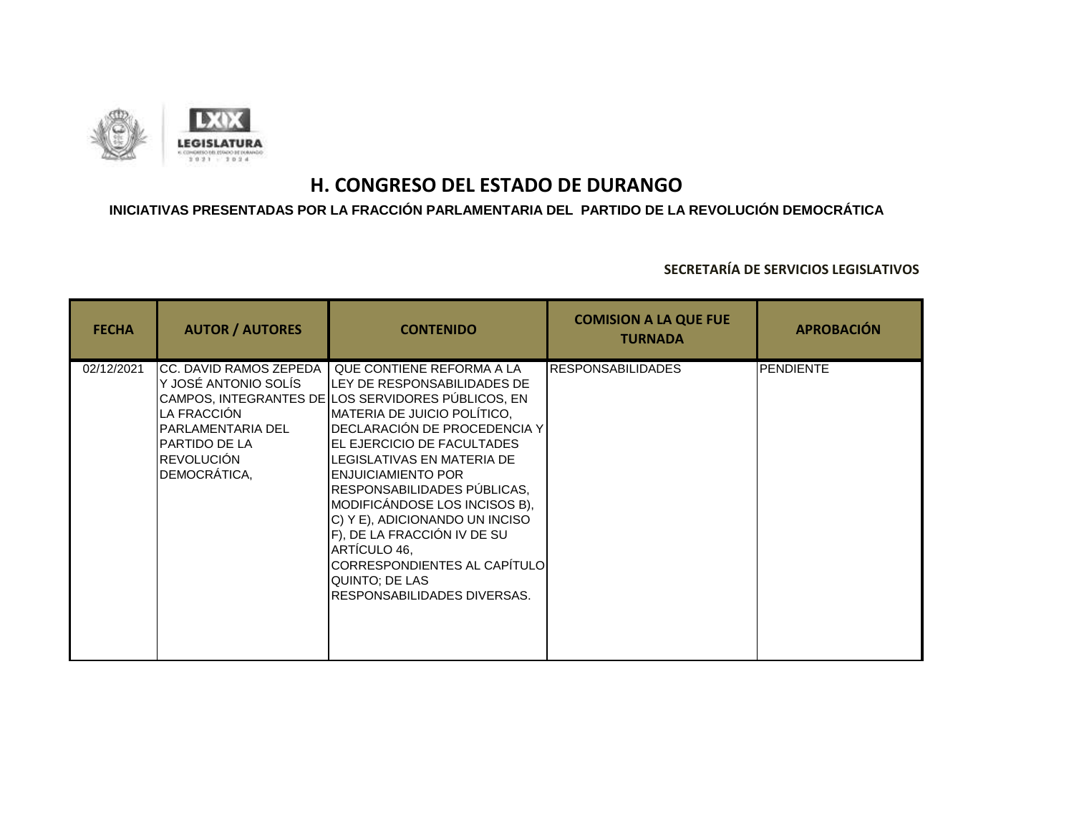

### **INICIATIVAS PRESENTADAS POR LA FRACCIÓN PARLAMENTARIA DEL PARTIDO DE LA REVOLUCIÓN DEMOCRÁTICA**

| <b>FECHA</b> | <b>AUTOR / AUTORES</b>                                                                                                                   | <b>CONTENIDO</b>                                                                                                                                                                                                                                                                                                                                                                                                                                                                                                                          | <b>COMISION A LA QUE FUE</b><br><b>TURNADA</b> | <b>APROBACIÓN</b> |
|--------------|------------------------------------------------------------------------------------------------------------------------------------------|-------------------------------------------------------------------------------------------------------------------------------------------------------------------------------------------------------------------------------------------------------------------------------------------------------------------------------------------------------------------------------------------------------------------------------------------------------------------------------------------------------------------------------------------|------------------------------------------------|-------------------|
| 02/12/2021   | CC. DAVID RAMOS ZEPEDA<br>Y JOSÉ ANTONIO SOLÍS<br>LA FRACCIÓN<br>PARLAMENTARIA DEL<br>PARTIDO DE LA<br><b>REVOLUCIÓN</b><br>DEMOCRÁTICA, | QUE CONTIENE REFORMA A LA<br><b>ILEY DE RESPONSABILIDADES DE</b><br>CAMPOS, INTEGRANTES DE LOS SERVIDORES PÚBLICOS, EN<br><b>IMATERIA DE JUICIO POLÍTICO.</b><br>DECLARACIÓN DE PROCEDENCIA Y<br><b>IEL EJERCICIO DE FACULTADES</b><br><b>I</b> LEGISLATIVAS EN MATERIA DE<br><b>ENJUICIAMIENTO POR</b><br>RESPONSABILIDADES PUBLICAS,<br>MODIFICÁNDOSE LOS INCISOS B),<br>C) Y E), ADICIONANDO UN INCISO<br>F), DE LA FRACCIÓN IV DE SU<br>ARTÍCULO 46.<br>CORRESPONDIENTES AL CAPÍTULO<br>QUINTO; DE LAS<br>RESPONSABILIDADES DIVERSAS. | <b>IRESPONSABILIDADES</b>                      | <b>PENDIENTE</b>  |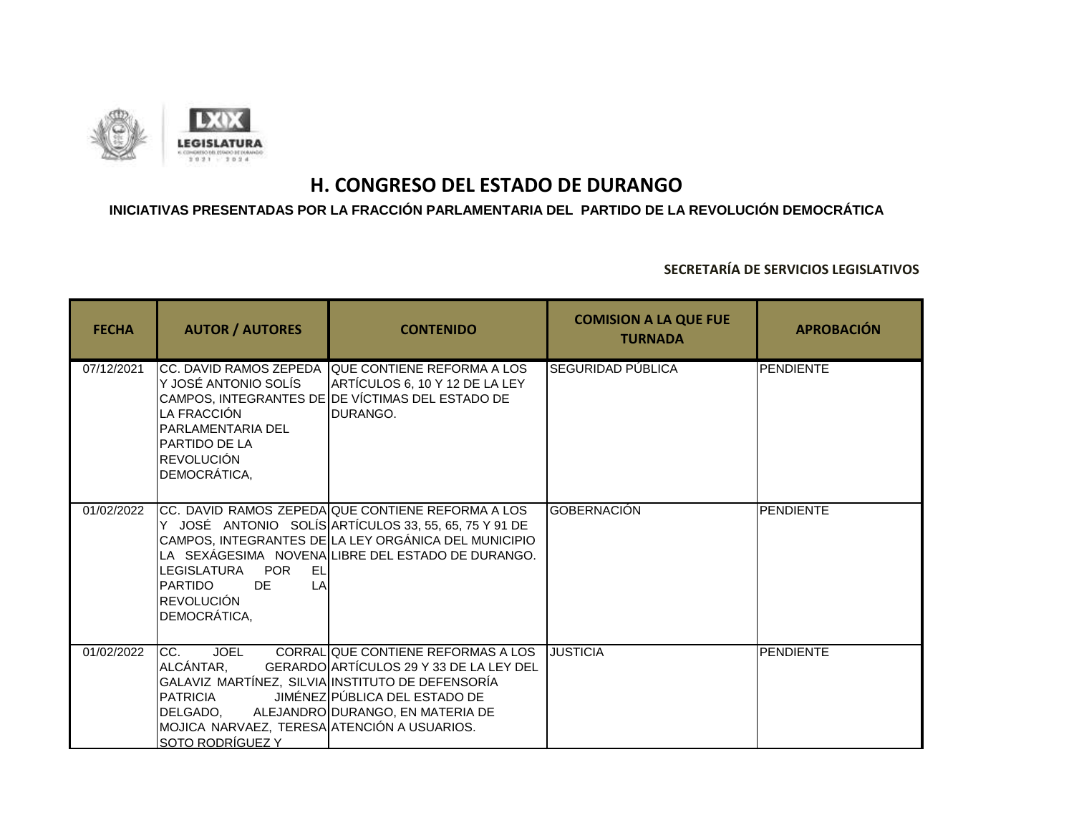

### **INICIATIVAS PRESENTADAS POR LA FRACCIÓN PARLAMENTARIA DEL PARTIDO DE LA REVOLUCIÓN DEMOCRÁTICA**

| <b>FECHA</b> | <b>AUTOR / AUTORES</b>                                                                                                             | <b>CONTENIDO</b>                                                                                                                                                                                                       | <b>COMISION A LA QUE FUE</b><br><b>TURNADA</b> | <b>APROBACIÓN</b> |
|--------------|------------------------------------------------------------------------------------------------------------------------------------|------------------------------------------------------------------------------------------------------------------------------------------------------------------------------------------------------------------------|------------------------------------------------|-------------------|
| 07/12/2021   | Y JOSÉ ANTONIO SOLÍS<br>LA FRACCIÓN<br>PARLAMENTARIA DEL<br>PARTIDO DE LA<br><b>REVOLUCIÓN</b><br>DEMOCRÁTICA,                     | CC. DAVID RAMOS ZEPEDA QUE CONTIENE REFORMA A LOS<br>ARTÍCULOS 6, 10 Y 12 DE LA LEY<br>CAMPOS, INTEGRANTES DE DE VÍCTIMAS DEL ESTADO DE<br>DURANGO.                                                                    | <b>SEGURIDAD PÚBLICA</b>                       | PENDIENTE         |
| 01/02/2022   | LEGISLATURA POR<br>EL<br>LA<br><b>PARTIDO</b><br>DE.<br><b>REVOLUCIÓN</b><br>DEMOCRÁTICA,                                          | CC. DAVID RAMOS ZEPEDA QUE CONTIENE REFORMA A LOS<br>Y JOSÉ ANTONIO SOLÍS ARTÍCULOS 33, 55, 65, 75 Y 91 DE<br>CAMPOS, INTEGRANTES DE LA LEY ORGÁNICA DEL MUNICIPIO<br>LA SEXÁGESIMA NOVENALIBRE DEL ESTADO DE DURANGO. | <b>GOBERNACIÓN</b>                             | <b>PENDIENTE</b>  |
| 01/02/2022   | ICC.<br><b>JOEL</b><br>ALCÁNTAR,<br><b>PATRICIA</b><br>DELGADO.<br>MOJICA NARVAEZ, TERESA ATENCIÓN A USUARIOS.<br>SOTO RODRÍGUEZ Y | CORRAL QUE CONTIENE REFORMAS A LOS<br>GERARDO ARTÍCULOS 29 Y 33 DE LA LEY DEL<br>GALAVIZ MARTÍNEZ, SILVIA INSTITUTO DE DEFENSORÍA<br>JIMÉNEZ PÚBLICA DEL ESTADO DE<br>ALEJANDRO DURANGO, EN MATERIA DE                 | <b>JUSTICIA</b>                                | <b>PENDIENTE</b>  |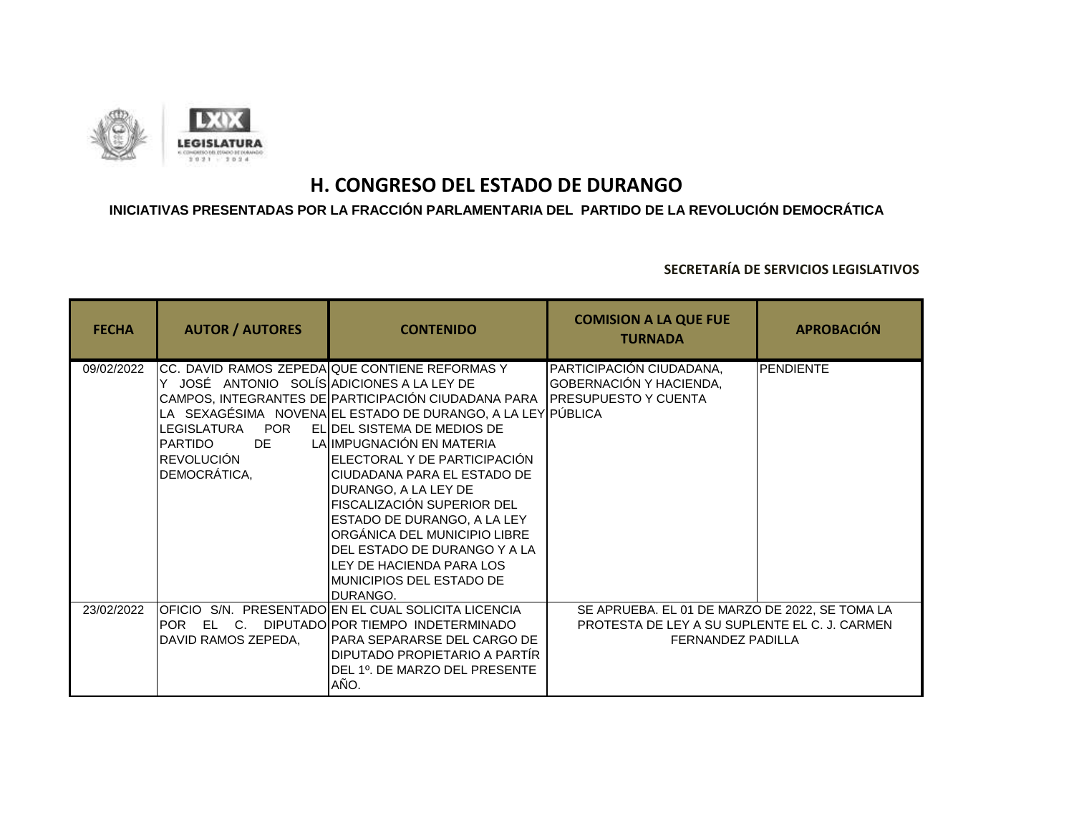

### **INICIATIVAS PRESENTADAS POR LA FRACCIÓN PARLAMENTARIA DEL PARTIDO DE LA REVOLUCIÓN DEMOCRÁTICA**

| <b>FECHA</b> | <b>AUTOR / AUTORES</b>                                                                                                               | <b>CONTENIDO</b>                                                                                                                                                                                                                                                                                                                                                                                                                                                                                                                                       | <b>COMISION A LA QUE FUE</b><br><b>TURNADA</b>                                                                              | <b>APROBACIÓN</b> |
|--------------|--------------------------------------------------------------------------------------------------------------------------------------|--------------------------------------------------------------------------------------------------------------------------------------------------------------------------------------------------------------------------------------------------------------------------------------------------------------------------------------------------------------------------------------------------------------------------------------------------------------------------------------------------------------------------------------------------------|-----------------------------------------------------------------------------------------------------------------------------|-------------------|
| 09/02/2022   | Y JOSÉ ANTONIO SOLÍS ADICIONES A LA LEY DE<br><b>POR</b><br>LEGISLATURA<br>DE<br><b>PARTIDO</b><br><b>REVOLUCIÓN</b><br>DEMOCRÁTICA, | CC. DAVID RAMOS ZEPEDAQUE CONTIENE REFORMAS Y<br>CAMPOS, INTEGRANTES DE PARTICIPACIÓN CIUDADANA PARA PRESUPUESTO Y CUENTA<br>LA SEXAGÉSIMA NOVENA EL ESTADO DE DURANGO, A LA LEY PÚBLICA<br>ELIDEL SISTEMA DE MEDIOS DE<br>LA IMPUGNACIÓN EN MATERIA<br>IELECTORAL Y DE PARTICIPACIÓN<br><b>ICIUDADANA PARA EL ESTADO DE</b><br>DURANGO, A LA LEY DE<br>FISCALIZACIÓN SUPERIOR DEL<br>ESTADO DE DURANGO, A LA LEY<br>ORGÁNICA DEL MUNICIPIO LIBRE<br>DEL ESTADO DE DURANGO Y A LA<br>LEY DE HACIENDA PARA LOS<br>MUNICIPIOS DEL ESTADO DE<br>IDURANGO. | PARTICIPACIÓN CIUDADANA,<br>GOBERNACIÓN Y HACIENDA,                                                                         | <b>PENDIENTE</b>  |
| 23/02/2022   | DAVID RAMOS ZEPEDA,                                                                                                                  | OFICIO S/N. PRESENTADO EN EL CUAL SOLICITA LICENCIA<br>POR EL C. DIPUTADOIPOR TIEMPO INDETERMINADO<br>PARA SEPARARSE DEL CARGO DE<br>DIPUTADO PROPIETARIO A PARTÍR<br>DEL 1º. DE MARZO DEL PRESENTE<br>AÑO.                                                                                                                                                                                                                                                                                                                                            | SE APRUEBA. EL 01 DE MARZO DE 2022, SE TOMA LA<br>PROTESTA DE LEY A SU SUPLENTE EL C. J. CARMEN<br><b>FERNANDEZ PADILLA</b> |                   |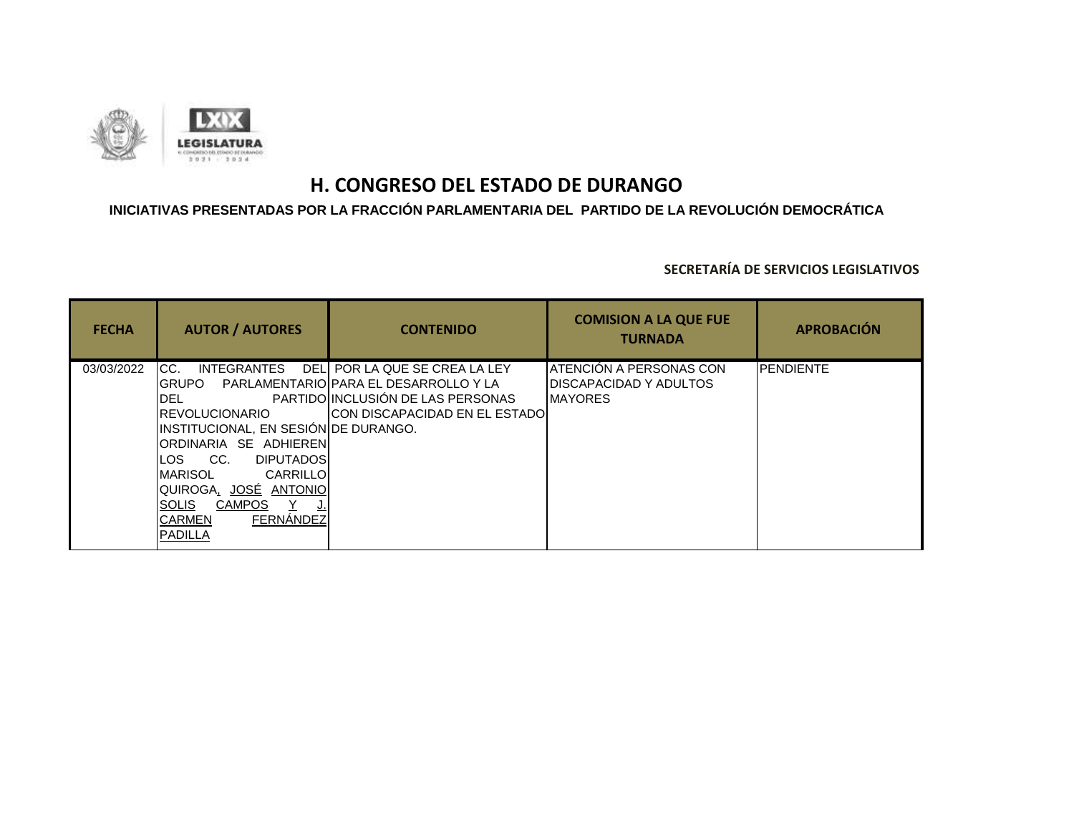

## **INICIATIVAS PRESENTADAS POR LA FRACCIÓN PARLAMENTARIA DEL PARTIDO DE LA REVOLUCIÓN DEMOCRÁTICA**

| <b>FECHA</b> | <b>AUTOR / AUTORES</b>                                                                                                                                                                                                                                                                                          | <b>CONTENIDO</b>                                                                                                                                      | <b>COMISION A LA QUE FUE</b><br><b>TURNADA</b>                       | <b>APROBACIÓN</b> |
|--------------|-----------------------------------------------------------------------------------------------------------------------------------------------------------------------------------------------------------------------------------------------------------------------------------------------------------------|-------------------------------------------------------------------------------------------------------------------------------------------------------|----------------------------------------------------------------------|-------------------|
| 03/03/2022   | ICC.<br><b>INTEGRANTES</b><br>IGRUPO I<br>IDEL<br><b>I</b> REVOLUCIONARIO<br>INSTITUCIONAL, EN SESIÓN DE DURANGO.<br>IORDINARIA SE ADHIERENI<br><b>DIPUTADOSI</b><br>CC.<br>LOS.<br>IMARISOL<br>CARRILLOI<br>QUIROGA <u>, JOSÉ ANTONIO</u><br><b>CAMPOS</b><br>ISOLIS<br>FERNANDEZ<br><b>CARMEN</b><br>IPADILLA | DEL POR LA QUE SE CREA LA LEY<br>PARLAMENTARIOIPARA EL DESARROLLO Y LA<br>PARTIDO INCLUSIÓN DE LAS PERSONAS<br><b>ICON DISCAPACIDAD EN EL ESTADOI</b> | ATENCIÓN A PERSONAS CON<br>DISCAPACIDAD Y ADULTOS<br><b>IMAYORES</b> | <b>PENDIENTE</b>  |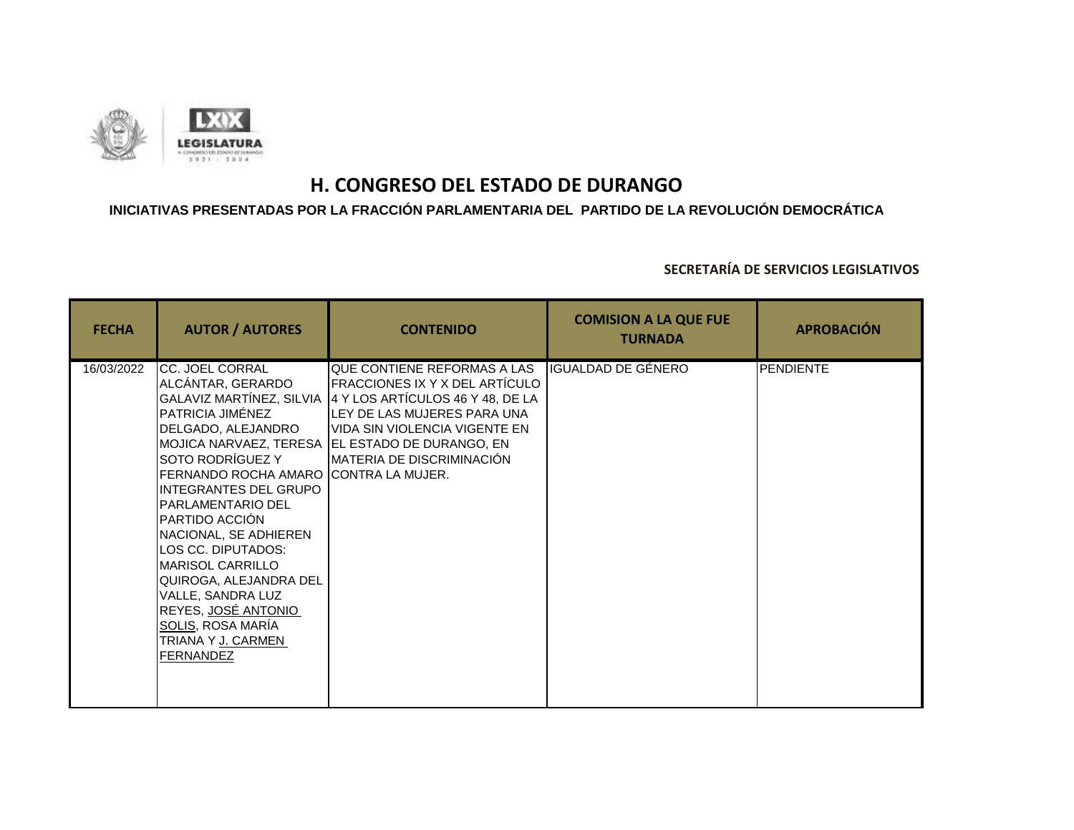

### **INICIATIVAS PRESENTADAS POR LA FRACCIÓN PARLAMENTARIA DEL PARTIDO DE LA REVOLUCIÓN DEMOCRÁTICA**

| <b>FECHA</b> | <b>AUTOR / AUTORES</b>                                                                                                                                                                                                                                                                                                                                                                                                                                                     | <b>CONTENIDO</b>                                                                                                                                                                                                                                          | <b>COMISION A LA QUE FUE</b><br><b>TURNADA</b> | <b>APROBACIÓN</b> |
|--------------|----------------------------------------------------------------------------------------------------------------------------------------------------------------------------------------------------------------------------------------------------------------------------------------------------------------------------------------------------------------------------------------------------------------------------------------------------------------------------|-----------------------------------------------------------------------------------------------------------------------------------------------------------------------------------------------------------------------------------------------------------|------------------------------------------------|-------------------|
| 16/03/2022   | <b>CC. JOEL CORRAL</b><br>ALCÁNTAR, GERARDO<br>GALAVIZ MARTÍNEZ, SILVIA<br>PATRICIA JIMÉNEZ<br>DELGADO, ALEJANDRO<br>SOTO RODRÍGUEZ Y<br>FERNANDO ROCHA AMARO ICONTRA LA MUJER.<br>INTEGRANTES DEL GRUPO<br><b>I</b> PARLAMENTARIO DEL<br>PARTIDO ACCIÓN<br>INACIONAL, SE ADHIEREN<br>LOS CC. DIPUTADOS:<br><b>I</b> MARISOL CARRILLO<br>QUIROGA, ALEJANDRA DEL<br>VALLE, SANDRA LUZ<br>REYES, JOSÉ ANTONIO<br><b>SOLIS, ROSA MARÍA</b><br>TRIANA Y J. CARMEN<br>FERNANDEZ | QUE CONTIENE REFORMAS A LAS<br><b>FRACCIONES IX Y X DEL ARTÍCULO</b><br>4 Y LOS ARTÍCULOS 46 Y 48, DE LA<br>LEY DE LAS MUJERES PARA UNA<br>IVIDA SIN VIOLENCIA VIGENTE EN<br>MOJICA NARVAEZ, TERESA EL ESTADO DE DURANGO, EN<br>MATERIA DE DISCRIMINACIÓN | IGUALDAD DE GÉNERO                             | <b>PENDIENTE</b>  |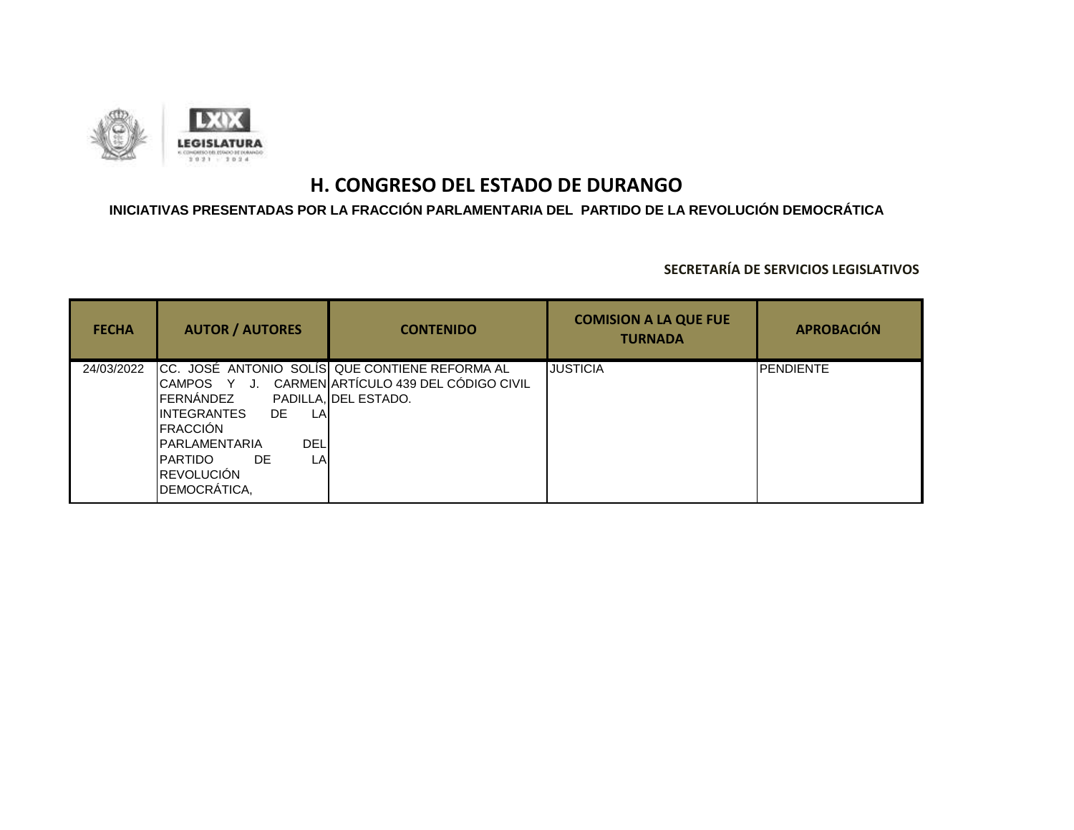

## **INICIATIVAS PRESENTADAS POR LA FRACCIÓN PARLAMENTARIA DEL PARTIDO DE LA REVOLUCIÓN DEMOCRÁTICA**

| <b>FECHA</b> | <b>AUTOR / AUTORES</b>                                                                                                                                                                  | <b>CONTENIDO</b>                                                                                               | <b>COMISION A LA QUE FUE</b><br><b>TURNADA</b> | <b>APROBACIÓN</b> |
|--------------|-----------------------------------------------------------------------------------------------------------------------------------------------------------------------------------------|----------------------------------------------------------------------------------------------------------------|------------------------------------------------|-------------------|
| 24/03/2022   | <b>I</b> CAMPOS Y J.<br>FERNÁNDEZ<br><b>IINTEGRANTES</b><br>DE.<br>LA<br><b>IFRACCIÓN</b><br><b>DEL</b><br><b>IPARLAMENTARIA</b><br>IPARTIDO<br>DE.<br>LA<br>REVOLUCIÓN<br>DEMOCRÁTICA, | CC. JOSÉ ANTONIO SOLÍS QUE CONTIENE REFORMA AL<br>CARMEN ARTÍCULO 439 DEL CÓDIGO CIVIL<br>PADILLA. DEL ESTADO. | <b>JUSTICIA</b>                                | <b>IPENDIENTE</b> |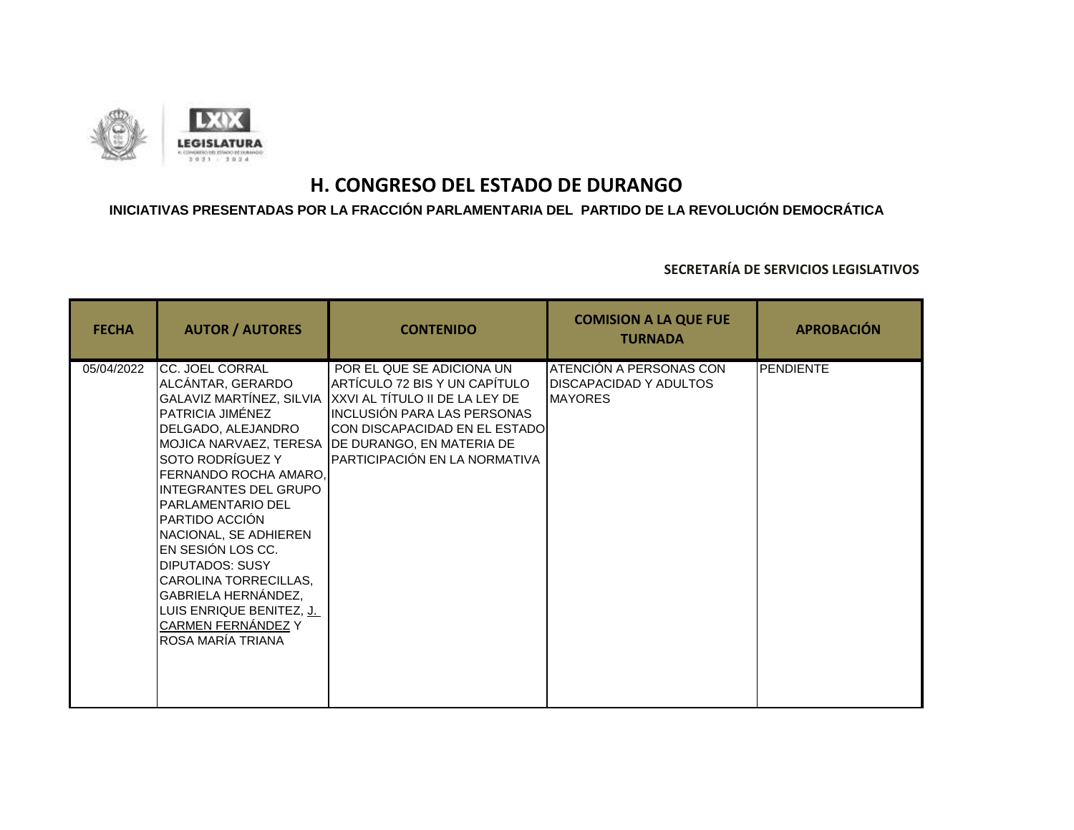

### **INICIATIVAS PRESENTADAS POR LA FRACCIÓN PARLAMENTARIA DEL PARTIDO DE LA REVOLUCIÓN DEMOCRÁTICA**

| <b>FECHA</b> | <b>AUTOR / AUTORES</b>                                                                                                                                                                                                                                                                                                                                                                                                                      | <b>CONTENIDO</b>                                                                                                                                                                                                                                            | <b>COMISION A LA QUE FUE</b><br><b>TURNADA</b>                             | <b>APROBACIÓN</b> |
|--------------|---------------------------------------------------------------------------------------------------------------------------------------------------------------------------------------------------------------------------------------------------------------------------------------------------------------------------------------------------------------------------------------------------------------------------------------------|-------------------------------------------------------------------------------------------------------------------------------------------------------------------------------------------------------------------------------------------------------------|----------------------------------------------------------------------------|-------------------|
| 05/04/2022   | CC. JOEL CORRAL<br>ALCÁNTAR, GERARDO<br>GALAVIZ MARTÍNEZ, SILVIA<br>PATRICIA JIMÉNEZ<br>DELGADO, ALEJANDRO<br>SOTO RODRÍGUEZ Y<br>FERNANDO ROCHA AMARO,<br><b>INTEGRANTES DEL GRUPO</b><br><b>PARLAMENTARIO DEL</b><br>PARTIDO ACCIÓN<br>NACIONAL, SE ADHIEREN<br>EN SESIÓN LOS CC.<br><b>DIPUTADOS: SUSY</b><br>CAROLINA TORRECILLAS,<br>GABRIELA HERNÁNDEZ,<br>LUIS ENRIQUE BENITEZ, J.<br><b>CARMEN FERNÁNDEZ Y</b><br>ROSA MARÍA TRIANA | POR EL QUE SE ADICIONA UN<br>ARTÍCULO 72 BIS Y UN CAPÍTULO<br>XXVI AL TÍTULO II DE LA LEY DE<br>INCLUSIÓN PARA LAS PERSONAS<br><b>ICON DISCAPACIDAD EN EL ESTADOI</b><br>MOJICA NARVAEZ, TERESA IDE DURANGO, EN MATERIA DE<br>PARTICIPACIÓN EN LA NORMATIVA | ATENCIÓN A PERSONAS CON<br><b>DISCAPACIDAD Y ADULTOS</b><br><b>MAYORES</b> | <b>PENDIENTE</b>  |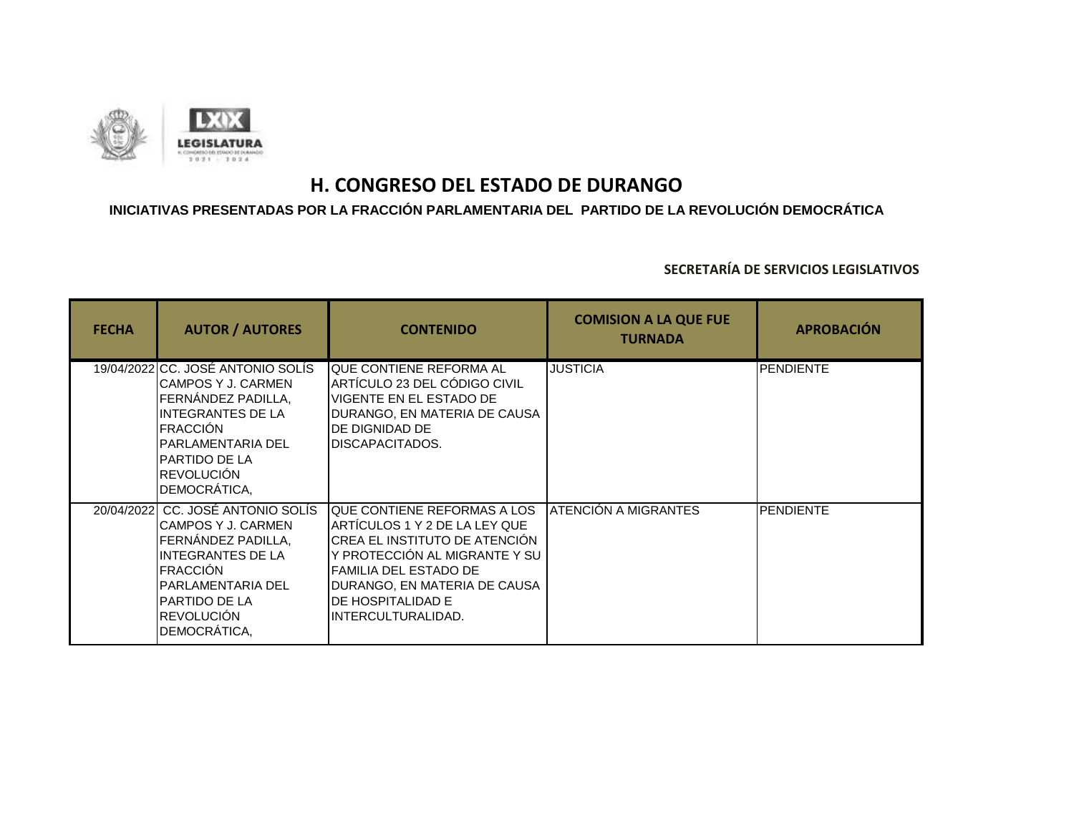

## **INICIATIVAS PRESENTADAS POR LA FRACCIÓN PARLAMENTARIA DEL PARTIDO DE LA REVOLUCIÓN DEMOCRÁTICA**

| <b>FECHA</b> | <b>AUTOR / AUTORES</b>                                                                                                                                                                                                | <b>CONTENIDO</b>                                                                                                                                                                                                                           | <b>COMISION A LA QUE FUE</b><br><b>TURNADA</b> | <b>APROBACIÓN</b> |
|--------------|-----------------------------------------------------------------------------------------------------------------------------------------------------------------------------------------------------------------------|--------------------------------------------------------------------------------------------------------------------------------------------------------------------------------------------------------------------------------------------|------------------------------------------------|-------------------|
|              | 19/04/2022 CC. JOSÉ ANTONIO SOLÍS<br>CAMPOS Y J. CARMEN<br>FERNÁNDEZ PADILLA,<br><b>INTEGRANTES DE LA</b><br><b>FRACCIÓN</b><br><b>PARLAMENTARIA DEL</b><br><b>PARTIDO DE LA</b><br><b>REVOLUCIÓN</b><br>DEMOCRÁTICA, | <b>I</b> QUE CONTIENE REFORMA AL<br>ARTÍCULO 23 DEL CÓDIGO CIVIL<br>VIGENTE EN EL ESTADO DE<br>DURANGO, EN MATERIA DE CAUSA<br>DE DIGNIDAD DE<br><b>IDISCAPACITADOS.</b>                                                                   | <b>JUSTICIA</b>                                | <b>PENDIENTE</b>  |
|              | 20/04/2022 CC. JOSÉ ANTONIO SOLÍS<br>CAMPOS Y J. CARMEN<br>FERNÁNDEZ PADILLA,<br>INTEGRANTES DE LA<br><b>FRACCIÓN</b><br><b>PARLAMENTARIA DEL</b><br><b>PARTIDO DE LA</b><br><b>REVOLUCIÓN</b><br>DEMOCRÁTICA,        | <b>IQUE CONTIENE REFORMAS A LOS</b><br>ARTÍCULOS 1 Y 2 DE LA LEY QUE<br>CREA EL INSTITUTO DE ATENCIÓN<br>Y PROTECCIÓN AL MIGRANTE Y SU<br>FAMILIA DEL ESTADO DE<br>DURANGO, EN MATERIA DE CAUSA<br>DE HOSPITALIDAD E<br>INTERCULTURALIDAD. | <b>ATENCIÓN A MIGRANTES</b>                    | <b>PENDIENTE</b>  |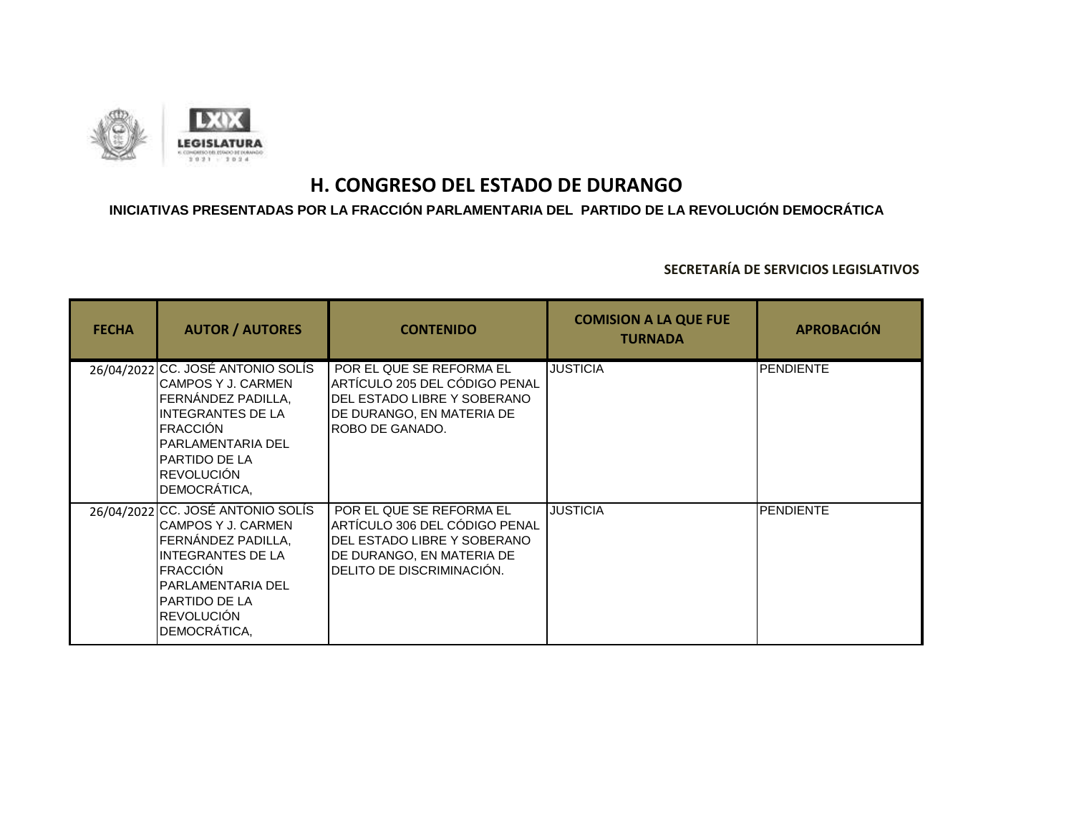

## **INICIATIVAS PRESENTADAS POR LA FRACCIÓN PARLAMENTARIA DEL PARTIDO DE LA REVOLUCIÓN DEMOCRÁTICA**

| <b>FECHA</b> | <b>AUTOR / AUTORES</b>                                                                                                                                                                                                | <b>CONTENIDO</b>                                                                                                                                   | <b>COMISION A LA QUE FUE</b><br><b>TURNADA</b> | <b>APROBACIÓN</b> |
|--------------|-----------------------------------------------------------------------------------------------------------------------------------------------------------------------------------------------------------------------|----------------------------------------------------------------------------------------------------------------------------------------------------|------------------------------------------------|-------------------|
|              | 26/04/2022 CC. JOSÉ ANTONIO SOLÍS<br>CAMPOS Y J. CARMEN<br>FERNANDEZ PADILLA,<br><b>INTEGRANTES DE LA</b><br><b>FRACCIÓN</b><br>IPARLAMENTARIA DEL<br><b>PARTIDO DE LA</b><br><b>REVOLUCIÓN</b><br>DEMOCRÁTICA,       | POR EL QUE SE REFORMA EL<br>ARTÍCULO 205 DEL CÓDIGO PENAL<br>DEL ESTADO LIBRE Y SOBERANO<br>DE DURANGO, EN MATERIA DE<br>ROBO DE GANADO.           | <b>JUSTICIA</b>                                | <b>PENDIENTE</b>  |
|              | 26/04/2022 CC. JOSÉ ANTONIO SOLÍS<br>CAMPOS Y J. CARMEN<br>FERNÁNDEZ PADILLA.<br><b>INTEGRANTES DE LA</b><br><b>FRACCIÓN</b><br><b>PARLAMENTARIA DEL</b><br><b>PARTIDO DE LA</b><br><b>REVOLUCIÓN</b><br>DEMOCRÁTICA, | POR EL QUE SE REFORMA EL<br>ARTÍCULO 306 DEL CÓDIGO PENAL<br>DEL ESTADO LIBRE Y SOBERANO<br>DE DURANGO, EN MATERIA DE<br>DELITO DE DISCRIMINACIÓN. | <b>JUSTICIA</b>                                | <b>PENDIENTE</b>  |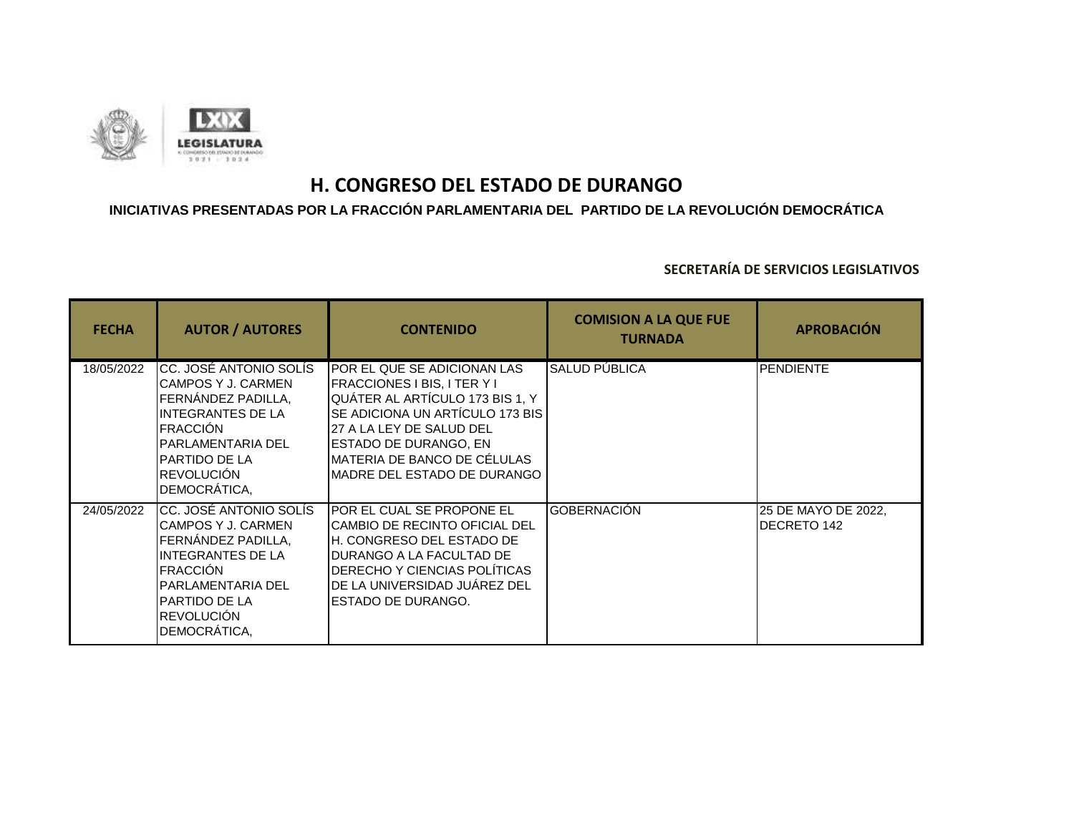

### **INICIATIVAS PRESENTADAS POR LA FRACCIÓN PARLAMENTARIA DEL PARTIDO DE LA REVOLUCIÓN DEMOCRÁTICA**

| <b>FECHA</b> | <b>AUTOR / AUTORES</b>                                                                                                                                                                                | <b>CONTENIDO</b>                                                                                                                                                                                                                                                  | <b>COMISION A LA QUE FUE</b><br><b>TURNADA</b> | <b>APROBACIÓN</b>                         |
|--------------|-------------------------------------------------------------------------------------------------------------------------------------------------------------------------------------------------------|-------------------------------------------------------------------------------------------------------------------------------------------------------------------------------------------------------------------------------------------------------------------|------------------------------------------------|-------------------------------------------|
| 18/05/2022   | CC. JOSÉ ANTONIO SOLÍS<br>CAMPOS Y J. CARMEN<br>FERNÁNDEZ PADILLA,<br><b>INTEGRANTES DE LA</b><br><b>FRACCIÓN</b><br>PARLAMENTARIA DEL<br><b>I</b> PARTIDO DE LA<br>REVOLUCIÓN<br>DEMOCRÁTICA,        | POR EL QUE SE ADICIONAN LAS<br><b>FRACCIONES I BIS, I TER Y I</b><br>QUÁTER AL ARTÍCULO 173 BIS 1, Y<br>SE ADICIONA UN ARTÍCULO 173 BIS<br>27 A LA LEY DE SALUD DEL<br><b>ESTADO DE DURANGO, EN</b><br>MATERIA DE BANCO DE CÉLULAS<br>MADRE DEL ESTADO DE DURANGO | <b>SALUD PÚBLICA</b>                           | <b>PENDIENTE</b>                          |
| 24/05/2022   | CC. JOSÉ ANTONIO SOLÍS<br>CAMPOS Y J. CARMEN<br>FERNÁNDEZ PADILLA,<br><b>INTEGRANTES DE LA</b><br><b>FRACCIÓN</b><br><b>PARLAMENTARIA DEL</b><br><b>I</b> PARTIDO DE LA<br>REVOLUCIÓN<br>DEMOCRÁTICA, | POR EL CUAL SE PROPONE EL<br><b>CAMBIO DE RECINTO OFICIAL DEL</b><br>H. CONGRESO DEL ESTADO DE<br>DURANGO A LA FACULTAD DE<br>DERECHO Y CIENCIAS POLÍTICAS<br>DE LA UNIVERSIDAD JUÁREZ DEL<br><b>ESTADO DE DURANGO.</b>                                           | <b>GOBERNACIÓN</b>                             | 25 DE MAYO DE 2022,<br><b>DECRETO 142</b> |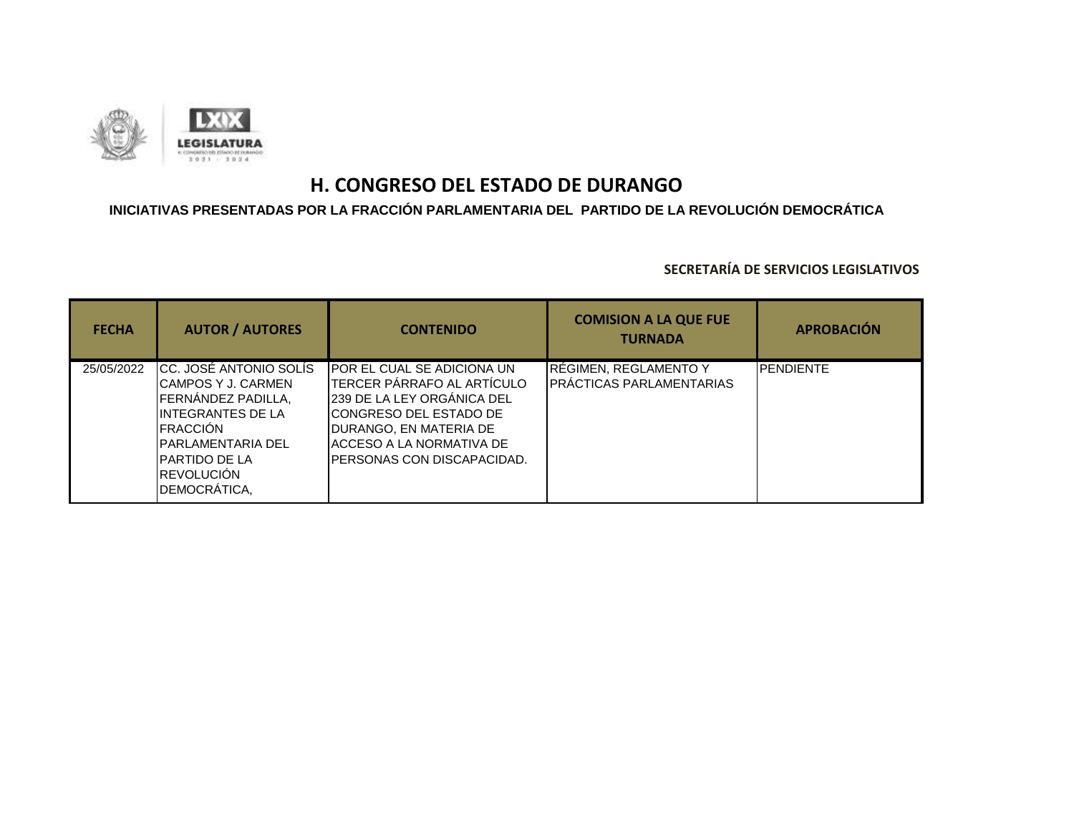

### **INICIATIVAS PRESENTADAS POR LA FRACCIÓN PARLAMENTARIA DEL PARTIDO DE LA REVOLUCIÓN DEMOCRÁTICA**

| <b>FECHA</b> | <b>AUTOR / AUTORES</b>                                                                                                                                                                               | <b>CONTENIDO</b>                                                                                                                                                                                                 | <b>COMISION A LA QUE FUE</b><br><b>TURNADA</b>     | <b>APROBACIÓN</b> |
|--------------|------------------------------------------------------------------------------------------------------------------------------------------------------------------------------------------------------|------------------------------------------------------------------------------------------------------------------------------------------------------------------------------------------------------------------|----------------------------------------------------|-------------------|
| 25/05/2022   | ICC. JOSÉ ANTONIO SOLÍS<br>ICAMPOS Y J. CARMEN<br>FERNANDEZ PADILLA,<br>IINTEGRANTES DE LA<br><b>IFRACCIÓN</b><br>IPARLAMENTARIA DEL<br><b>I</b> PARTIDO DE LA<br><b>IREVOLUCIÓN</b><br>DEMOCRÁTICA, | IPOR EL CUAL SE ADICIONA UN<br><b>I</b> TERCER PÁRRAFO AL ARTÍCULO<br>239 DE LA LEY ORGANICA DEL<br>ICONGRESO DEL ESTADO DE<br>DURANGO, EN MATERIA DE<br>ACCESO A LA NORMATIVA DE<br>IPERSONAS CON DISCAPACIDAD. | RÉGIMEN, REGLAMENTO Y<br>IPRÁCTICAS PARLAMENTARIAS | <b>PENDIENTE</b>  |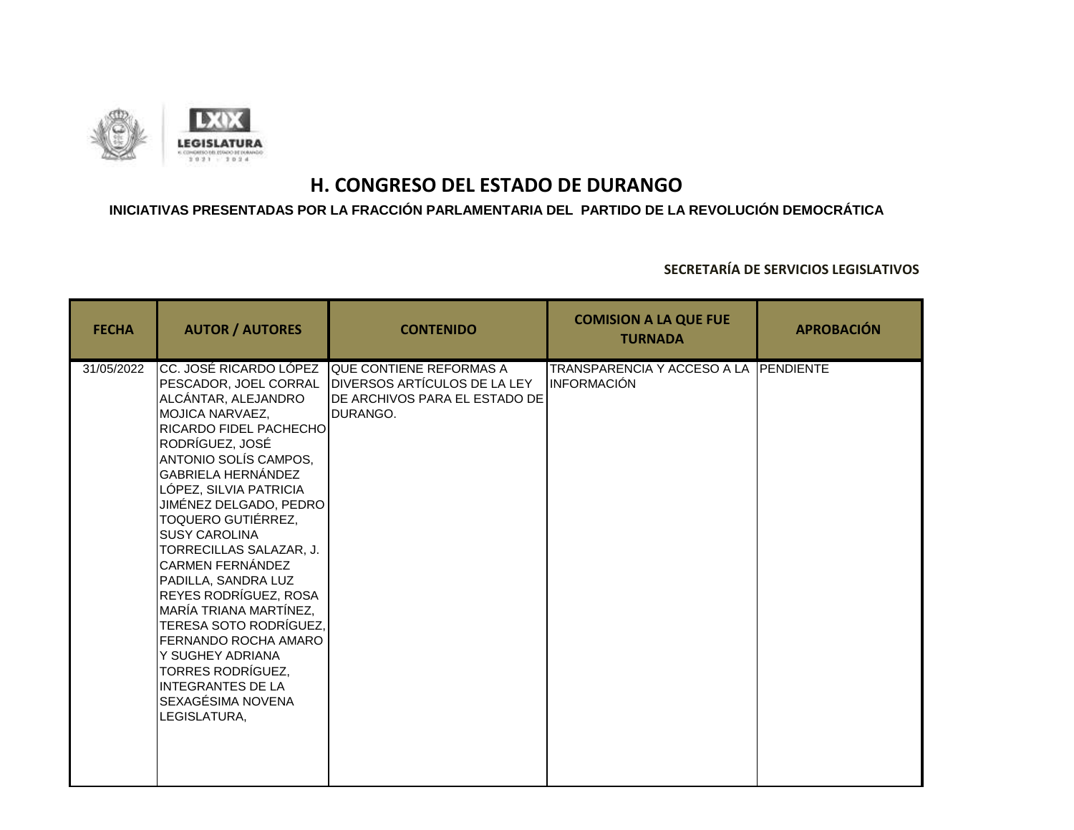

### **INICIATIVAS PRESENTADAS POR LA FRACCIÓN PARLAMENTARIA DEL PARTIDO DE LA REVOLUCIÓN DEMOCRÁTICA**

| <b>FECHA</b> | <b>AUTOR / AUTORES</b>                                                                                                                                                                                                                                                                                                                                                                                                                                                                                                                                                                                   | <b>CONTENIDO</b>                                                                                     | <b>COMISION A LA QUE FUE</b><br><b>TURNADA</b>       | <b>APROBACIÓN</b> |
|--------------|----------------------------------------------------------------------------------------------------------------------------------------------------------------------------------------------------------------------------------------------------------------------------------------------------------------------------------------------------------------------------------------------------------------------------------------------------------------------------------------------------------------------------------------------------------------------------------------------------------|------------------------------------------------------------------------------------------------------|------------------------------------------------------|-------------------|
| 31/05/2022   | CC. JOSÉ RICARDO LÓPEZ<br>PESCADOR, JOEL CORRAL<br>ALCÁNTAR, ALEJANDRO<br>MOJICA NARVAEZ,<br>RICARDO FIDEL PACHECHO<br>RODRÍGUEZ, JOSÉ<br>ANTONIO SOLÍS CAMPOS.<br><b>GABRIELA HERNÁNDEZ</b><br>LÓPEZ, SILVIA PATRICIA<br>JIMÉNEZ DELGADO, PEDRO<br><b>TOQUERO GUTIÉRREZ,</b><br><b>SUSY CAROLINA</b><br>TORRECILLAS SALAZAR, J.<br><b>CARMEN FERNÁNDEZ</b><br>PADILLA, SANDRA LUZ<br>REYES RODRÍGUEZ, ROSA<br>MARÍA TRIANA MARTÍNEZ.<br>TERESA SOTO RODRÍGUEZ,<br>FERNANDO ROCHA AMARO<br>Y SUGHEY ADRIANA<br><b>TORRES RODRÍGUEZ,</b><br><b>INTEGRANTES DE LA</b><br>SEXAGÉSIMA NOVENA<br>LEGISLATURA, | QUE CONTIENE REFORMAS A<br>DIVERSOS ARTÍCULOS DE LA LEY<br>DE ARCHIVOS PARA EL ESTADO DE<br>DURANGO. | TRANSPARENCIA Y ACCESO A LA PENDIENTE<br>INFORMACIÓN |                   |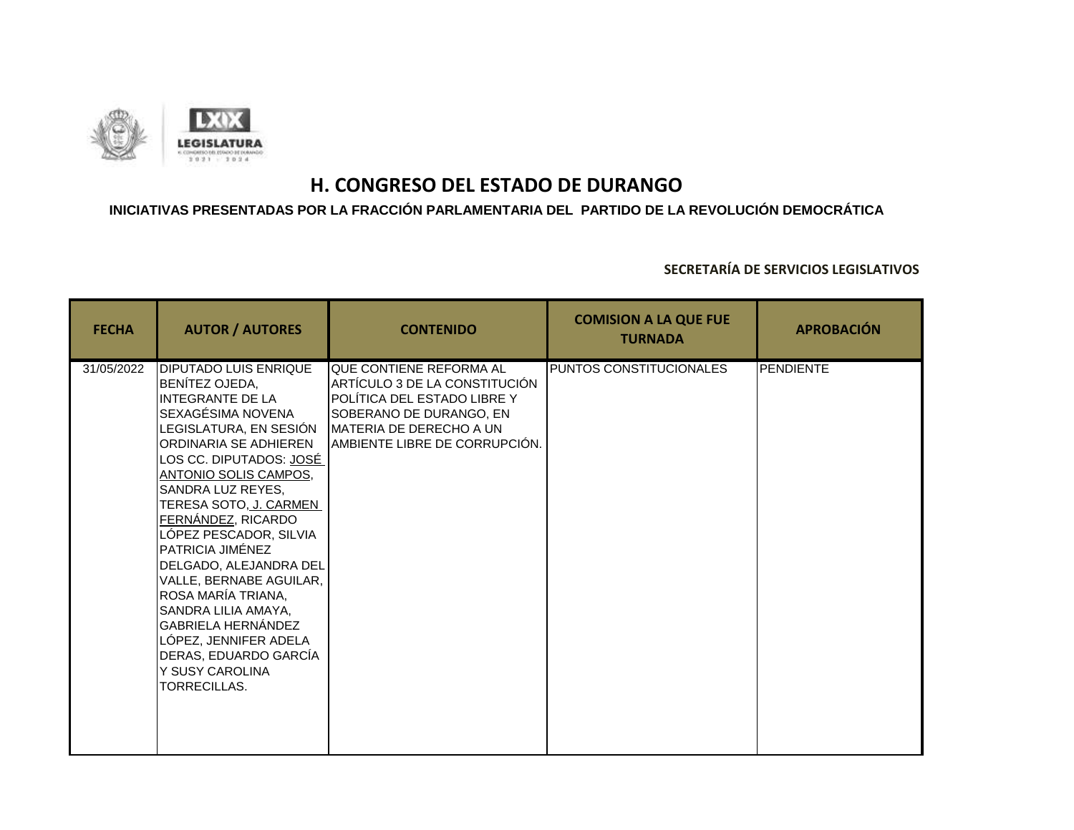

### **INICIATIVAS PRESENTADAS POR LA FRACCIÓN PARLAMENTARIA DEL PARTIDO DE LA REVOLUCIÓN DEMOCRÁTICA**

| <b>FECHA</b> | <b>AUTOR / AUTORES</b>                                                                                                                                                                                                                                                                                                                                                                                                                                                                                                                       | <b>CONTENIDO</b>                                                                                                                                                                       | <b>COMISION A LA QUE FUE</b><br><b>TURNADA</b> | <b>APROBACIÓN</b> |
|--------------|----------------------------------------------------------------------------------------------------------------------------------------------------------------------------------------------------------------------------------------------------------------------------------------------------------------------------------------------------------------------------------------------------------------------------------------------------------------------------------------------------------------------------------------------|----------------------------------------------------------------------------------------------------------------------------------------------------------------------------------------|------------------------------------------------|-------------------|
| 31/05/2022   | <b>DIPUTADO LUIS ENRIQUE</b><br>BENÍTEZ OJEDA,<br><b>INTEGRANTE DE LA</b><br>SEXAGÉSIMA NOVENA<br>LEGISLATURA, EN SESIÓN<br>ORDINARIA SE ADHIEREN<br>LOS CC. DIPUTADOS: JOSÉ<br>ANTONIO SOLIS CAMPOS,<br>SANDRA LUZ REYES,<br>TERESA SOTO, J. CARMEN<br><u>FERNÁNDEZ,</u> RICARDO<br>LÓPEZ PESCADOR, SILVIA<br>PATRICIA JIMÉNEZ<br>DELGADO, ALEJANDRA DEL<br>VALLE, BERNABE AGUILAR,<br>ROSA MARÍA TRIANA,<br>SANDRA LILIA AMAYA,<br>GABRIELA HERNÁNDEZ<br>LÓPEZ, JENNIFER ADELA<br>DERAS, EDUARDO GARCÍA<br>Y SUSY CAROLINA<br>TORRECILLAS. | QUE CONTIENE REFORMA AL<br>ARTÍCULO 3 DE LA CONSTITUCIÓN<br>POLÍTICA DEL ESTADO LIBRE Y<br>SOBERANO DE DURANGO, EN<br><b>IMATERIA DE DERECHO A UN</b><br>AMBIENTE LIBRE DE CORRUPCIÓN. | PUNTOS CONSTITUCIONALES                        | <b>PENDIENTE</b>  |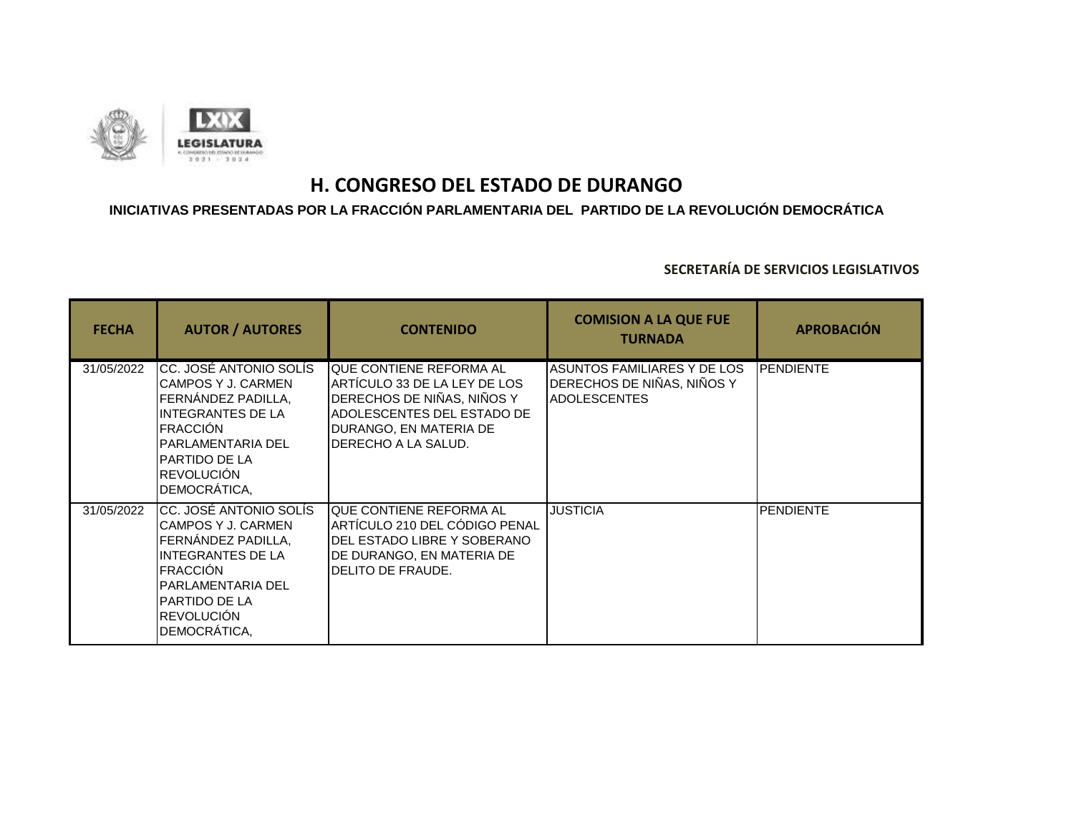

## **INICIATIVAS PRESENTADAS POR LA FRACCIÓN PARLAMENTARIA DEL PARTIDO DE LA REVOLUCIÓN DEMOCRÁTICA**

| <b>FECHA</b> | <b>AUTOR / AUTORES</b>                                                                                                                                                                 | <b>CONTENIDO</b>                                                                                                                                                      | <b>COMISION A LA QUE FUE</b><br><b>TURNADA</b>                                   | <b>APROBACIÓN</b> |
|--------------|----------------------------------------------------------------------------------------------------------------------------------------------------------------------------------------|-----------------------------------------------------------------------------------------------------------------------------------------------------------------------|----------------------------------------------------------------------------------|-------------------|
| 31/05/2022   | CC. JOSÉ ANTONIO SOLÍS<br>CAMPOS Y J. CARMEN<br>FERNÁNDEZ PADILLA.<br>INTEGRANTES DE LA<br><b>FRACCIÓN</b><br>PARLAMENTARIA DEL<br>PARTIDO DE LA<br><b>REVOLUCIÓN</b><br>DEMOCRÁTICA,  | QUE CONTIENE REFORMA AL<br>ARTÍCULO 33 DE LA LEY DE LOS<br>DERECHOS DE NIÑAS, NIÑOS Y<br>ADOLESCENTES DEL ESTADO DE<br>DURANGO, EN MATERIA DE<br>IDERECHO A LA SALUD. | ASUNTOS FAMILIARES Y DE LOS<br>DERECHOS DE NIÑAS, NIÑOS Y<br><b>ADOLESCENTES</b> | <b>IPENDIENTE</b> |
| 31/05/2022   | CC. JOSÉ ANTONIO SOLÍS<br>CAMPOS Y J. CARMEN<br>FERNÁNDEZ PADILLA,<br>INTEGRANTES DE LA<br><b>FRACCIÓN</b><br>PARLAMENTARIA DEL<br>IPARTIDO DE LA<br><b>REVOLUCIÓN</b><br>DEMOCRÁTICA, | QUE CONTIENE REFORMA AL<br>ARTÍCULO 210 DEL CÓDIGO PENAL<br>DEL ESTADO LIBRE Y SOBERANO<br>DE DURANGO, EN MATERIA DE<br>DELITO DE FRAUDE.                             | <b>JUSTICIA</b>                                                                  | <b>PENDIENTE</b>  |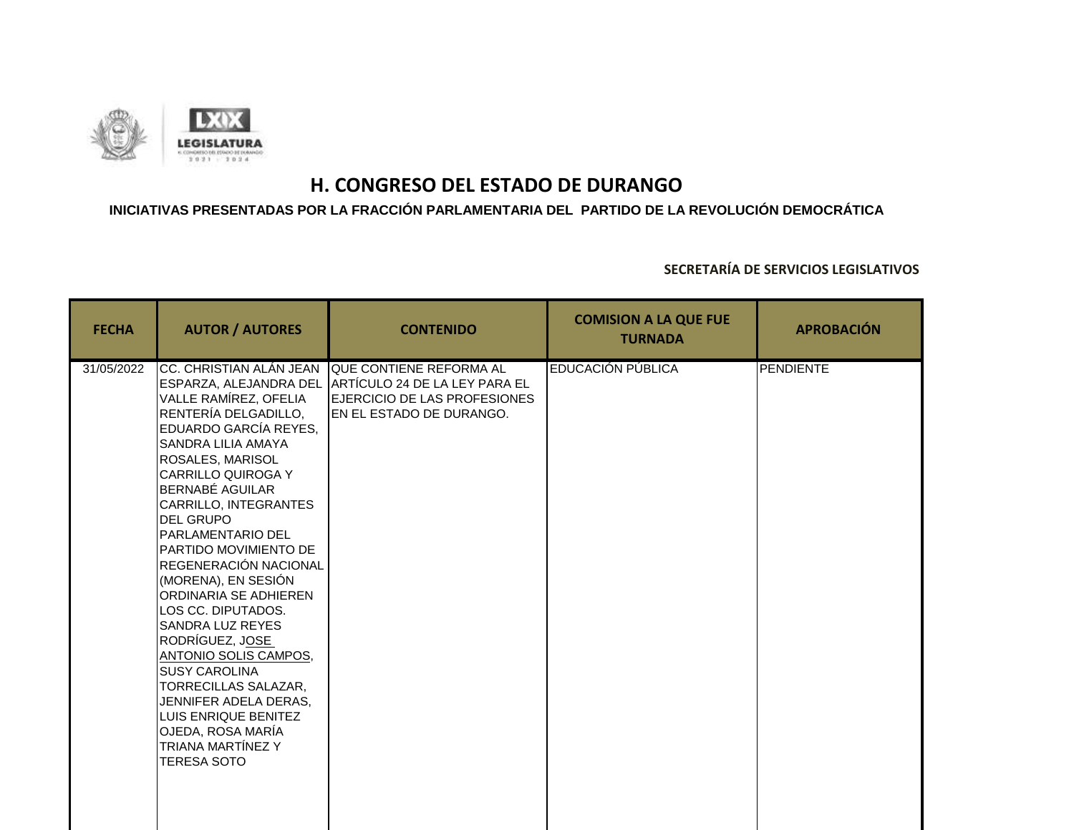

### **INICIATIVAS PRESENTADAS POR LA FRACCIÓN PARLAMENTARIA DEL PARTIDO DE LA REVOLUCIÓN DEMOCRÁTICA**

| <b>FECHA</b> | <b>AUTOR / AUTORES</b>                                                                                                                                                                                                                                                                                                                                                                                                                                                                                                                                                                                                                      | <b>CONTENIDO</b>                                                                                                                            | <b>COMISION A LA QUE FUE</b><br><b>TURNADA</b> | <b>APROBACIÓN</b> |
|--------------|---------------------------------------------------------------------------------------------------------------------------------------------------------------------------------------------------------------------------------------------------------------------------------------------------------------------------------------------------------------------------------------------------------------------------------------------------------------------------------------------------------------------------------------------------------------------------------------------------------------------------------------------|---------------------------------------------------------------------------------------------------------------------------------------------|------------------------------------------------|-------------------|
| 31/05/2022   | CC. CHRISTIAN ALÁN JEAN<br>VALLE RAMÍREZ, OFELIA<br>RENTERÍA DELGADILLO,<br>EDUARDO GARCÍA REYES,<br><b>SANDRA LILIA AMAYA</b><br>ROSALES, MARISOL<br><b>CARRILLO QUIROGA Y</b><br><b>BERNABÉ AGUILAR</b><br>CARRILLO, INTEGRANTES<br><b>DEL GRUPO</b><br><b>PARLAMENTARIO DEL</b><br>PARTIDO MOVIMIENTO DE<br>REGENERACIÓN NACIONAL<br>(MORENA), EN SESIÓN<br>ORDINARIA SE ADHIEREN<br>LOS CC. DIPUTADOS.<br>SANDRA LUZ REYES<br>RODRÍGUEZ, JOSE<br>ANTONIO SOLIS CAMPOS,<br><b>SUSY CAROLINA</b><br>TORRECILLAS SALAZAR,<br>JENNIFER ADELA DERAS.<br>LUIS ENRIQUE BENITEZ<br>OJEDA, ROSA MARÍA<br>TRIANA MARTÍNEZ Y<br><b>TERESA SOTO</b> | QUE CONTIENE REFORMA AL<br>ESPARZA, ALEJANDRA DEL ARTÍCULO 24 DE LA LEY PARA EL<br>EJERCICIO DE LAS PROFESIONES<br>EN EL ESTADO DE DURANGO. | EDUCACIÓN PÚBLICA                              | PENDIENTE         |